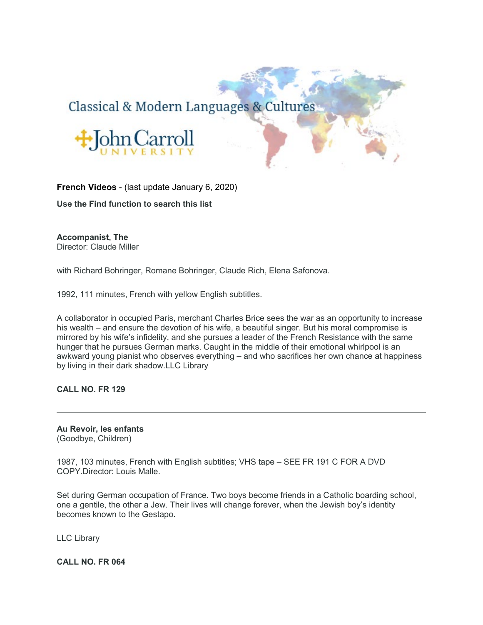# Classical & Modern Languages & Cultures



**French Videos** - (last update January 6, 2020)

**Use the Find function to search this list**

**Accompanist, The**

Director: Claude Miller

with Richard Bohringer, Romane Bohringer, Claude Rich, Elena Safonova.

1992, 111 minutes, French with yellow English subtitles.

A collaborator in occupied Paris, merchant Charles Brice sees the war as an opportunity to increase his wealth – and ensure the devotion of his wife, a beautiful singer. But his moral compromise is mirrored by his wife's infidelity, and she pursues a leader of the French Resistance with the same hunger that he pursues German marks. Caught in the middle of their emotional whirlpool is an awkward young pianist who observes everything – and who sacrifices her own chance at happiness by living in their dark shadow.LLC Library

**CALL NO. FR 129**

**Au Revoir, les enfants** (Goodbye, Children)

1987, 103 minutes, French with English subtitles; VHS tape – SEE FR 191 C FOR A DVD COPY.Director: Louis Malle.

Set during German occupation of France. Two boys become friends in a Catholic boarding school, one a gentile, the other a Jew. Their lives will change forever, when the Jewish boy's identity becomes known to the Gestapo.

LLC Library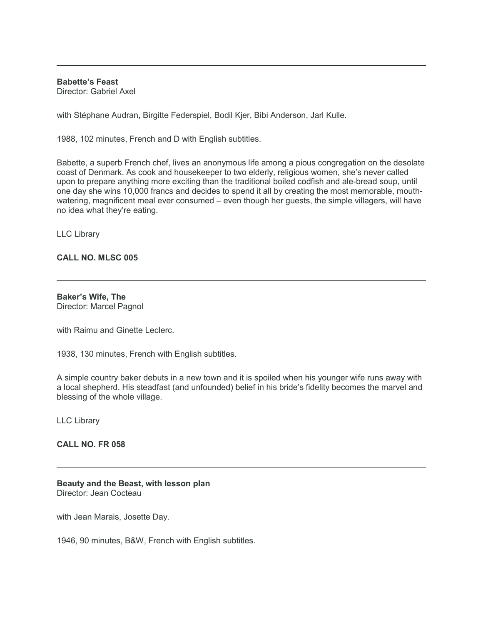**Babette's Feast**

Director: Gabriel Axel

with Stéphane Audran, Birgitte Federspiel, Bodil Kjer, Bibi Anderson, Jarl Kulle.

1988, 102 minutes, French and D with English subtitles.

Babette, a superb French chef, lives an anonymous life among a pious congregation on the desolate coast of Denmark. As cook and housekeeper to two elderly, religious women, she's never called upon to prepare anything more exciting than the traditional boiled codfish and ale-bread soup, until one day she wins 10,000 francs and decides to spend it all by creating the most memorable, mouthwatering, magnificent meal ever consumed – even though her guests, the simple villagers, will have no idea what they're eating.

LLC Library

## **CALL NO. MLSC 005**

**Baker's Wife, The** Director: Marcel Pagnol

with Raimu and Ginette Leclerc.

1938, 130 minutes, French with English subtitles.

A simple country baker debuts in a new town and it is spoiled when his younger wife runs away with a local shepherd. His steadfast (and unfounded) belief in his bride's fidelity becomes the marvel and blessing of the whole village.

LLC Library

**CALL NO. FR 058**

**Beauty and the Beast, with lesson plan** Director: Jean Cocteau

with Jean Marais, Josette Day.

1946, 90 minutes, B&W, French with English subtitles.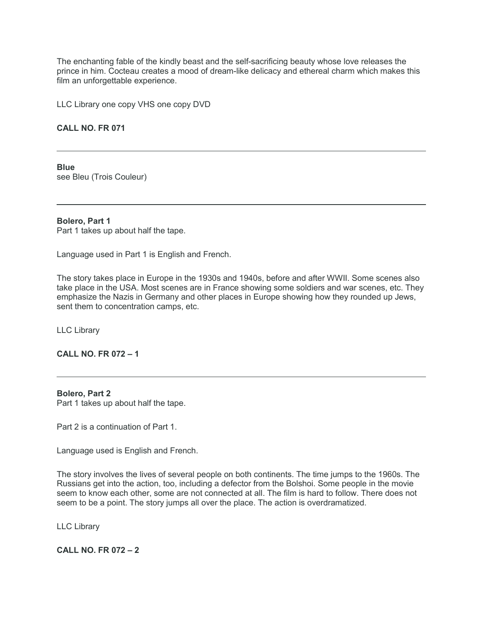The enchanting fable of the kindly beast and the self-sacrificing beauty whose love releases the prince in him. Cocteau creates a mood of dream-like delicacy and ethereal charm which makes this film an unforgettable experience.

LLC Library one copy VHS one copy DVD

## **CALL NO. FR 071**

**Blue** see Bleu (Trois Couleur)

#### **Bolero, Part 1**

Part 1 takes up about half the tape.

Language used in Part 1 is English and French.

The story takes place in Europe in the 1930s and 1940s, before and after WWII. Some scenes also take place in the USA. Most scenes are in France showing some soldiers and war scenes, etc. They emphasize the Nazis in Germany and other places in Europe showing how they rounded up Jews, sent them to concentration camps, etc.

LLC Library

## **CALL NO. FR 072 – 1**

#### **Bolero, Part 2**

Part 1 takes up about half the tape.

Part 2 is a continuation of Part 1.

Language used is English and French.

The story involves the lives of several people on both continents. The time jumps to the 1960s. The Russians get into the action, too, including a defector from the Bolshoi. Some people in the movie seem to know each other, some are not connected at all. The film is hard to follow. There does not seem to be a point. The story jumps all over the place. The action is overdramatized.

LLC Library

**CALL NO. FR 072 – 2**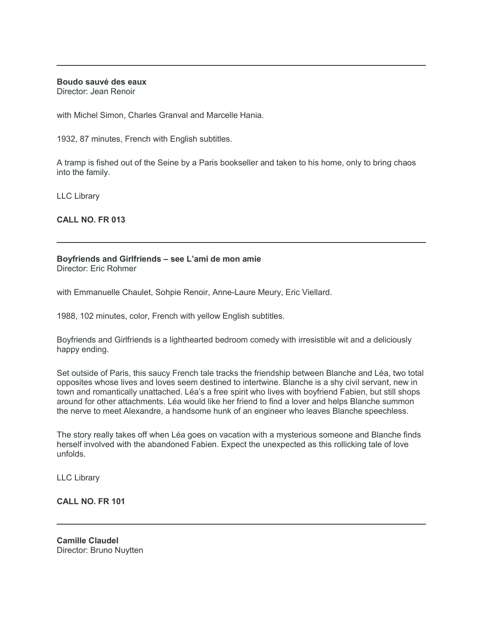## **Boudo sauvé des eaux**

Director: Jean Renoir

with Michel Simon, Charles Granval and Marcelle Hania.

1932, 87 minutes, French with English subtitles.

A tramp is fished out of the Seine by a Paris bookseller and taken to his home, only to bring chaos into the family.

LLC Library

**CALL NO. FR 013**

## **Boyfriends and Girlfriends – see L'ami de mon amie**

Director: Eric Rohmer

with Emmanuelle Chaulet, Sohpie Renoir, Anne-Laure Meury, Eric Viellard.

1988, 102 minutes, color, French with yellow English subtitles.

Boyfriends and Girlfriends is a lighthearted bedroom comedy with irresistible wit and a deliciously happy ending.

Set outside of Paris, this saucy French tale tracks the friendship between Blanche and Léa, two total opposites whose lives and loves seem destined to intertwine. Blanche is a shy civil servant, new in town and romantically unattached. Léa's a free spirit who lives with boyfriend Fabien, but still shops around for other attachments. Léa would like her friend to find a lover and helps Blanche summon the nerve to meet Alexandre, a handsome hunk of an engineer who leaves Blanche speechless.

The story really takes off when Léa goes on vacation with a mysterious someone and Blanche finds herself involved with the abandoned Fabien. Expect the unexpected as this rollicking tale of love unfolds.

LLC Library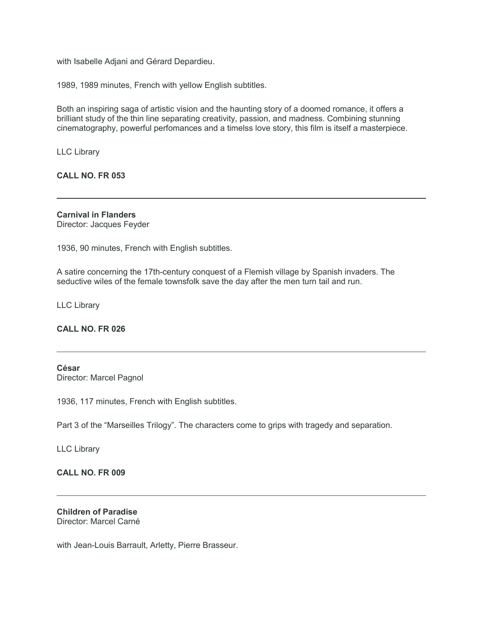with Isabelle Adjani and Gérard Depardieu.

1989, 1989 minutes, French with yellow English subtitles.

Both an inspiring saga of artistic vision and the haunting story of a doomed romance, it offers a brilliant study of the thin line separating creativity, passion, and madness. Combining stunning cinematography, powerful perfomances and a timelss love story, this film is itself a masterpiece.

LLC Library

### **CALL NO. FR 053**

**Carnival in Flanders** Director: Jacques Feyder

1936, 90 minutes, French with English subtitles.

A satire concerning the 17th-century conquest of a Flemish village by Spanish invaders. The seductive wiles of the female townsfolk save the day after the men turn tail and run.

LLC Library

#### **CALL NO. FR 026**

## **César**

Director: Marcel Pagnol

1936, 117 minutes, French with English subtitles.

Part 3 of the "Marseilles Trilogy". The characters come to grips with tragedy and separation.

LLC Library

## **CALL NO. FR 009**

#### **Children of Paradise** Director: Marcel Carné

with Jean-Louis Barrault, Arletty, Pierre Brasseur.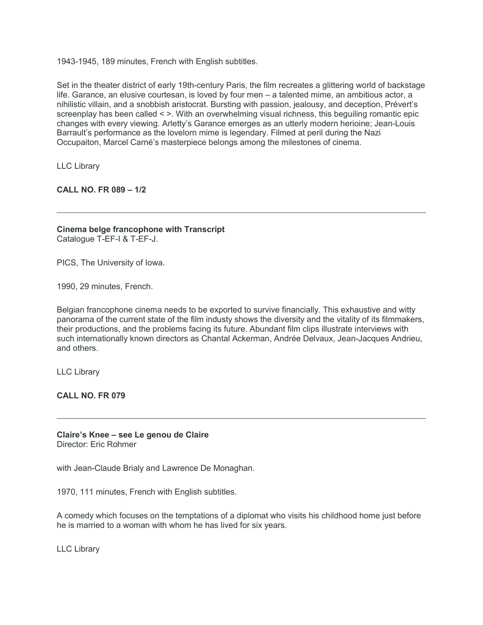1943-1945, 189 minutes, French with English subtitles.

Set in the theater district of early 19th-century Paris, the film recreates a glittering world of backstage life. Garance, an elusive courtesan, is loved by four men – a talented mime, an ambitious actor, a nihilistic villain, and a snobbish aristocrat. Bursting with passion, jealousy, and deception, Prévert's screenplay has been called < >. With an overwhelming visual richness, this beguiling romantic epic changes with every viewing. Arletty's Garance emerges as an utterly modern herioine; Jean-Louis Barrault's performance as the lovelorn mime is legendary. Filmed at peril during the Nazi Occupaiton, Marcel Carné's masterpiece belongs among the milestones of cinema.

LLC Library

**CALL NO. FR 089 – 1/2**

**Cinema belge francophone with Transcript** Catalogue T-EF-I & T-EF-J.

PICS, The University of Iowa.

1990, 29 minutes, French.

Belgian francophone cinema needs to be exported to survive financially. This exhaustive and witty panorama of the current state of the film industy shows the diversity and the vitality of its filmmakers, their productions, and the problems facing its future. Abundant film clips illustrate interviews with such internationally known directors as Chantal Ackerman, Andrée Delvaux, Jean-Jacques Andrieu, and others.

LLC Library

**CALL NO. FR 079**

**Claire's Knee – see Le genou de Claire** Director: Eric Rohmer

with Jean-Claude Brialy and Lawrence De Monaghan.

1970, 111 minutes, French with English subtitles.

A comedy which focuses on the temptations of a diplomat who visits his childhood home just before he is married to a woman with whom he has lived for six years.

LLC Library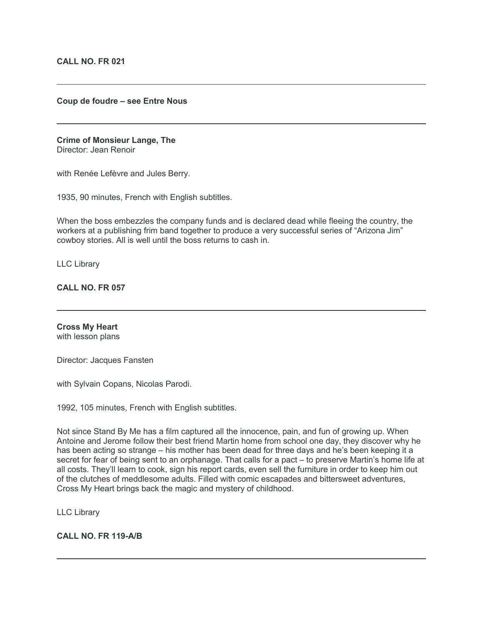#### **Coup de foudre – see Entre Nous**

#### **Crime of Monsieur Lange, The** Director: Jean Renoir

with Renée Lefèvre and Jules Berry.

1935, 90 minutes, French with English subtitles.

When the boss embezzles the company funds and is declared dead while fleeing the country, the workers at a publishing frim band together to produce a very successful series of "Arizona Jim" cowboy stories. All is well until the boss returns to cash in.

LLC Library

**CALL NO. FR 057**

#### **Cross My Heart** with lesson plans

Director: Jacques Fansten

with Sylvain Copans, Nicolas Parodi.

1992, 105 minutes, French with English subtitles.

Not since Stand By Me has a film captured all the innocence, pain, and fun of growing up. When Antoine and Jerome follow their best friend Martin home from school one day, they discover why he has been acting so strange – his mother has been dead for three days and he's been keeping it a secret for fear of being sent to an orphanage. That calls for a pact – to preserve Martin's home life at all costs. They'll learn to cook, sign his report cards, even sell the furniture in order to keep him out of the clutches of meddlesome adults. Filled with comic escapades and bittersweet adventures, Cross My Heart brings back the magic and mystery of childhood.

#### LLC Library

## **CALL NO. FR 119-A/B**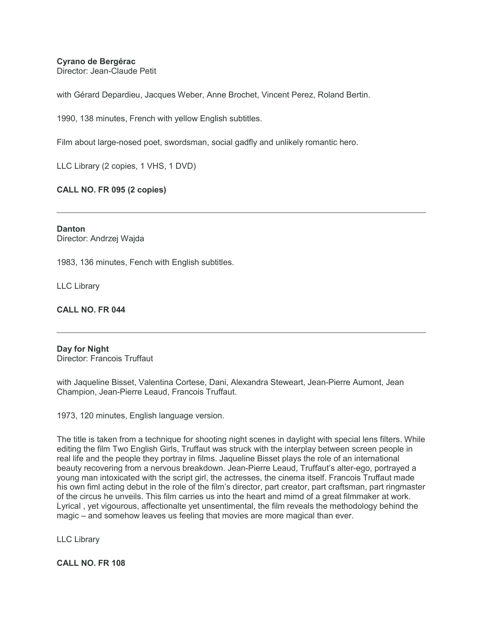## **Cyrano de Bergérac**

Director: Jean-Claude Petit

with Gérard Depardieu, Jacques Weber, Anne Brochet, Vincent Perez, Roland Bertin.

1990, 138 minutes, French with yellow English subtitles.

Film about large-nosed poet, swordsman, social gadfly and unlikely romantic hero.

LLC Library (2 copies, 1 VHS, 1 DVD)

## **CALL NO. FR 095 (2 copies)**

**Danton** Director: Andrzej Wajda

1983, 136 minutes, Fench with English subtitles.

LLC Library

## **CALL NO. FR 044**

### **Day for Night** Director: Francois Truffaut

with Jaqueline Bisset, Valentina Cortese, Dani, Alexandra Steweart, Jean-Pierre Aumont, Jean Champion, Jean-Pierre Leaud, Francois Truffaut.

1973, 120 minutes, English language version.

The title is taken from a technique for shooting night scenes in daylight with special lens filters. While editing the film Two English Girls, Truffaut was struck with the interplay between screen people in real life and the people they portray in films. Jaqueline Bisset plays the role of an international beauty recovering from a nervous breakdown. Jean-Pierre Leaud, Truffaut's alter-ego, portrayed a young man intoxicated with the script girl, the actresses, the cinema itself. Francois Truffaut made his own fiml acting debut in the role of the film's director, part creator, part craftsman, part ringmaster of the circus he unveils. This film carries us into the heart and mimd of a great filmmaker at work. Lyrical , yet vigourous, affectionalte yet unsentimental, the film reveals the methodology behind the magic – and somehow leaves us feeling that movies are more magical than ever.

LLC Library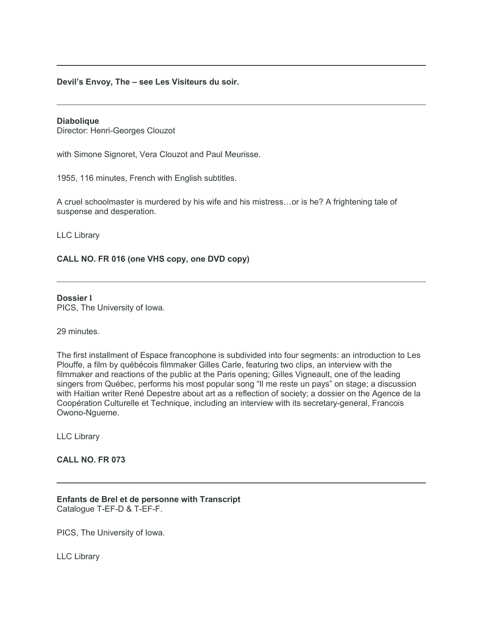### **Devil's Envoy, The – see Les Visiteurs du soir.**

#### **Diabolique**

Director: Henri-Georges Clouzot

with Simone Signoret, Vera Clouzot and Paul Meurisse.

1955, 116 minutes, French with English subtitles.

A cruel schoolmaster is murdered by his wife and his mistress…or is he? A frightening tale of suspense and desperation.

LLC Library

## **CALL NO. FR 016 (one VHS copy, one DVD copy)**

## **Dossier I**

PICS, The University of Iowa.

29 minutes.

The first installment of Espace francophone is subdivided into four segments: an introduction to Les Plouffe, a film by québécois filmmaker Gilles Carle, featuring two clips, an interview with the filmmaker and reactions of the public at the Paris opening; Gilles Vigneault, one of the leading singers from Québec, performs his most popular song "Il me reste un pays" on stage; a discussion with Haitian writer René Depestre about art as a reflection of society; a dossier on the Agence de la Coopération Culturelle et Technique, including an interview with its secretary-general, Francois Owono-Ngueme.

LLC Library

#### **CALL NO. FR 073**

**Enfants de Brel et de personne with Transcript** Catalogue T-EF-D & T-EF-F.

PICS, The University of Iowa.

LLC Library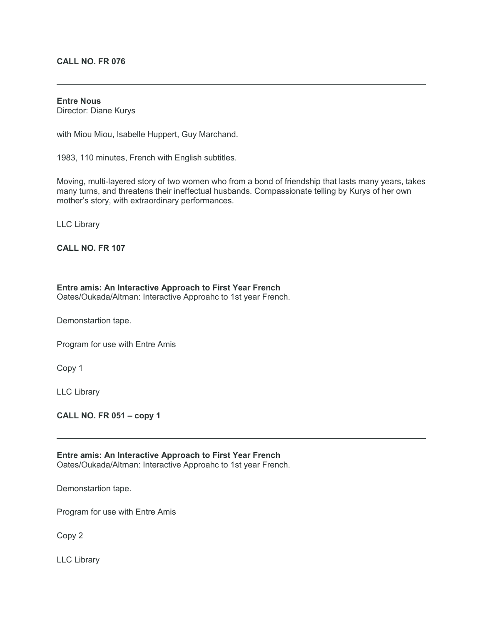## **CALL NO. FR 076**

#### **Entre Nous**

Director: Diane Kurys

with Miou Miou, Isabelle Huppert, Guy Marchand.

1983, 110 minutes, French with English subtitles.

Moving, multi-layered story of two women who from a bond of friendship that lasts many years, takes many turns, and threatens their ineffectual husbands. Compassionate telling by Kurys of her own mother's story, with extraordinary performances.

LLC Library

## **CALL NO. FR 107**

### **Entre amis: An Interactive Approach to First Year French**

Oates/Oukada/Altman: Interactive Approahc to 1st year French.

Demonstartion tape.

Program for use with Entre Amis

Copy 1

LLC Library

**CALL NO. FR 051 – copy 1**

**Entre amis: An Interactive Approach to First Year French** Oates/Oukada/Altman: Interactive Approahc to 1st year French.

Demonstartion tape.

Program for use with Entre Amis

Copy 2

LLC Library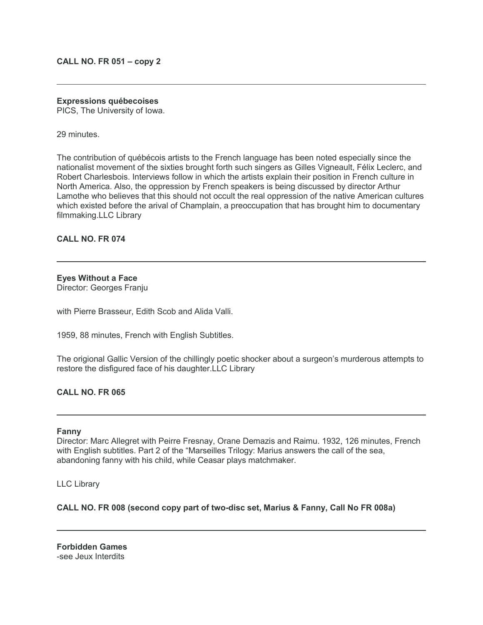### **CALL NO. FR 051 – copy 2**

#### **Expressions québecoises**

PICS, The University of Iowa.

29 minutes.

The contribution of québécois artists to the French language has been noted especially since the nationalist movement of the sixties brought forth such singers as Gilles Vigneault, Félix Leclerc, and Robert Charlesbois. Interviews follow in which the artists explain their position in French culture in North America. Also, the oppression by French speakers is being discussed by director Arthur Lamothe who believes that this should not occult the real oppression of the native American cultures which existed before the arival of Champlain, a preoccupation that has brought him to documentary filmmaking.LLC Library

**CALL NO. FR 074**

## **Eyes Without a Face**

Director: Georges Franju

with Pierre Brasseur, Edith Scob and Alida Valli.

1959, 88 minutes, French with English Subtitles.

The origional Gallic Version of the chillingly poetic shocker about a surgeon's murderous attempts to restore the disfigured face of his daughter.LLC Library

## **CALL NO. FR 065**

#### **Fanny**

Director: Marc Allegret with Peirre Fresnay, Orane Demazis and Raimu. 1932, 126 minutes, French with English subtitles. Part 2 of the "Marseilles Trilogy: Marius answers the call of the sea, abandoning fanny with his child, while Ceasar plays matchmaker.

LLC Library

**CALL NO. FR 008 (second copy part of two-disc set, Marius & Fanny, Call No FR 008a)**

**Forbidden Games** -see Jeux Interdits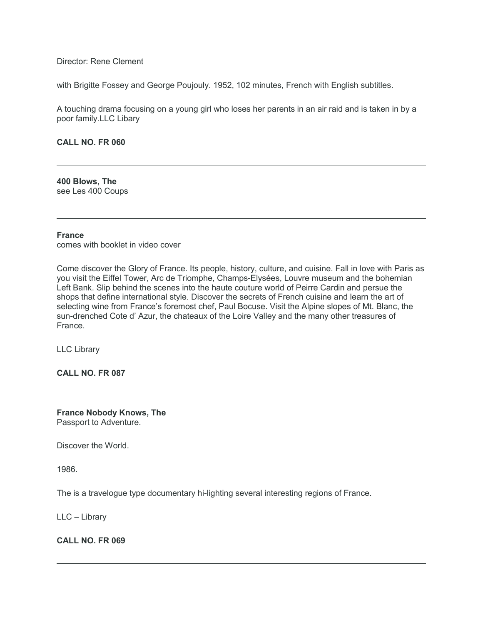Director: Rene Clement

with Brigitte Fossey and George Poujouly. 1952, 102 minutes, French with English subtitles.

A touching drama focusing on a young girl who loses her parents in an air raid and is taken in by a poor family.LLC Libary

#### **CALL NO. FR 060**

**400 Blows, The** see Les 400 Coups

#### **France**

comes with booklet in video cover

Come discover the Glory of France. Its people, history, culture, and cuisine. Fall in love with Paris as you visit the Eiffel Tower, Arc de Triomphe, Champs-Elysées, Louvre museum and the bohemian Left Bank. Slip behind the scenes into the haute couture world of Peirre Cardin and persue the shops that define international style. Discover the secrets of French cuisine and learn the art of selecting wine from France's foremost chef, Paul Bocuse. Visit the Alpine slopes of Mt. Blanc, the sun-drenched Cote d' Azur, the chateaux of the Loire Valley and the many other treasures of France.

LLC Library

**CALL NO. FR 087**

**France Nobody Knows, The** Passport to Adventure.

Discover the World.

1986.

The is a travelogue type documentary hi-lighting several interesting regions of France.

LLC – Library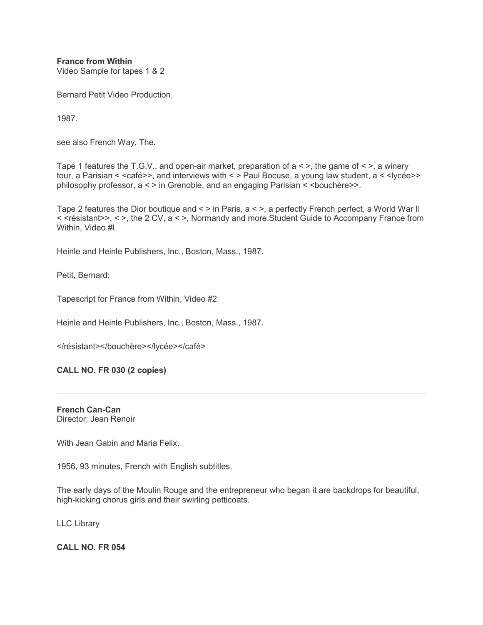**France from Within** Video Sample for tapes 1 & 2

Bernard Petit Video Production.

1987.

see also French Way, The.

Tape 1 features the T.G.V., and open-air market, preparation of  $a \leq \epsilon$ , the game of  $\leq \epsilon$ , a winery tour, a Parisian < <café>>, and interviews with < > Paul Bocuse, a young law student, a < < lycée>> philosophy professor, a < > in Grenoble, and an engaging Parisian < <bouchère>>.

Tape 2 features the Dior boutique and < > in Paris, a < >, a perfectly French perfect, a World War II < <résistant>>, < >, the 2 CV, a < >, Normandy and more.Student Guide to Accompany France from Within, Video #I.

Heinle and Heinle Publishers, Inc., Boston, Mass., 1987.

Petit, Bernard:

Tapescript for France from Within, Video #2

Heinle and Heinle Publishers, Inc., Boston, Mass., 1987.

</résistant></bouchère></lycée></café>

**CALL NO. FR 030 (2 copies)**

**French Can-Can** Director: Jean Renoir

With Jean Gabin and Maria Felix.

1956, 93 minutes, French with English subtitles.

The early days of the Moulin Rouge and the entrepreneur who began it are backdrops for beautiful, high-kicking chorus girls and their swirling petticoats.

LLC Library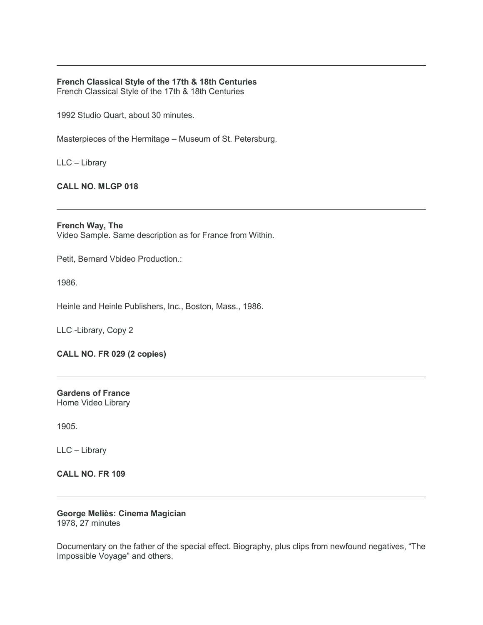## **French Classical Style of the 17th & 18th Centuries**

French Classical Style of the 17th & 18th Centuries

1992 Studio Quart, about 30 minutes.

Masterpieces of the Hermitage – Museum of St. Petersburg.

LLC – Library

## **CALL NO. MLGP 018**

**French Way, The** Video Sample. Same description as for France from Within.

Petit, Bernard Vbideo Production.:

1986.

Heinle and Heinle Publishers, Inc., Boston, Mass., 1986.

LLC -Library, Copy 2

**CALL NO. FR 029 (2 copies)**

**Gardens of France** Home Video Library

1905.

LLC – Library

**CALL NO. FR 109**

# **George Meliès: Cinema Magician**

1978, 27 minutes

Documentary on the father of the special effect. Biography, plus clips from newfound negatives, "The Impossible Voyage" and others.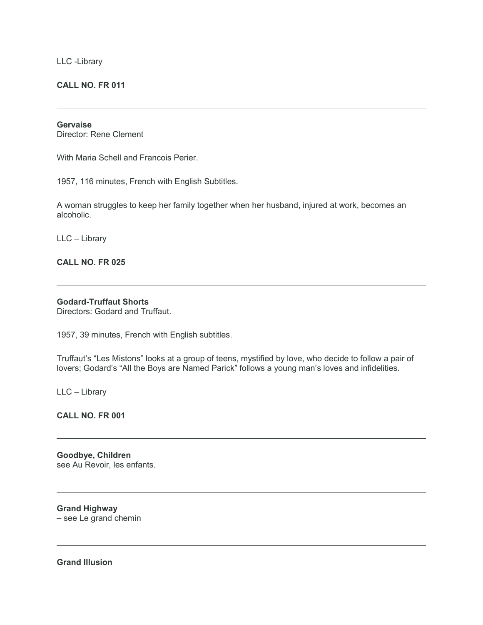LLC -Library

## **CALL NO. FR 011**

## **Gervaise**

Director: Rene Clement

With Maria Schell and Francois Perier.

1957, 116 minutes, French with English Subtitles.

A woman struggles to keep her family together when her husband, injured at work, becomes an alcoholic.

LLC – Library

## **CALL NO. FR 025**

### **Godard-Truffaut Shorts**

Directors: Godard and Truffaut.

1957, 39 minutes, French with English subtitles.

Truffaut's "Les Mistons" looks at a group of teens, mystified by love, who decide to follow a pair of lovers; Godard's "All the Boys are Named Parick" follows a young man's loves and infidelities.

LLC – Library

**CALL NO. FR 001**

**Goodbye, Children** see Au Revoir, les enfants.

**Grand Highway** – see Le grand chemin

**Grand Illusion**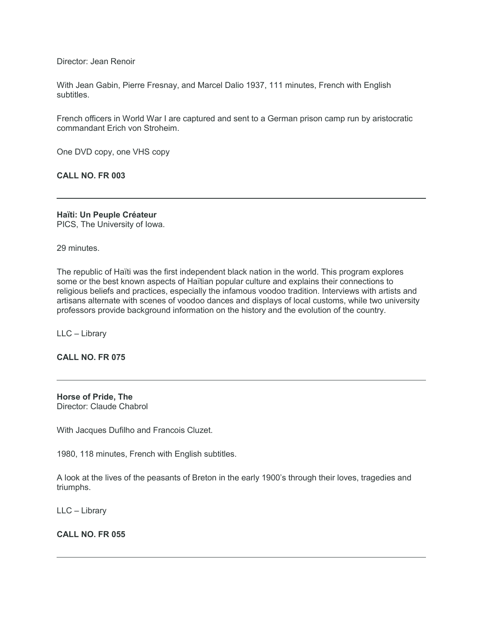Director: Jean Renoir

With Jean Gabin, Pierre Fresnay, and Marcel Dalio 1937, 111 minutes, French with English subtitles.

French officers in World War I are captured and sent to a German prison camp run by aristocratic commandant Erich von Stroheim.

One DVD copy, one VHS copy

**CALL NO. FR 003**

**Haïti: Un Peuple Créateur** PICS, The University of Iowa.

29 minutes.

The republic of Haïti was the first independent black nation in the world. This program explores some or the best known aspects of Haïtian popular culture and explains their connections to religious beliefs and practices, especially the infamous voodoo tradition. Interviews with artists and artisans alternate with scenes of voodoo dances and displays of local customs, while two university professors provide background information on the history and the evolution of the country.

LLC – Library

**CALL NO. FR 075**

**Horse of Pride, The** Director: Claude Chabrol

With Jacques Dufilho and Francois Cluzet.

1980, 118 minutes, French with English subtitles.

A look at the lives of the peasants of Breton in the early 1900's through their loves, tragedies and triumphs.

LLC – Library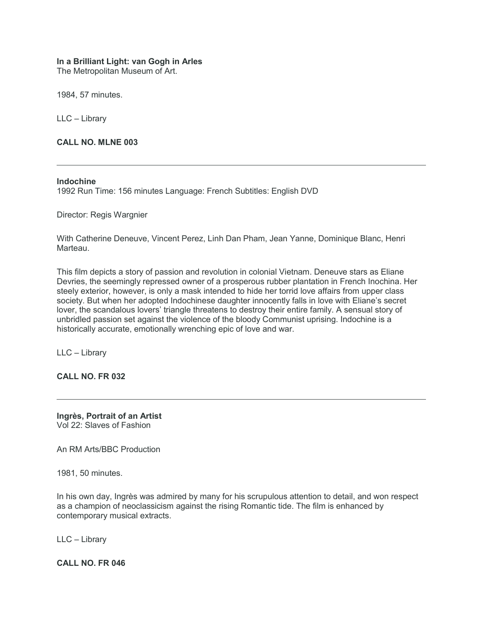## **In a Brilliant Light: van Gogh in Arles**

The Metropolitan Museum of Art.

1984, 57 minutes.

LLC – Library

**CALL NO. MLNE 003**

## **Indochine**

1992 Run Time: 156 minutes Language: French Subtitles: English DVD

Director: Regis Wargnier

With Catherine Deneuve, Vincent Perez, Linh Dan Pham, Jean Yanne, Dominique Blanc, Henri Marteau.

This film depicts a story of passion and revolution in colonial Vietnam. Deneuve stars as Eliane Devries, the seemingly repressed owner of a prosperous rubber plantation in French Inochina. Her steely exterior, however, is only a mask intended to hide her torrid love affairs from upper class society. But when her adopted Indochinese daughter innocently falls in love with Eliane's secret lover, the scandalous lovers' triangle threatens to destroy their entire family. A sensual story of unbridled passion set against the violence of the bloody Communist uprising. Indochine is a historically accurate, emotionally wrenching epic of love and war.

LLC – Library

**CALL NO. FR 032**

**Ingrès, Portrait of an Artist** Vol 22: Slaves of Fashion

An RM Arts/BBC Production

1981, 50 minutes.

In his own day, Ingrès was admired by many for his scrupulous attention to detail, and won respect as a champion of neoclassicism against the rising Romantic tide. The film is enhanced by contemporary musical extracts.

LLC – Library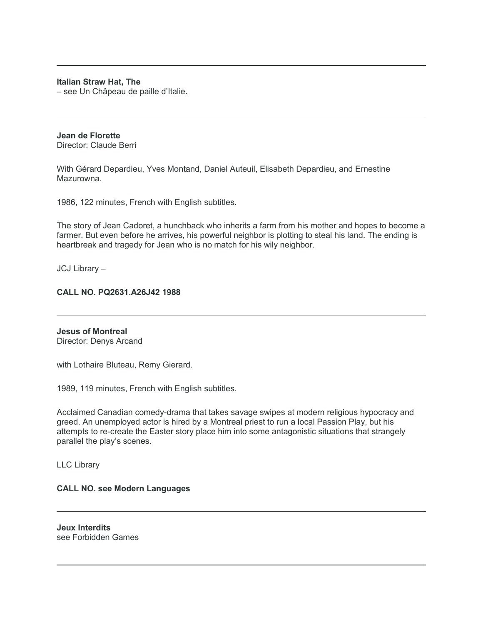## **Italian Straw Hat, The**

– see Un Châpeau de paille d'Italie.

# **Jean de Florette**

Director: Claude Berri

With Gérard Depardieu, Yves Montand, Daniel Auteuil, Elisabeth Depardieu, and Ernestine Mazurowna.

1986, 122 minutes, French with English subtitles.

The story of Jean Cadoret, a hunchback who inherits a farm from his mother and hopes to become a farmer. But even before he arrives, his powerful neighbor is plotting to steal his land. The ending is heartbreak and tragedy for Jean who is no match for his wily neighbor.

JCJ Library –

## **CALL NO. PQ2631.A26J42 1988**

**Jesus of Montreal** Director: Denys Arcand

with Lothaire Bluteau, Remy Gierard.

1989, 119 minutes, French with English subtitles.

Acclaimed Canadian comedy-drama that takes savage swipes at modern religious hypocracy and greed. An unemployed actor is hired by a Montreal priest to run a local Passion Play, but his attempts to re-create the Easter story place him into some antagonistic situations that strangely parallel the play's scenes.

LLC Library

#### **CALL NO. see Modern Languages**

**Jeux Interdits** see Forbidden Games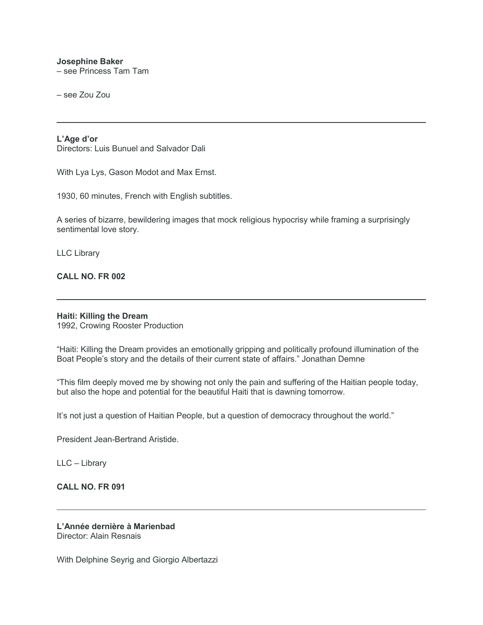#### **Josephine Baker**

– see Princess Tam Tam

– see Zou Zou

#### **L'Age d'or**

Directors: Luis Bunuel and Salvador Dali

With Lya Lys, Gason Modot and Max Ernst.

1930, 60 minutes, French with English subtitles.

A series of bizarre, bewildering images that mock religious hypocrisy while framing a surprisingly sentimental love story.

LLC Library

### **CALL NO. FR 002**

#### **Haiti: Killing the Dream**

1992, Crowing Rooster Production

"Haiti: Killing the Dream provides an emotionally gripping and politically profound illumination of the Boat People's story and the details of their current state of affairs." Jonathan Demne

"This film deeply moved me by showing not only the pain and suffering of the Haitian people today, but also the hope and potential for the beautiful Haiti that is dawning tomorrow.

It's not just a question of Haitian People, but a question of democracy throughout the world."

President Jean-Bertrand Aristide.

LLC – Library

## **CALL NO. FR 091**

#### **L'Année dernière à Marienbad** Director: Alain Resnais

With Delphine Seyrig and Giorgio Albertazzi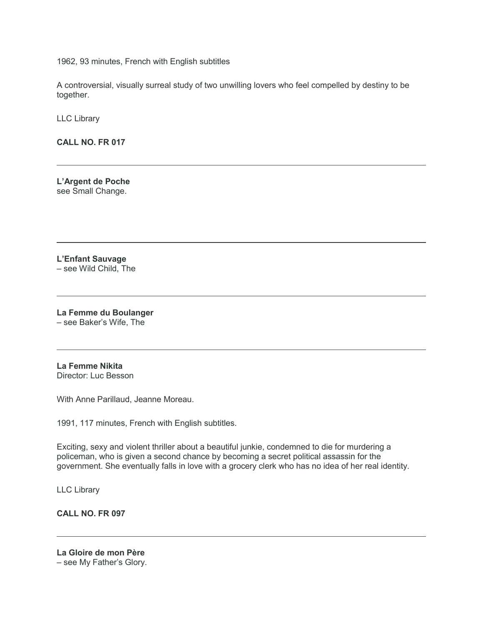1962, 93 minutes, French with English subtitles

A controversial, visually surreal study of two unwilling lovers who feel compelled by destiny to be together.

LLC Library

**CALL NO. FR 017**

**L'Argent de Poche** see Small Change.

**L'Enfant Sauvage** – see Wild Child, The

**La Femme du Boulanger** – see Baker's Wife, The

**La Femme Nikita** Director: Luc Besson

With Anne Parillaud, Jeanne Moreau.

1991, 117 minutes, French with English subtitles.

Exciting, sexy and violent thriller about a beautiful junkie, condemned to die for murdering a policeman, who is given a second chance by becoming a secret political assassin for the government. She eventually falls in love with a grocery clerk who has no idea of her real identity.

LLC Library

**CALL NO. FR 097**

**La Gloire de mon Père** – see My Father's Glory.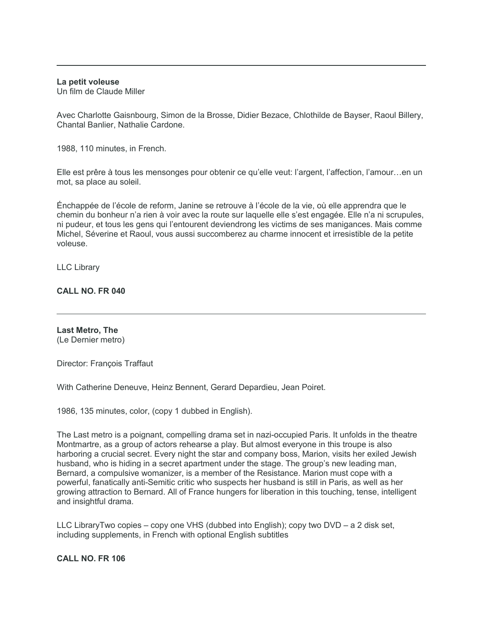#### **La petit voleuse**

Un film de Claude Miller

Avec Charlotte Gaisnbourg, Simon de la Brosse, Didier Bezace, Chlothilde de Bayser, Raoul Billery, Chantal Banlier, Nathalie Cardone.

1988, 110 minutes, in French.

Elle est prêre à tous les mensonges pour obtenir ce qu'elle veut: l'argent, l'affection, l'amour…en un mot, sa place au soleil.

Énchappée de l'école de reform, Janine se retrouve à l'école de la vie, où elle apprendra que le chemin du bonheur n'a rien à voir avec la route sur laquelle elle s'est engagée. Elle n'a ni scrupules, ni pudeur, et tous les gens qui l'entourent deviendrong les victims de ses manigances. Mais comme Michel, Séverine et Raoul, vous aussi succomberez au charme innocent et irresistible de la petite voleuse.

LLC Library

## **CALL NO. FR 040**

**Last Metro, The** (Le Dernier metro)

Director: François Traffaut

With Catherine Deneuve, Heinz Bennent, Gerard Depardieu, Jean Poiret.

1986, 135 minutes, color, (copy 1 dubbed in English).

The Last metro is a poignant, compelling drama set in nazi-occupied Paris. It unfolds in the theatre Montmartre, as a group of actors rehearse a play. But almost everyone in this troupe is also harboring a crucial secret. Every night the star and company boss, Marion, visits her exiled Jewish husband, who is hiding in a secret apartment under the stage. The group's new leading man, Bernard, a compulsive womanizer, is a member of the Resistance. Marion must cope with a powerful, fanatically anti-Semitic critic who suspects her husband is still in Paris, as well as her growing attraction to Bernard. All of France hungers for liberation in this touching, tense, intelligent and insightful drama.

LLC LibraryTwo copies – copy one VHS (dubbed into English); copy two DVD – a 2 disk set, including supplements, in French with optional English subtitles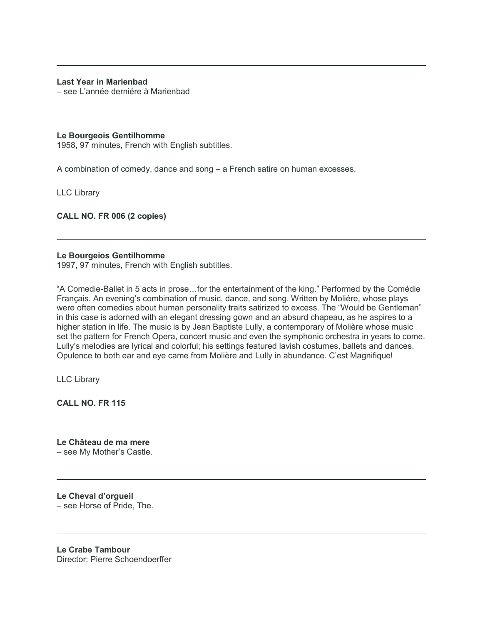## **Last Year in Marienbad**

– see L'année derniére à Marienbad

#### **Le Bourgeois Gentilhomme**

1958, 97 minutes, French with English subtitles.

A combination of comedy, dance and song – a French satire on human excesses.

LLC Library

**CALL NO. FR 006 (2 copies)**

## **Le Bourgeios Gentilhomme**

1997, 97 minutes, French with English subtitles.

"A Comedie-Ballet in 5 acts in prose…for the entertainment of the king." Performed by the Comédie Français. An evening's combination of music, dance, and song. Written by Moliére, whose plays were often comedies about human personality traits satirized to excess. The "Would be Gentleman" in this case is adorned with an elegant dressing gown and an absurd chapeau, as he aspires to a higher station in life. The music is by Jean Baptiste Lully, a contemporary of Molière whose music set the pattern for French Opera, concert music and even the symphonic orchestra in years to come. Lully's melodies are lyrical and colorful; his settings featured lavish costumes, ballets and dances. Opulence to both ear and eye came from Molière and Lully in abundance. C'est Magnifique!

LLC Library

**CALL NO. FR 115**

**Le Château de ma mere** – see My Mother's Castle.

**Le Cheval d'orgueil** – see Horse of Pride, The.

**Le Crabe Tambour** Director: Pierre Schoendoerffer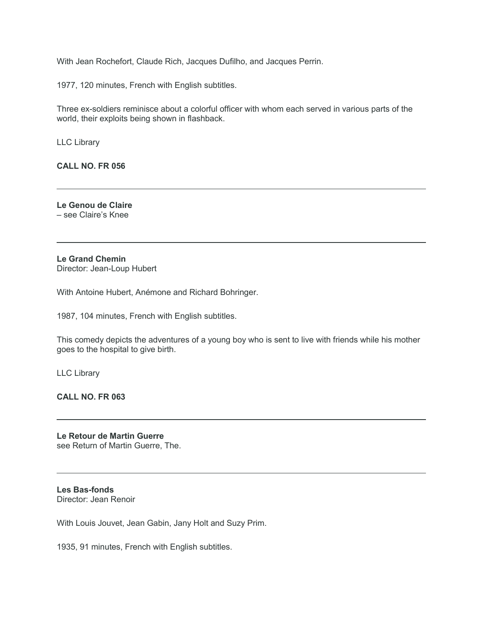With Jean Rochefort, Claude Rich, Jacques Dufilho, and Jacques Perrin.

1977, 120 minutes, French with English subtitles.

Three ex-soldiers reminisce about a colorful officer with whom each served in various parts of the world, their exploits being shown in flashback.

LLC Library

**CALL NO. FR 056**

**Le Genou de Claire** – see Claire's Knee

**Le Grand Chemin** Director: Jean-Loup Hubert

With Antoine Hubert, Anémone and Richard Bohringer.

1987, 104 minutes, French with English subtitles.

This comedy depicts the adventures of a young boy who is sent to live with friends while his mother goes to the hospital to give birth.

LLC Library

**CALL NO. FR 063**

**Le Retour de Martin Guerre** see Return of Martin Guerre, The.

**Les Bas-fonds** Director: Jean Renoir

With Louis Jouvet, Jean Gabin, Jany Holt and Suzy Prim.

1935, 91 minutes, French with English subtitles.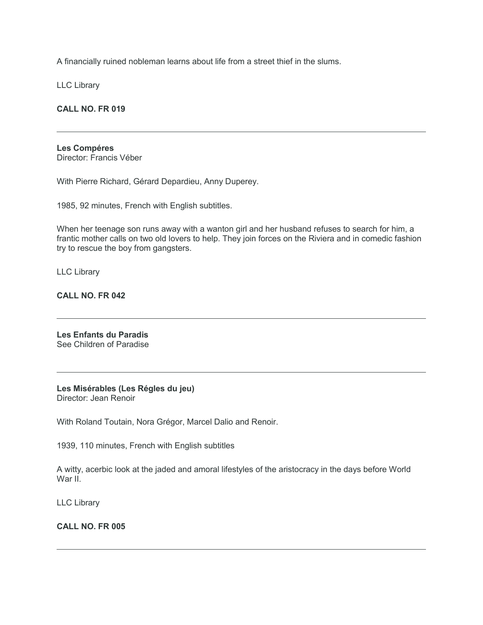A financially ruined nobleman learns about life from a street thief in the slums.

LLC Library

**CALL NO. FR 019**

## **Les Compéres**

Director: Francis Véber

With Pierre Richard, Gérard Depardieu, Anny Duperey.

1985, 92 minutes, French with English subtitles.

When her teenage son runs away with a wanton girl and her husband refuses to search for him, a frantic mother calls on two old lovers to help. They join forces on the Riviera and in comedic fashion try to rescue the boy from gangsters.

LLC Library

**CALL NO. FR 042**

**Les Enfants du Paradis** See Children of Paradise

**Les Misérables (Les Régles du jeu)** Director: Jean Renoir

With Roland Toutain, Nora Grégor, Marcel Dalio and Renoir.

1939, 110 minutes, French with English subtitles

A witty, acerbic look at the jaded and amoral lifestyles of the aristocracy in the days before World War II.

LLC Library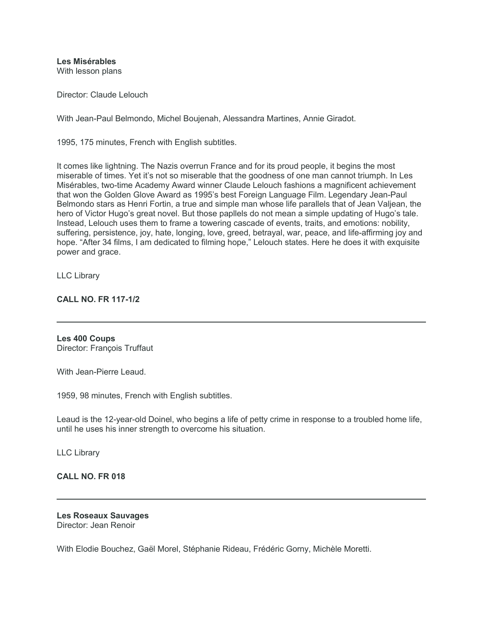**Les Misérables**

With lesson plans

Director: Claude Lelouch

With Jean-Paul Belmondo, Michel Boujenah, Alessandra Martines, Annie Giradot.

1995, 175 minutes, French with English subtitles.

It comes like lightning. The Nazis overrun France and for its proud people, it begins the most miserable of times. Yet it's not so miserable that the goodness of one man cannot triumph. In Les Misérables, two-time Academy Award winner Claude Lelouch fashions a magnificent achievement that won the Golden Glove Award as 1995's best Foreign Language Film. Legendary Jean-Paul Belmondo stars as Henri Fortin, a true and simple man whose life parallels that of Jean Valjean, the hero of Victor Hugo's great novel. But those papllels do not mean a simple updating of Hugo's tale. Instead, Lelouch uses them to frame a towering cascade of events, traits, and emotions: nobility, suffering, persistence, joy, hate, longing, love, greed, betrayal, war, peace, and life-affirming joy and hope. "After 34 films, I am dedicated to filming hope," Lelouch states. Here he does it with exquisite power and grace.

LLC Library

## **CALL NO. FR 117-1/2**

**Les 400 Coups** Director: François Truffaut

With Jean-Pierre Leaud

1959, 98 minutes, French with English subtitles.

Leaud is the 12-year-old Doinel, who begins a life of petty crime in response to a troubled home life, until he uses his inner strength to overcome his situation.

LLC Library

#### **CALL NO. FR 018**

#### **Les Roseaux Sauvages** Director: Jean Renoir

With Elodie Bouchez, Gaël Morel, Stéphanie Rideau, Frédéric Gorny, Michèle Moretti.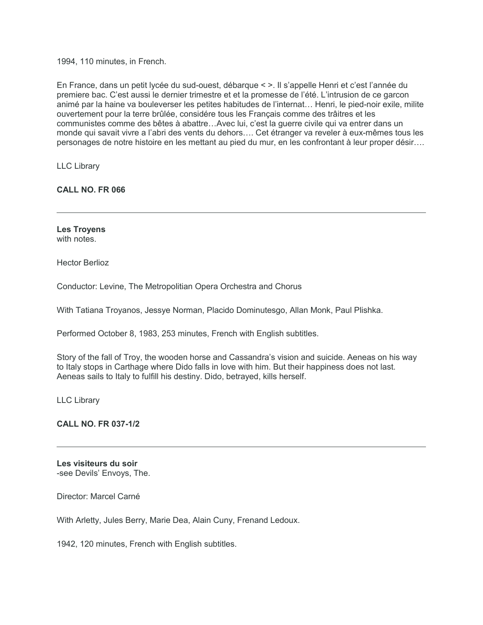1994, 110 minutes, in French.

En France, dans un petit lycée du sud-ouest, débarque < >. Il s'appelle Henri et c'est l'année du premiere bac. C'est aussi le dernier trimestre et et la promesse de l'été. L'intrusion de ce garcon animé par la haine va bouleverser les petites habitudes de l'internat… Henri, le pied-noir exile, milite ouvertement pour la terre brûlée, considére tous les Français comme des trâitres et les communistes comme des bêtes à abattre…Avec lui, c'est la guerre civile qui va entrer dans un monde qui savait vivre a l'abri des vents du dehors…. Cet étranger va reveler à eux-mêmes tous les personages de notre histoire en les mettant au pied du mur, en les confrontant à leur proper désir….

LLC Library

**CALL NO. FR 066**

**Les Troyens** with notes.

Hector Berlioz

Conductor: Levine, The Metropolitian Opera Orchestra and Chorus

With Tatiana Troyanos, Jessye Norman, Placido Dominutesgo, Allan Monk, Paul Plishka.

Performed October 8, 1983, 253 minutes, French with English subtitles.

Story of the fall of Troy, the wooden horse and Cassandra's vision and suicide. Aeneas on his way to Italy stops in Carthage where Dido falls in love with him. But their happiness does not last. Aeneas sails to Italy to fulfill his destiny. Dido, betrayed, kills herself.

LLC Library

**CALL NO. FR 037-1/2**

**Les visiteurs du soir** -see Devils' Envoys, The.

Director: Marcel Carné

With Arletty, Jules Berry, Marie Dea, Alain Cuny, Frenand Ledoux.

1942, 120 minutes, French with English subtitles.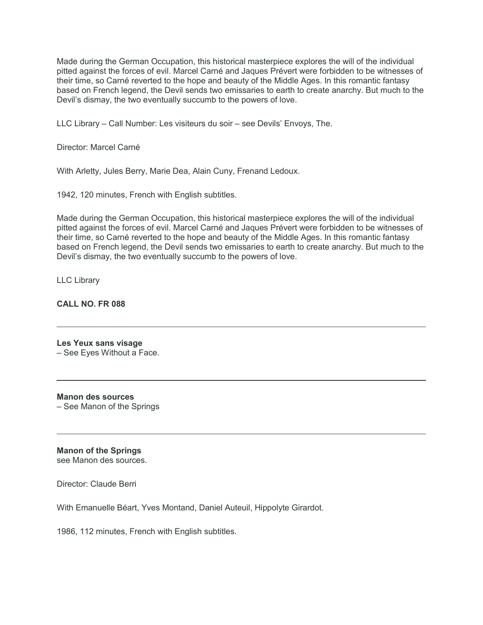Made during the German Occupation, this historical masterpiece explores the will of the individual pitted against the forces of evil. Marcel Carné and Jaques Prévert were forbidden to be witnesses of their time, so Carné reverted to the hope and beauty of the Middle Ages. In this romantic fantasy based on French legend, the Devil sends two emissaries to earth to create anarchy. But much to the Devil's dismay, the two eventually succumb to the powers of love.

LLC Library – Call Number: Les visiteurs du soir – see Devils' Envoys, The.

Director: Marcel Carné

With Arletty, Jules Berry, Marie Dea, Alain Cuny, Frenand Ledoux.

1942, 120 minutes, French with English subtitles.

Made during the German Occupation, this historical masterpiece explores the will of the individual pitted against the forces of evil. Marcel Carné and Jaques Prévert were forbidden to be witnesses of their time, so Carné reverted to the hope and beauty of the Middle Ages. In this romantic fantasy based on French legend, the Devil sends two emissaries to earth to create anarchy. But much to the Devil's dismay, the two eventually succumb to the powers of love.

LLC Library

## **CALL NO. FR 088**

#### **Les Yeux sans visage** – See Eyes Without a Face.

**Manon des sources** – See Manon of the Springs

**Manon of the Springs** see Manon des sources.

Director: Claude Berri

With Emanuelle Béart, Yves Montand, Daniel Auteuil, Hippolyte Girardot.

1986, 112 minutes, French with English subtitles.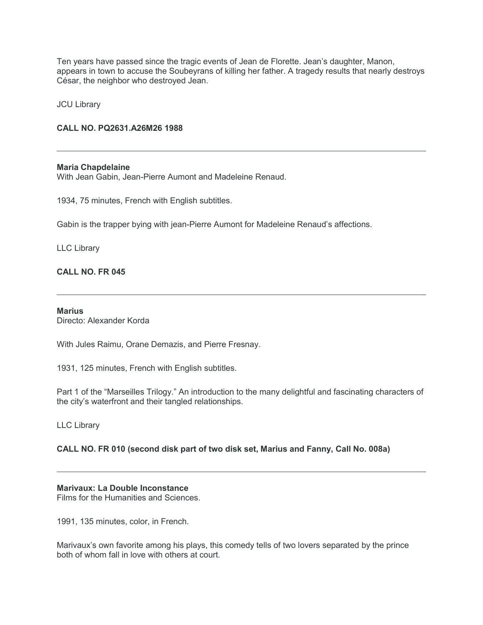Ten years have passed since the tragic events of Jean de Florette. Jean's daughter, Manon, appears in town to accuse the Soubeyrans of killing her father. A tragedy results that nearly destroys César, the neighbor who destroyed Jean.

JCU Library

## **CALL NO. PQ2631.A26M26 1988**

#### **Maria Chapdelaine**

With Jean Gabin, Jean-Pierre Aumont and Madeleine Renaud.

1934, 75 minutes, French with English subtitles.

Gabin is the trapper bying with jean-Pierre Aumont for Madeleine Renaud's affections.

### LLC Library

### **CALL NO. FR 045**

#### **Marius**

Directo: Alexander Korda

With Jules Raimu, Orane Demazis, and Pierre Fresnay.

1931, 125 minutes, French with English subtitles.

Part 1 of the "Marseilles Trilogy." An introduction to the many delightful and fascinating characters of the city's waterfront and their tangled relationships.

LLC Library

## **CALL NO. FR 010 (second disk part of two disk set, Marius and Fanny, Call No. 008a)**

#### **Marivaux: La Double Inconstance**

Films for the Humanities and Sciences.

1991, 135 minutes, color, in French.

Marivaux's own favorite among his plays, this comedy tells of two lovers separated by the prince both of whom fall in love with others at court.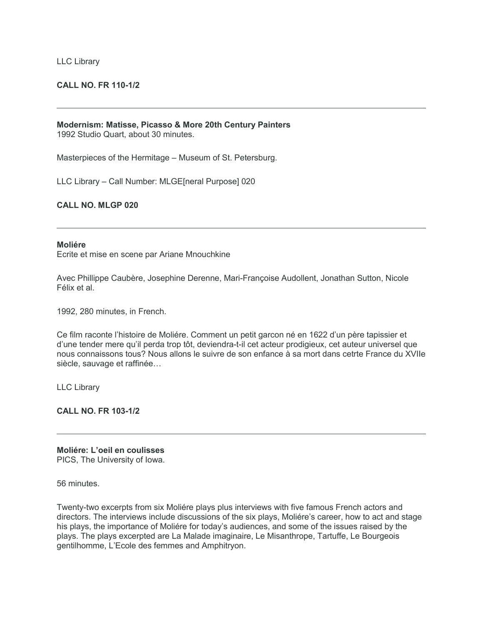#### LLC Library

## **CALL NO. FR 110-1/2**

#### **Modernism: Matisse, Picasso & More 20th Century Painters** 1992 Studio Quart, about 30 minutes.

Masterpieces of the Hermitage – Museum of St. Petersburg.

LLC Library – Call Number: MLGE[neral Purpose] 020

#### **CALL NO. MLGP 020**

#### **Moliére**

Ecrite et mise en scene par Ariane Mnouchkine

Avec Phillippe Caubère, Josephine Derenne, Mari-Françoise Audollent, Jonathan Sutton, Nicole Félix et al.

1992, 280 minutes, in French.

Ce film raconte l'histoire de Moliére. Comment un petit garcon né en 1622 d'un père tapissier et d'une tender mere qu'il perda trop tôt, deviendra-t-il cet acteur prodigieux, cet auteur universel que nous connaissons tous? Nous allons le suivre de son enfance à sa mort dans cetrte France du XVIIe siècle, sauvage et raffinée…

LLC Library

**CALL NO. FR 103-1/2**

**Moliére: L'oeil en coulisses** PICS, The University of Iowa.

56 minutes.

Twenty-two excerpts from six Moliére plays plus interviews with five famous French actors and directors. The interviews include discussions of the six plays, Moliére's career, how to act and stage his plays, the importance of Moliére for today's audiences, and some of the issues raised by the plays. The plays excerpted are La Malade imaginaire, Le Misanthrope, Tartuffe, Le Bourgeois gentilhomme, L'Ecole des femmes and Amphitryon.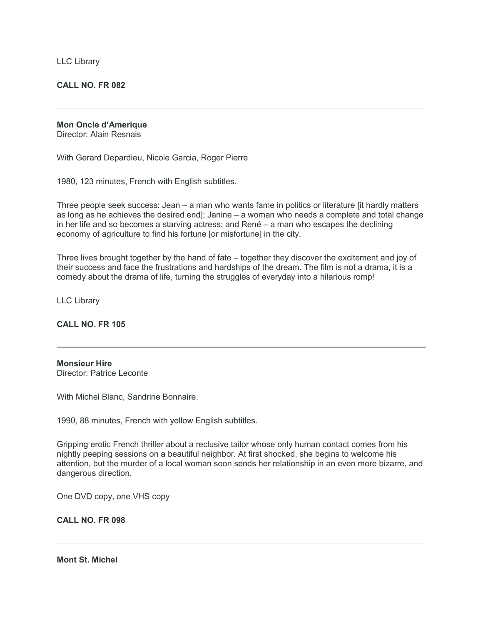LLC Library

**CALL NO. FR 082**

**Mon Oncle d'Amerique**

Director: Alain Resnais

With Gerard Depardieu, Nicole Garcia, Roger Pierre.

1980, 123 minutes, French with English subtitles.

Three people seek success: Jean – a man who wants fame in politics or literature [it hardly matters as long as he achieves the desired end]; Janine – a woman who needs a complete and total change in her life and so becomes a starving actress; and René – a man who escapes the declining economy of agriculture to find his fortune [or misfortune] in the city.

Three lives brought together by the hand of fate – together they discover the excitement and joy of their success and face the frustrations and hardships of the dream. The film is not a drama, it is a comedy about the drama of life, turning the struggles of everyday into a hilarious romp!

LLC Library

#### **CALL NO. FR 105**

**Monsieur Hire** Director: Patrice Leconte

With Michel Blanc, Sandrine Bonnaire.

1990, 88 minutes, French with yellow English subtitles.

Gripping erotic French thriller about a reclusive tailor whose only human contact comes from his nightly peeping sessions on a beautiful neighbor. At first shocked, she begins to welcome his attention, but the murder of a local woman soon sends her relationship in an even more bizarre, and dangerous direction.

One DVD copy, one VHS copy

**CALL NO. FR 098**

**Mont St. Michel**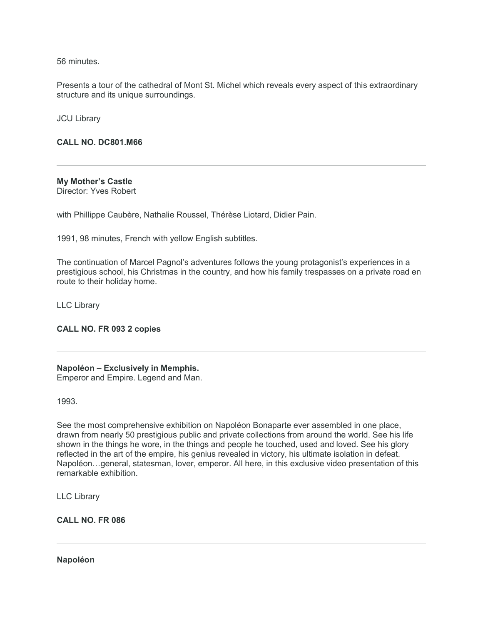56 minutes.

Presents a tour of the cathedral of Mont St. Michel which reveals every aspect of this extraordinary structure and its unique surroundings.

JCU Library

**CALL NO. DC801.M66**

**My Mother's Castle** Director: Yves Robert

with Phillippe Caubère, Nathalie Roussel, Thérèse Liotard, Didier Pain.

1991, 98 minutes, French with yellow English subtitles.

The continuation of Marcel Pagnol's adventures follows the young protagonist's experiences in a prestigious school, his Christmas in the country, and how his family trespasses on a private road en route to their holiday home.

LLC Library

**CALL NO. FR 093 2 copies**

#### **Napoléon – Exclusively in Memphis.**

Emperor and Empire. Legend and Man.

1993.

See the most comprehensive exhibition on Napoléon Bonaparte ever assembled in one place, drawn from nearly 50 prestigious public and private collections from around the world. See his life shown in the things he wore, in the things and people he touched, used and loved. See his glory reflected in the art of the empire, his genius revealed in victory, his ultimate isolation in defeat. Napoléon…general, statesman, lover, emperor. All here, in this exclusive video presentation of this remarkable exhibition.

LLC Library

**CALL NO. FR 086**

**Napoléon**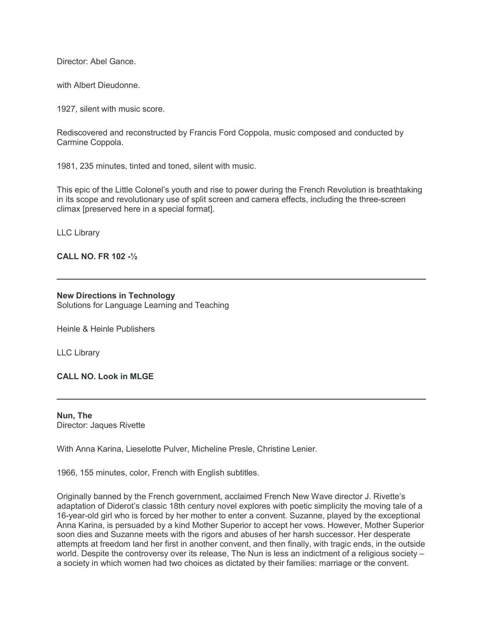Director: Abel Gance.

with Albert Dieudonne.

1927, silent with music score.

Rediscovered and reconstructed by Francis Ford Coppola, music composed and conducted by Carmine Coppola.

1981, 235 minutes, tinted and toned, silent with music.

This epic of the Little Colonel's youth and rise to power during the French Revolution is breathtaking in its scope and revolutionary use of split screen and camera effects, including the three-screen climax [preserved here in a special format].

LLC Library

## **CALL NO. FR 102 -½**

### **New Directions in Technology**

Solutions for Language Learning and Teaching

Heinle & Heinle Publishers

LLC Library

**CALL NO. Look in MLGE**

**Nun, The** Director: Jaques Rivette

With Anna Karina, Lieselotte Pulver, Micheline Presle, Christine Lenier.

1966, 155 minutes, color, French with English subtitles.

Originally banned by the French government, acclaimed French New Wave director J. Rivette's adaptation of Diderot's classic 18th century novel explores with poetic simplicity the moving tale of a 16-year-old girl who is forced by her mother to enter a convent. Suzanne, played by the exceptional Anna Karina, is persuaded by a kind Mother Superior to accept her vows. However, Mother Superior soon dies and Suzanne meets with the rigors and abuses of her harsh successor. Her desperate attempts at freedom land her first in another convent, and then finally, with tragic ends, in the outside world. Despite the controversy over its release. The Nun is less an indictment of a religious society – a society in which women had two choices as dictated by their families: marriage or the convent.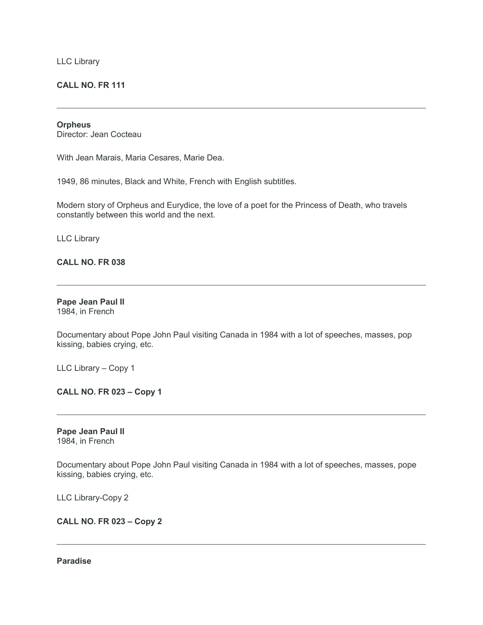LLC Library

## **CALL NO. FR 111**

#### **Orpheus**

Director: Jean Cocteau

With Jean Marais, Maria Cesares, Marie Dea.

1949, 86 minutes, Black and White, French with English subtitles.

Modern story of Orpheus and Eurydice, the love of a poet for the Princess of Death, who travels constantly between this world and the next.

LLC Library

## **CALL NO. FR 038**

#### **Pape Jean Paul II** 1984, in French

Documentary about Pope John Paul visiting Canada in 1984 with a lot of speeches, masses, pop kissing, babies crying, etc.

LLC Library – Copy 1

**CALL NO. FR 023 – Copy 1**

**Pape Jean Paul II** 1984, in French

Documentary about Pope John Paul visiting Canada in 1984 with a lot of speeches, masses, pope kissing, babies crying, etc.

LLC Library-Copy 2

**CALL NO. FR 023 – Copy 2**

## **Paradise**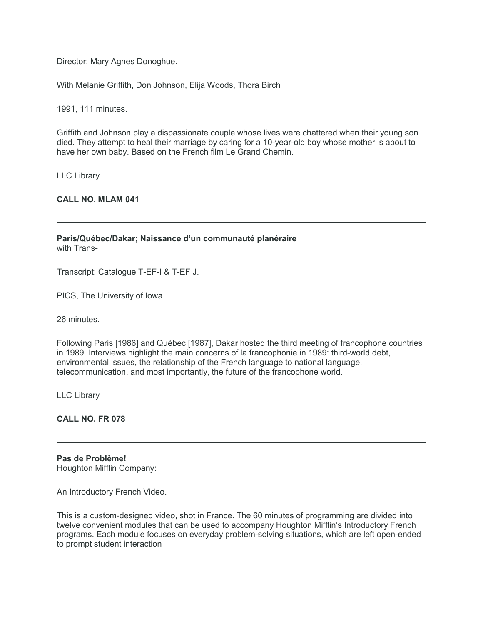Director: Mary Agnes Donoghue.

With Melanie Griffith, Don Johnson, Elija Woods, Thora Birch

1991, 111 minutes.

Griffith and Johnson play a dispassionate couple whose lives were chattered when their young son died. They attempt to heal their marriage by caring for a 10-year-old boy whose mother is about to have her own baby. Based on the French film Le Grand Chemin.

LLC Library

**CALL NO. MLAM 041**

**Paris/Québec/Dakar; Naissance d'un communauté planéraire** with Trans-

Transcript: Catalogue T-EF-I & T-EF J.

PICS, The University of Iowa.

26 minutes.

Following Paris [1986] and Québec [1987], Dakar hosted the third meeting of francophone countries in 1989. Interviews highlight the main concerns of la francophonie in 1989: third-world debt, environmental issues, the relationship of the French language to national language, telecommunication, and most importantly, the future of the francophone world.

LLC Library

**CALL NO. FR 078**

**Pas de Problème!** Houghton Mifflin Company:

An Introductory French Video.

This is a custom-designed video, shot in France. The 60 minutes of programming are divided into twelve convenient modules that can be used to accompany Houghton Mifflin's Introductory French programs. Each module focuses on everyday problem-solving situations, which are left open-ended to prompt student interaction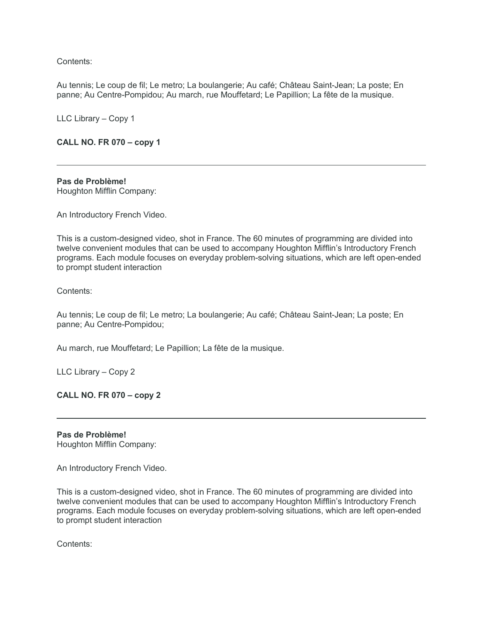Contents:

Au tennis; Le coup de fil; Le metro; La boulangerie; Au café; Château Saint-Jean; La poste; En panne; Au Centre-Pompidou; Au march, rue Mouffetard; Le Papillion; La fête de la musique.

LLC Library – Copy 1

## **CALL NO. FR 070 – copy 1**

## **Pas de Problème!**

Houghton Mifflin Company:

An Introductory French Video.

This is a custom-designed video, shot in France. The 60 minutes of programming are divided into twelve convenient modules that can be used to accompany Houghton Mifflin's Introductory French programs. Each module focuses on everyday problem-solving situations, which are left open-ended to prompt student interaction

Contents:

Au tennis; Le coup de fil; Le metro; La boulangerie; Au café; Château Saint-Jean; La poste; En panne; Au Centre-Pompidou;

Au march, rue Mouffetard; Le Papillion; La fête de la musique.

LLC Library – Copy 2

**CALL NO. FR 070 – copy 2**

**Pas de Problème!** Houghton Mifflin Company:

An Introductory French Video.

This is a custom-designed video, shot in France. The 60 minutes of programming are divided into twelve convenient modules that can be used to accompany Houghton Mifflin's Introductory French programs. Each module focuses on everyday problem-solving situations, which are left open-ended to prompt student interaction

Contents: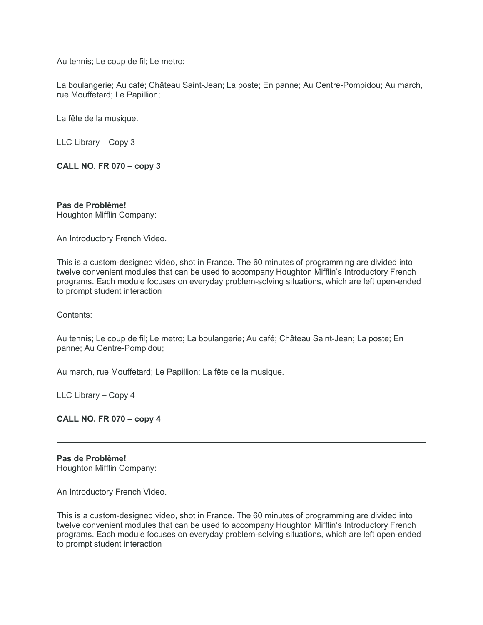Au tennis; Le coup de fil; Le metro;

La boulangerie; Au café; Château Saint-Jean; La poste; En panne; Au Centre-Pompidou; Au march, rue Mouffetard; Le Papillion;

La fête de la musique.

LLC Library – Copy 3

**CALL NO. FR 070 – copy 3**

**Pas de Problème!** Houghton Mifflin Company:

An Introductory French Video.

This is a custom-designed video, shot in France. The 60 minutes of programming are divided into twelve convenient modules that can be used to accompany Houghton Mifflin's Introductory French programs. Each module focuses on everyday problem-solving situations, which are left open-ended to prompt student interaction

Contents:

Au tennis; Le coup de fil; Le metro; La boulangerie; Au café; Château Saint-Jean; La poste; En panne; Au Centre-Pompidou;

Au march, rue Mouffetard; Le Papillion; La fête de la musique.

LLC Library – Copy 4

**CALL NO. FR 070 – copy 4**

**Pas de Problème!** Houghton Mifflin Company:

An Introductory French Video.

This is a custom-designed video, shot in France. The 60 minutes of programming are divided into twelve convenient modules that can be used to accompany Houghton Mifflin's Introductory French programs. Each module focuses on everyday problem-solving situations, which are left open-ended to prompt student interaction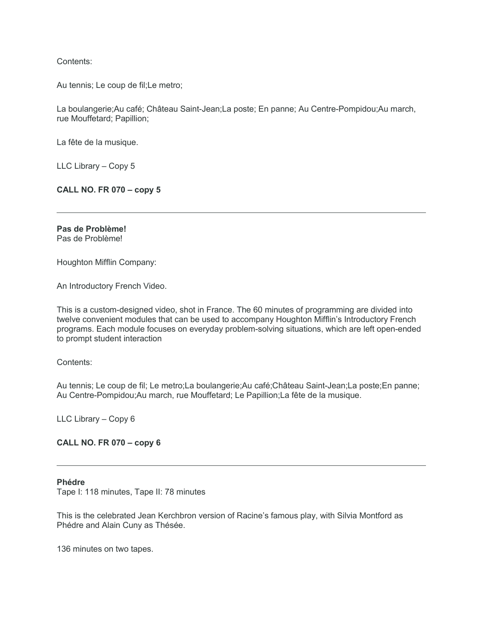Contents:

Au tennis; Le coup de fil;Le metro;

La boulangerie;Au café; Château Saint-Jean;La poste; En panne; Au Centre-Pompidou;Au march, rue Mouffetard; Papillion;

La fête de la musique.

LLC Library – Copy 5

**CALL NO. FR 070 – copy 5**

**Pas de Problème!** Pas de Problème!

Houghton Mifflin Company:

An Introductory French Video.

This is a custom-designed video, shot in France. The 60 minutes of programming are divided into twelve convenient modules that can be used to accompany Houghton Mifflin's Introductory French programs. Each module focuses on everyday problem-solving situations, which are left open-ended to prompt student interaction

Contents:

Au tennis; Le coup de fil; Le metro;La boulangerie;Au café;Château Saint-Jean;La poste;En panne; Au Centre-Pompidou;Au march, rue Mouffetard; Le Papillion;La fête de la musique.

LLC Library – Copy 6

**CALL NO. FR 070 – copy 6**

#### **Phédre**

Tape I: 118 minutes, Tape II: 78 minutes

This is the celebrated Jean Kerchbron version of Racine's famous play, with Silvia Montford as Phédre and Alain Cuny as Thésée.

136 minutes on two tapes.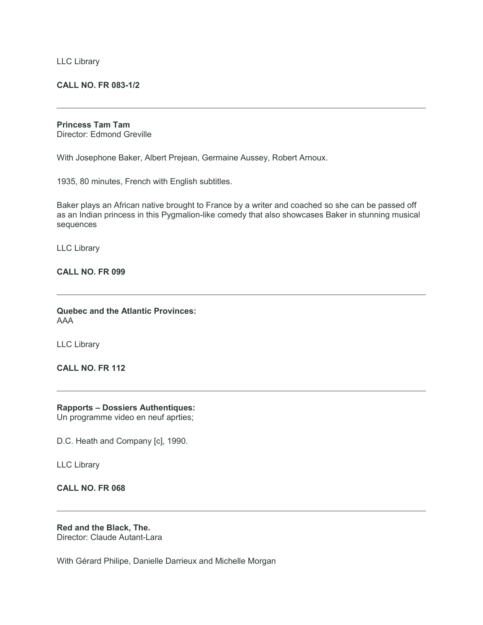#### **CALL NO. FR 083-1/2**

#### **Princess Tam Tam**

Director: Edmond Greville

With Josephone Baker, Albert Prejean, Germaine Aussey, Robert Arnoux.

1935, 80 minutes, French with English subtitles.

Baker plays an African native brought to France by a writer and coached so she can be passed off as an Indian princess in this Pygmalion-like comedy that also showcases Baker in stunning musical sequences

LLC Library

#### **CALL NO. FR 099**

**Quebec and the Atlantic Provinces:** AAA

LLC Library

**CALL NO. FR 112**

## **Rapports – Dossiers Authentiques:**

Un programme video en neuf aprties;

D.C. Heath and Company [c], 1990.

LLC Library

#### **CALL NO. FR 068**

**Red and the Black, The.** Director: Claude Autant-Lara

With Gérard Philipe, Danielle Darrieux and Michelle Morgan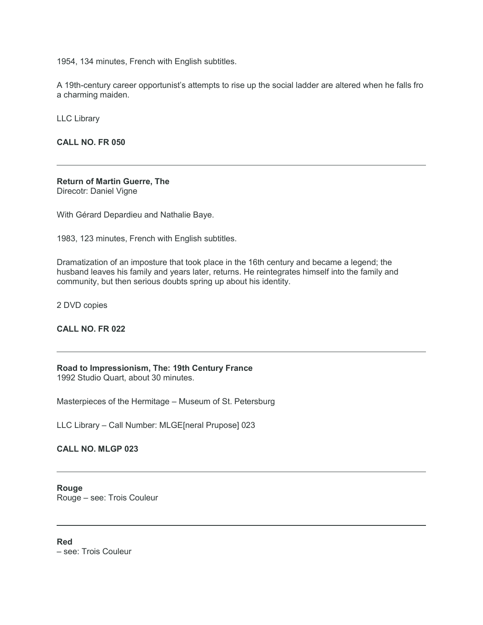1954, 134 minutes, French with English subtitles.

A 19th-century career opportunist's attempts to rise up the social ladder are altered when he falls fro a charming maiden.

LLC Library

**CALL NO. FR 050**

#### **Return of Martin Guerre, The** Direcotr: Daniel Vigne

With Gérard Depardieu and Nathalie Baye.

1983, 123 minutes, French with English subtitles.

Dramatization of an imposture that took place in the 16th century and became a legend; the husband leaves his family and years later, returns. He reintegrates himself into the family and community, but then serious doubts spring up about his identity.

2 DVD copies

## **CALL NO. FR 022**

**Road to Impressionism, The: 19th Century France**

1992 Studio Quart, about 30 minutes.

Masterpieces of the Hermitage – Museum of St. Petersburg

LLC Library – Call Number: MLGE[neral Prupose] 023

**CALL NO. MLGP 023**

**Rouge** Rouge – see: Trois Couleur

**Red** – see: Trois Couleur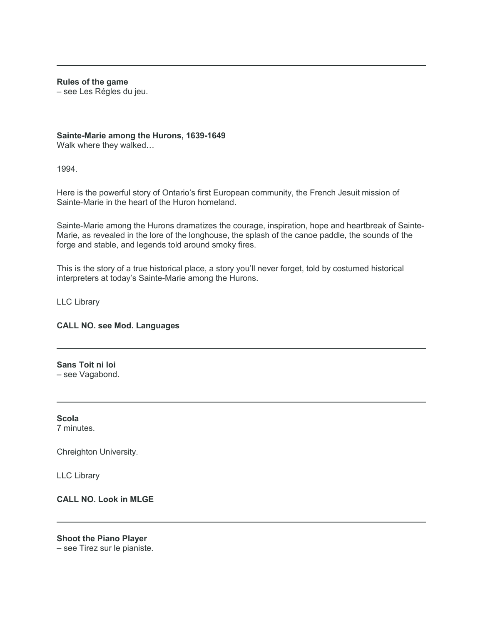#### **Rules of the game**

– see Les Régles du jeu.

## **Sainte-Marie among the Hurons, 1639-1649**

Walk where they walked…

1994.

Here is the powerful story of Ontario's first European community, the French Jesuit mission of Sainte-Marie in the heart of the Huron homeland.

Sainte-Marie among the Hurons dramatizes the courage, inspiration, hope and heartbreak of Sainte-Marie, as revealed in the lore of the longhouse, the splash of the canoe paddle, the sounds of the forge and stable, and legends told around smoky fires.

This is the story of a true historical place, a story you'll never forget, told by costumed historical interpreters at today's Sainte-Marie among the Hurons.

LLC Library

## **CALL NO. see Mod. Languages**

**Sans Toit ni loi** – see Vagabond.

**Scola** 7 minutes.

Chreighton University.

LLC Library

**CALL NO. Look in MLGE**

**Shoot the Piano Player** – see Tirez sur le pianiste.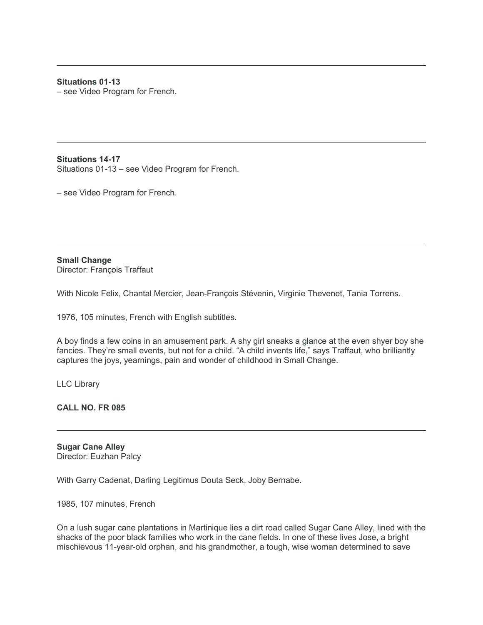## **Situations 01-13**

– see Video Program for French.

**Situations 14-17** Situations 01-13 – see Video Program for French.

– see Video Program for French.

**Small Change** Director: François Traffaut

With Nicole Felix, Chantal Mercier, Jean-François Stévenin, Virginie Thevenet, Tania Torrens.

1976, 105 minutes, French with English subtitles.

A boy finds a few coins in an amusement park. A shy girl sneaks a glance at the even shyer boy she fancies. They're small events, but not for a child. "A child invents life," says Traffaut, who brilliantly captures the joys, yearnings, pain and wonder of childhood in Small Change.

LLC Library

**CALL NO. FR 085**

**Sugar Cane Alley** Director: Euzhan Palcy

With Garry Cadenat, Darling Legitimus Douta Seck, Joby Bernabe.

1985, 107 minutes, French

On a lush sugar cane plantations in Martinique lies a dirt road called Sugar Cane Alley, lined with the shacks of the poor black families who work in the cane fields. In one of these lives Jose, a bright mischievous 11-year-old orphan, and his grandmother, a tough, wise woman determined to save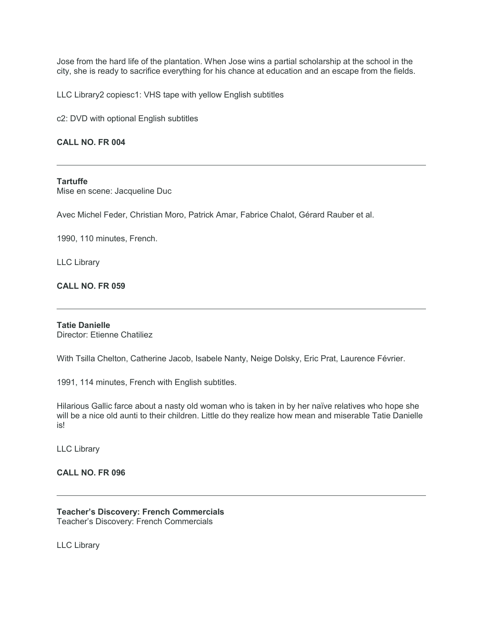Jose from the hard life of the plantation. When Jose wins a partial scholarship at the school in the city, she is ready to sacrifice everything for his chance at education and an escape from the fields.

LLC Library2 copiesc1: VHS tape with yellow English subtitles

c2: DVD with optional English subtitles

## **CALL NO. FR 004**

#### **Tartuffe**

Mise en scene: Jacqueline Duc

Avec Michel Feder, Christian Moro, Patrick Amar, Fabrice Chalot, Gérard Rauber et al.

1990, 110 minutes, French.

LLC Library

## **CALL NO. FR 059**

## **Tatie Danielle**

Director: Etienne Chatiliez

With Tsilla Chelton, Catherine Jacob, Isabele Nanty, Neige Dolsky, Eric Prat, Laurence Février.

1991, 114 minutes, French with English subtitles.

Hilarious Gallic farce about a nasty old woman who is taken in by her naïve relatives who hope she will be a nice old aunti to their children. Little do they realize how mean and miserable Tatie Danielle is!

LLC Library

#### **CALL NO. FR 096**

**Teacher's Discovery: French Commercials** Teacher's Discovery: French Commercials

LLC Library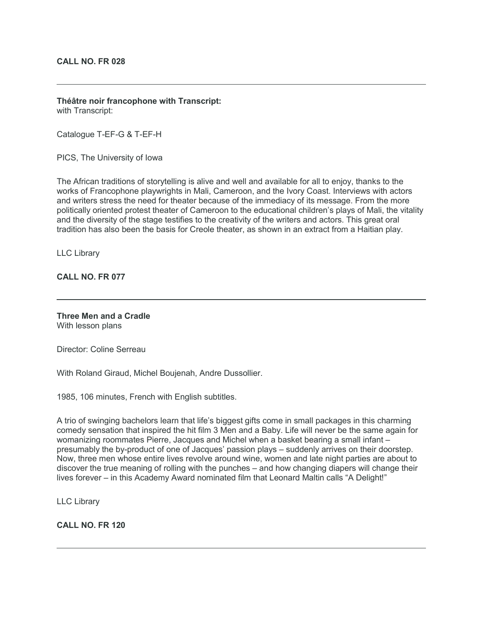**Théâtre noir francophone with Transcript:** with Transcript:

Catalogue T-EF-G & T-EF-H

PICS, The University of Iowa

The African traditions of storytelling is alive and well and available for all to enjoy, thanks to the works of Francophone playwrights in Mali, Cameroon, and the Ivory Coast. Interviews with actors and writers stress the need for theater because of the immediacy of its message. From the more politically oriented protest theater of Cameroon to the educational children's plays of Mali, the vitality and the diversity of the stage testifies to the creativity of the writers and actors. This great oral tradition has also been the basis for Creole theater, as shown in an extract from a Haitian play.

LLC Library

**CALL NO. FR 077**

# **Three Men and a Cradle**

With lesson plans

Director: Coline Serreau

With Roland Giraud, Michel Boujenah, Andre Dussollier.

1985, 106 minutes, French with English subtitles.

A trio of swinging bachelors learn that life's biggest gifts come in small packages in this charming comedy sensation that inspired the hit film 3 Men and a Baby. Life will never be the same again for womanizing roommates Pierre, Jacques and Michel when a basket bearing a small infant – presumably the by-product of one of Jacques' passion plays – suddenly arrives on their doorstep. Now, three men whose entire lives revolve around wine, women and late night parties are about to discover the true meaning of rolling with the punches – and how changing diapers will change their lives forever – in this Academy Award nominated film that Leonard Maltin calls "A Delight!"

LLC Library

**CALL NO. FR 120**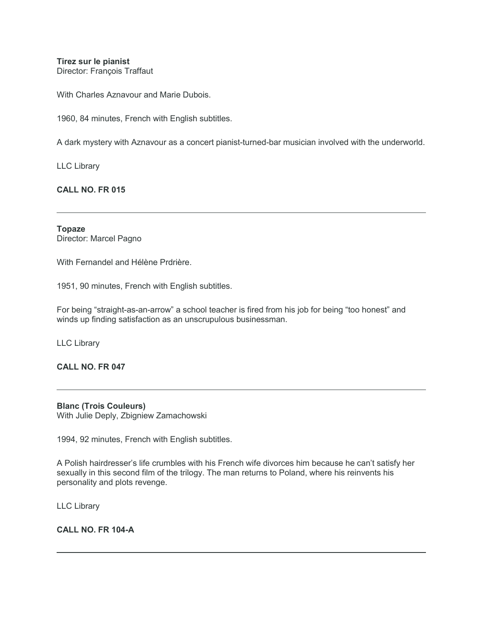**Tirez sur le pianist** Director: François Traffaut

With Charles Aznavour and Marie Dubois.

1960, 84 minutes, French with English subtitles.

A dark mystery with Aznavour as a concert pianist-turned-bar musician involved with the underworld.

LLC Library

**CALL NO. FR 015**

**Topaze** Director: Marcel Pagno

With Fernandel and Hélène Prdrière.

1951, 90 minutes, French with English subtitles.

For being "straight-as-an-arrow" a school teacher is fired from his job for being "too honest" and winds up finding satisfaction as an unscrupulous businessman.

LLC Library

**CALL NO. FR 047**

**Blanc (Trois Couleurs)** With Julie Deply, Zbigniew Zamachowski

1994, 92 minutes, French with English subtitles.

A Polish hairdresser's life crumbles with his French wife divorces him because he can't satisfy her sexually in this second film of the trilogy. The man returns to Poland, where his reinvents his personality and plots revenge.

LLC Library

**CALL NO. FR 104-A**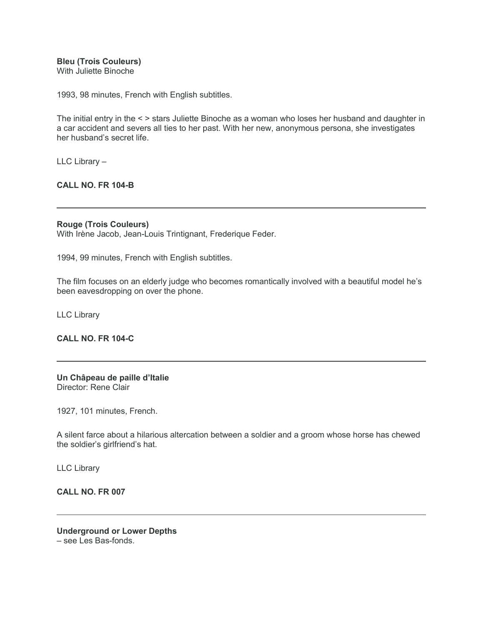**Bleu (Trois Couleurs)**

With Juliette Binoche

1993, 98 minutes, French with English subtitles.

The initial entry in the < > stars Juliette Binoche as a woman who loses her husband and daughter in a car accident and severs all ties to her past. With her new, anonymous persona, she investigates her husband's secret life.

LLC Library –

**CALL NO. FR 104-B**

## **Rouge (Trois Couleurs)**

With Irène Jacob, Jean-Louis Trintignant, Frederique Feder.

1994, 99 minutes, French with English subtitles.

The film focuses on an elderly judge who becomes romantically involved with a beautiful model he's been eavesdropping on over the phone.

LLC Library

## **CALL NO. FR 104-C**

**Un Châpeau de paille d'Italie** Director: Rene Clair

1927, 101 minutes, French.

A silent farce about a hilarious altercation between a soldier and a groom whose horse has chewed the soldier's girlfriend's hat.

LLC Library

## **CALL NO. FR 007**

**Underground or Lower Depths** – see Les Bas-fonds.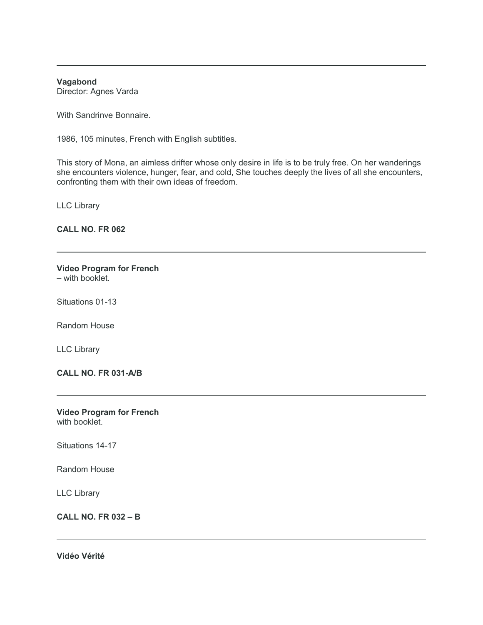**Vagabond**

Director: Agnes Varda

With Sandrinve Bonnaire.

1986, 105 minutes, French with English subtitles.

This story of Mona, an aimless drifter whose only desire in life is to be truly free. On her wanderings she encounters violence, hunger, fear, and cold, She touches deeply the lives of all she encounters, confronting them with their own ideas of freedom.

LLC Library

**CALL NO. FR 062**

## **Video Program for French**

– with booklet.

Situations 01-13

Random House

LLC Library

**CALL NO. FR 031-A/B**

**Video Program for French** with booklet.

Situations 14-17

Random House

LLC Library

**CALL NO. FR 032 – B**

**Vidéo Vérité**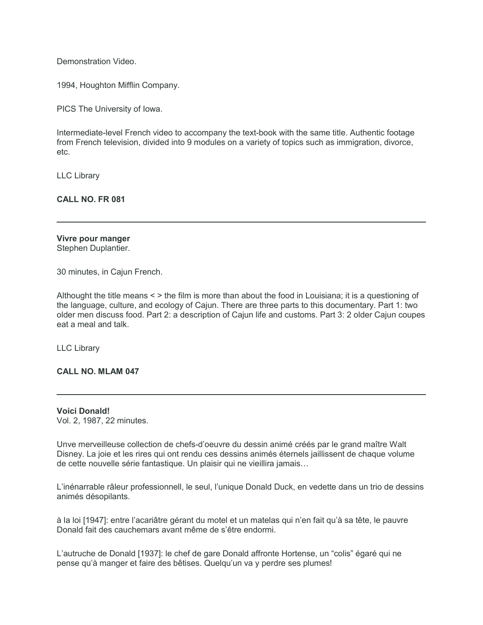Demonstration Video.

1994, Houghton Mifflin Company.

PICS The University of Iowa.

Intermediate-level French video to accompany the text-book with the same title. Authentic footage from French television, divided into 9 modules on a variety of topics such as immigration, divorce, etc.

LLC Library

**CALL NO. FR 081**

# **Vivre pour manger**

Stephen Duplantier.

30 minutes, in Cajun French.

Althought the title means < > the film is more than about the food in Louisiana; it is a questioning of the language, culture, and ecology of Cajun. There are three parts to this documentary. Part 1: two older men discuss food. Part 2: a description of Cajun life and customs. Part 3: 2 older Cajun coupes eat a meal and talk.

LLC Library

**CALL NO. MLAM 047**

**Voici Donald!** Vol. 2, 1987, 22 minutes.

Unve merveilleuse collection de chefs-d'oeuvre du dessin animé créés par le grand maître Walt Disney. La joie et les rires qui ont rendu ces dessins animés éternels jaillissent de chaque volume de cette nouvelle série fantastique. Un plaisir qui ne vieillira jamais…

L'inénarrable râleur professionnell, le seul, l'unique Donald Duck, en vedette dans un trio de dessins animés désopilants.

à la loi [1947]: entre l'acariâtre gérant du motel et un matelas qui n'en fait qu'à sa tête, le pauvre Donald fait des cauchemars avant même de s'être endormi.

L'autruche de Donald [1937]: le chef de gare Donald affronte Hortense, un "colis" égaré qui ne pense qu'à manger et faire des bêtises. Quelqu'un va y perdre ses plumes!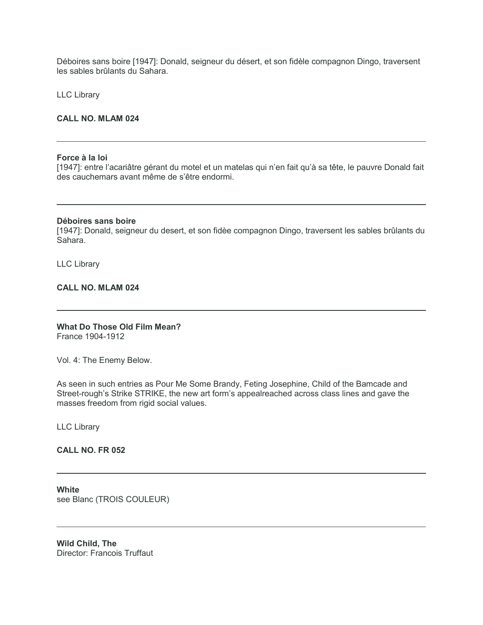Déboires sans boire [1947]: Donald, seigneur du désert, et son fidèle compagnon Dingo, traversent les sables brûlants du Sahara.

LLC Library

#### **CALL NO. MLAM 024**

#### **Force à la loi**

[1947]: entre l'acariâtre gérant du motel et un matelas qui n'en fait qu'à sa tête, le pauvre Donald fait des cauchemars avant même de s'être endormi.

#### **Déboires sans boire**

[1947]: Donald, seigneur du desert, et son fidèe compagnon Dingo, traversent les sables brûlants du Sahara.

LLC Library

**CALL NO. MLAM 024**

#### **What Do Those Old Film Mean?** France 1904-1912

Vol. 4: The Enemy Below.

As seen in such entries as Pour Me Some Brandy, Feting Josephine, Child of the Bamcade and Street-rough's Strike STRIKE, the new art form's appealreached across class lines and gave the masses freedom from rigid social values.

LLC Library

#### **CALL NO. FR 052**

**White** see Blanc (TROIS COULEUR)

**Wild Child, The** Director: Francois Truffaut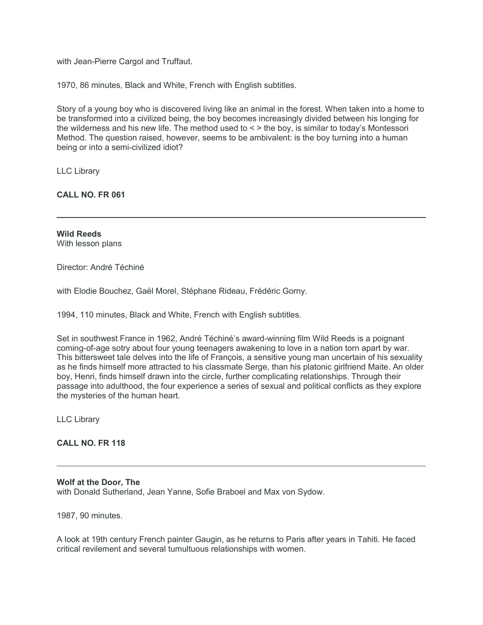with Jean-Pierre Cargol and Truffaut.

1970, 86 minutes, Black and White, French with English subtitles.

Story of a young boy who is discovered living like an animal in the forest. When taken into a home to be transformed into a civilized being, the boy becomes increasingly divided between his longing for the wilderness and his new life. The method used to < > the boy, is similar to today's Montessori Method. The question raised, however, seems to be ambivalent: is the boy turning into a human being or into a semi-civilized idiot?

LLC Library

**CALL NO. FR 061**

**Wild Reeds** With lesson plans

Director: André Téchiné

with Elodie Bouchez, Gaël Morel, Stéphane Rideau, Frédéric Gorny.

1994, 110 minutes, Black and White, French with English subtitles.

Set in southwest France in 1962, André Téchiné's award-winning film Wild Reeds is a poignant coming-of-age sotry about four young teenagers awakening to love in a nation torn apart by war. This bittersweet tale delves into the life of François, a sensitive young man uncertain of his sexuality as he finds himself more attracted to his classmate Serge, than his platonic girlfriend Maite. An older boy, Henri, finds himself drawn into the circle, further complicating relationships. Through their passage into adulthood, the four experience a series of sexual and political conflicts as they explore the mysteries of the human heart.

LLC Library

## **CALL NO. FR 118**

#### **Wolf at the Door, The**

with Donald Sutherland, Jean Yanne, Sofie Braboel and Max von Sydow.

1987, 90 minutes.

A look at 19th century French painter Gaugin, as he returns to Paris after years in Tahiti. He faced critical revilement and several tumultuous relationships with women.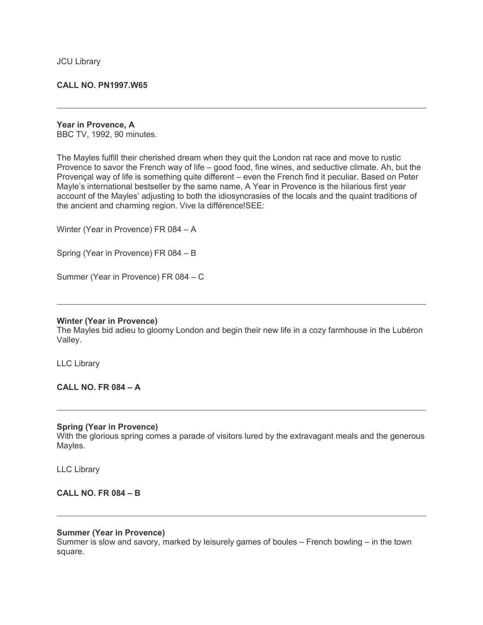#### **CALL NO. PN1997.W65**

## **Year in Provence, A**

BBC TV, 1992, 90 minutes.

The Mayles fulfill their cherished dream when they quit the London rat race and move to rustic Provence to savor the French way of life – good food, fine wines, and seductive climate. Ah, but the Provençal way of life is something quite different – even the French find it peculiar. Based on Peter Mayle's international bestseller by the same name, A Year in Provence is the hilarious first year account of the Mayles' adjusting to both the idiosyncrasies of the locals and the quaint traditions of the ancient and charming region. Vive la différence!SEE:

Winter (Year in Provence) FR 084 – A

Spring (Year in Provence) FR 084 – B

Summer (Year in Provence) FR 084 – C

#### **Winter (Year in Provence)**

The Mayles bid adieu to gloomy London and begin their new life in a cozy farmhouse in the Lubéron Valley.

LLC Library

## **CALL NO. FR 084 – A**

#### **Spring (Year in Provence)**

With the glorious spring comes a parade of visitors lured by the extravagant meals and the generous Mayles.

LLC Library

#### **CALL NO. FR 084 – B**

#### **Summer (Year in Provence)**

Summer is slow and savory, marked by leisurely games of boules – French bowling – in the town square.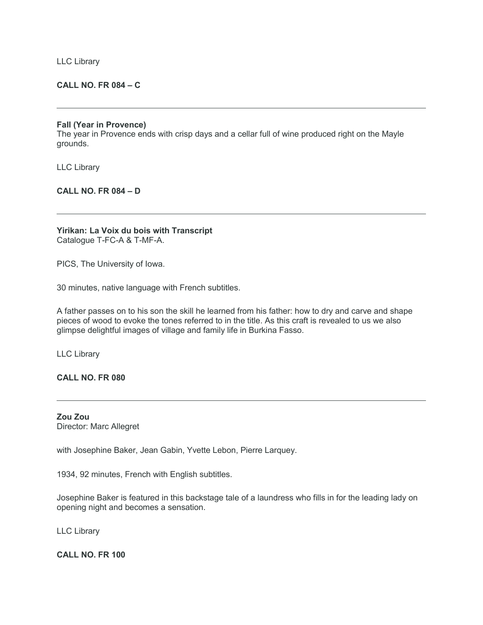LLC Library

#### **CALL NO. FR 084 – C**

#### **Fall (Year in Provence)**

The year in Provence ends with crisp days and a cellar full of wine produced right on the Mayle grounds.

LLC Library

#### **CALL NO. FR 084 – D**

**Yirikan: La Voix du bois with Transcript** Catalogue T-FC-A & T-MF-A.

PICS, The University of Iowa.

30 minutes, native language with French subtitles.

A father passes on to his son the skill he learned from his father: how to dry and carve and shape pieces of wood to evoke the tones referred to in the title. As this craft is revealed to us we also glimpse delightful images of village and family life in Burkina Fasso.

LLC Library

**CALL NO. FR 080**

**Zou Zou** Director: Marc Allegret

with Josephine Baker, Jean Gabin, Yvette Lebon, Pierre Larquey.

1934, 92 minutes, French with English subtitles.

Josephine Baker is featured in this backstage tale of a laundress who fills in for the leading lady on opening night and becomes a sensation.

LLC Library

**CALL NO. FR 100**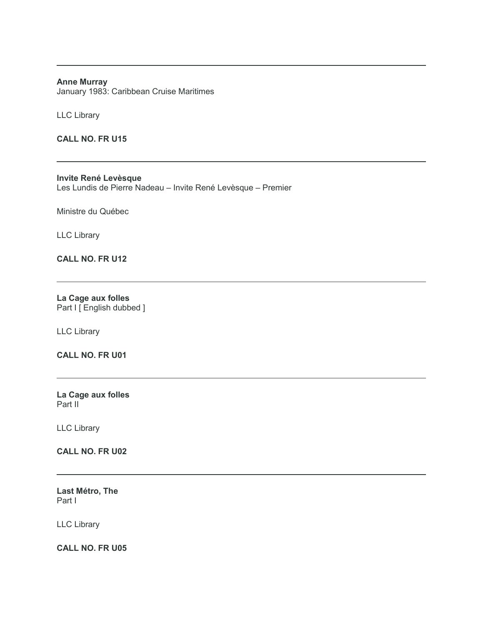#### **Anne Murray** January 1983: Caribbean Cruise Maritimes

LLC Library

**CALL NO. FR U15**

**Invite René Levèsque** Les Lundis de Pierre Nadeau – Invite René Levèsque – Premier

Ministre du Québec

LLC Library

## **CALL NO. FR U12**

**La Cage aux folles** Part I [ English dubbed ]

LLC Library

**CALL NO. FR U01**

**La Cage aux folles** Part II<sup>-</sup>

LLC Library

**CALL NO. FR U02**

**Last Métro, The** Part I

LLC Library

**CALL NO. FR U05**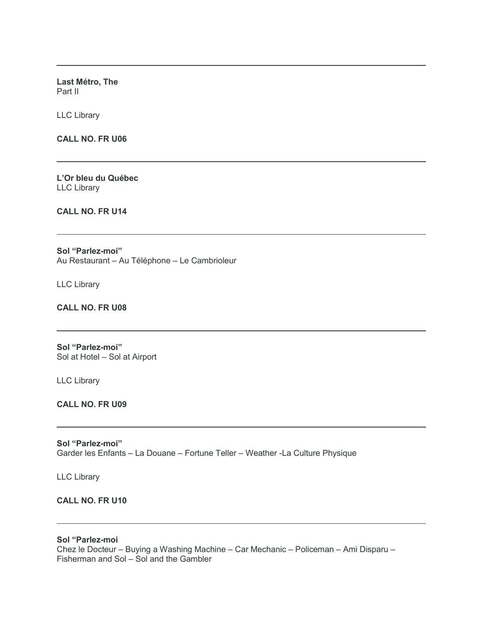**Last Métro, The** Part II

LLC Library

**CALL NO. FR U06**

**L'Or bleu du Québec** LLC Library

**CALL NO. FR U14**

**Sol "Parlez-moi"** Au Restaurant – Au Téléphone – Le Cambrioleur

LLC Library

**CALL NO. FR U08**

**Sol "Parlez-moi"** Sol at Hotel – Sol at Airport

LLC Library

**CALL NO. FR U09**

**Sol "Parlez-moi"** Garder les Enfants – La Douane – Fortune Teller – Weather -La Culture Physique

LLC Library

## **CALL NO. FR U10**

**Sol "Parlez-moi**

Chez le Docteur – Buying a Washing Machine – Car Mechanic – Policeman – Ami Disparu – Fisherman and Sol – Sol and the Gambler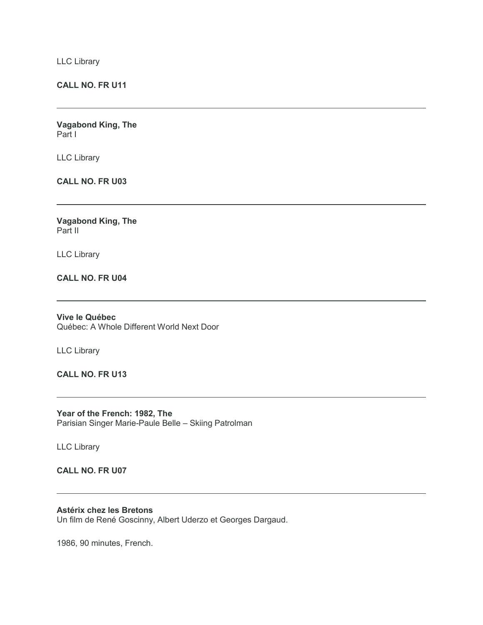LLC Library

## **CALL NO. FR U11**

**Vagabond King, The** Part I

LLC Library

**CALL NO. FR U03**

**Vagabond King, The** Part II

LLC Library

**CALL NO. FR U04**

**Vive le Québec** Québec: A Whole Different World Next Door

LLC Library

**CALL NO. FR U13**

**Year of the French: 1982, The** Parisian Singer Marie-Paule Belle – Skiing Patrolman

LLC Library

## **CALL NO. FR U07**

**Astérix chez les Bretons**

Un film de René Goscinny, Albert Uderzo et Georges Dargaud.

1986, 90 minutes, French.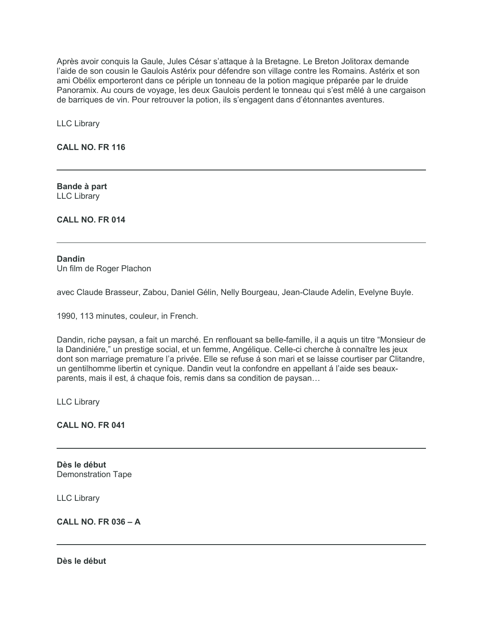Après avoir conquis la Gaule, Jules César s'attaque à la Bretagne. Le Breton Jolitorax demande l'aide de son cousin le Gaulois Astérix pour défendre son village contre les Romains. Astérix et son ami Obélix emporteront dans ce périple un tonneau de la potion magique préparée par le druide Panoramix. Au cours de voyage, les deux Gaulois perdent le tonneau qui s'est mêlé à une cargaison de barriques de vin. Pour retrouver la potion, ils s'engagent dans d'étonnantes aventures.

LLC Library

**CALL NO. FR 116**

**Bande à part** LLC Library

**CALL NO. FR 014**

#### **Dandin** Un film de Roger Plachon

avec Claude Brasseur, Zabou, Daniel Gélin, Nelly Bourgeau, Jean-Claude Adelin, Evelyne Buyle.

1990, 113 minutes, couleur, in French.

Dandin, riche paysan, a fait un marché. En renflouant sa belle-famille, il a aquis un titre "Monsieur de la Dandiniére," un prestige social, et un femme, Angélique. Celle-ci cherche à connaître les jeux dont son marriage premature l'a privée. Elle se refuse á son mari et se laisse courtiser par Clitandre, un gentilhomme libertin et cynique. Dandin veut la confondre en appellant á l'aide ses beauxparents, mais il est, á chaque fois, remis dans sa condition de paysan…

LLC Library

**CALL NO. FR 041**

**Dès le début** Demonstration Tape

LLC Library

**CALL NO. FR 036 – A**

**Dès le début**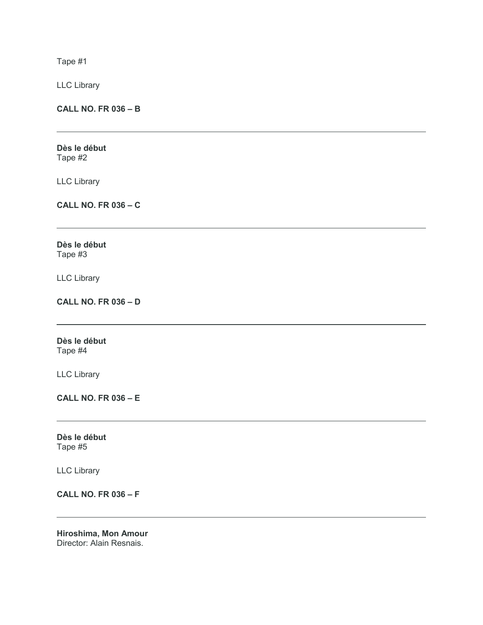Tape #1

LLC Library

**CALL NO. FR 036 – B**

**Dès le début** Tape #2

LLC Library

**CALL NO. FR 036 – C**

**Dès le début** Tape #3

LLC Library

**CALL NO. FR 036 – D**

**Dès le début** Tape #4

LLC Library

**CALL NO. FR 036 – E**

**Dès le début** Tape #5

LLC Library

**CALL NO. FR 036 – F**

**Hiroshima, Mon Amour** Director: Alain Resnais.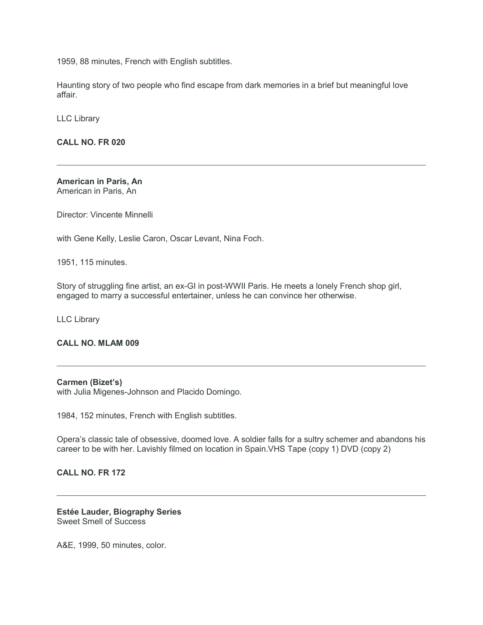1959, 88 minutes, French with English subtitles.

Haunting story of two people who find escape from dark memories in a brief but meaningful love affair.

LLC Library

**CALL NO. FR 020**

**American in Paris, An** American in Paris, An

Director: Vincente Minnelli

with Gene Kelly, Leslie Caron, Oscar Levant, Nina Foch.

1951, 115 minutes.

Story of struggling fine artist, an ex-GI in post-WWII Paris. He meets a lonely French shop girl, engaged to marry a successful entertainer, unless he can convince her otherwise.

LLC Library

## **CALL NO. MLAM 009**

#### **Carmen (Bizet's)**

with Julia Migenes-Johnson and Placido Domingo.

1984, 152 minutes, French with English subtitles.

Opera's classic tale of obsessive, doomed love. A soldier falls for a sultry schemer and abandons his career to be with her. Lavishly filmed on location in Spain.VHS Tape (copy 1) DVD (copy 2)

## **CALL NO. FR 172**

**Estée Lauder, Biography Series** Sweet Smell of Success

A&E, 1999, 50 minutes, color.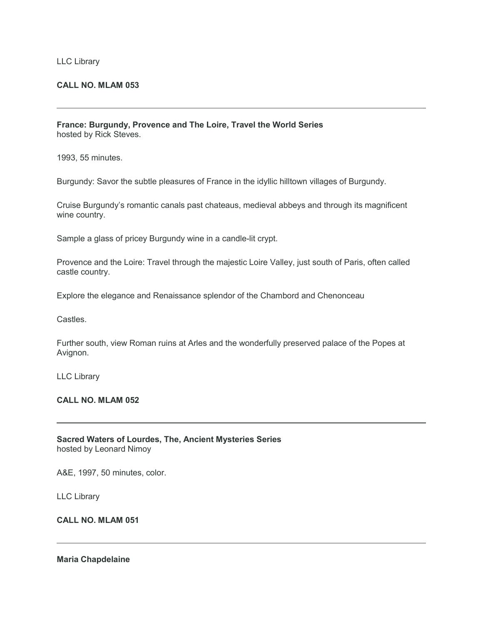#### LLC Library

#### **CALL NO. MLAM 053**

**France: Burgundy, Provence and The Loire, Travel the World Series** hosted by Rick Steves.

1993, 55 minutes.

Burgundy: Savor the subtle pleasures of France in the idyllic hilltown villages of Burgundy.

Cruise Burgundy's romantic canals past chateaus, medieval abbeys and through its magnificent wine country.

Sample a glass of pricey Burgundy wine in a candle-lit crypt.

Provence and the Loire: Travel through the majestic Loire Valley, just south of Paris, often called castle country.

Explore the elegance and Renaissance splendor of the Chambord and Chenonceau

**Castles** 

Further south, view Roman ruins at Arles and the wonderfully preserved palace of the Popes at Avignon.

LLC Library

## **CALL NO. MLAM 052**

|                         | <b>Sacred Waters of Lourdes, The, Ancient Mysteries Series</b> |
|-------------------------|----------------------------------------------------------------|
| hosted by Leonard Nimoy |                                                                |

A&E, 1997, 50 minutes, color.

LLC Library

## **CALL NO. MLAM 051**

#### **Maria Chapdelaine**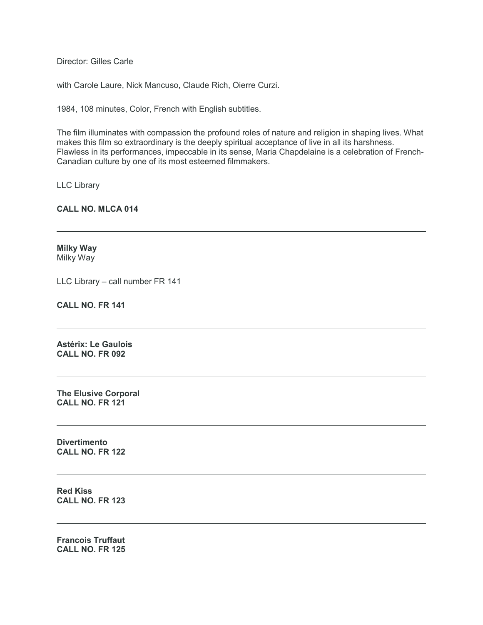Director: Gilles Carle

with Carole Laure, Nick Mancuso, Claude Rich, Oierre Curzi.

1984, 108 minutes, Color, French with English subtitles.

The film illuminates with compassion the profound roles of nature and religion in shaping lives. What makes this film so extraordinary is the deeply spiritual acceptance of live in all its harshness. Flawless in its performances, impeccable in its sense, Maria Chapdelaine is a celebration of French-Canadian culture by one of its most esteemed filmmakers.

LLC Library

**CALL NO. MLCA 014**

**Milky Way** Milky Way

LLC Library – call number FR 141

**CALL NO. FR 141**

**Astérix: Le Gaulois CALL NO. FR 092**

**The Elusive Corporal CALL NO. FR 121**

**Divertimento CALL NO. FR 122**

**Red Kiss CALL NO. FR 123**

**Francois Truffaut CALL NO. FR 125**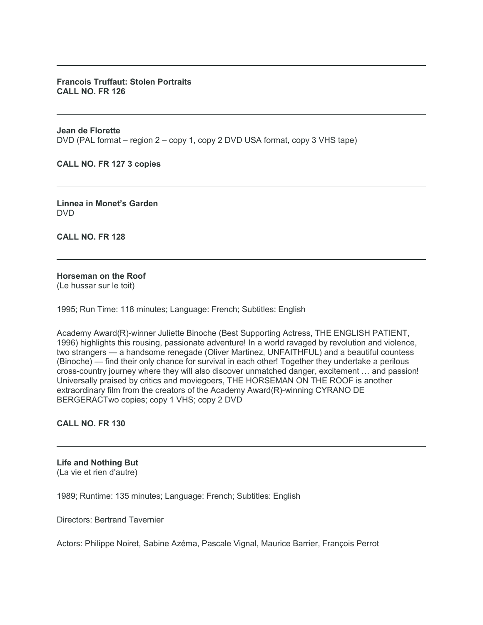#### **Francois Truffaut: Stolen Portraits CALL NO. FR 126**

**Jean de Florette** DVD (PAL format – region 2 – copy 1, copy 2 DVD USA format, copy 3 VHS tape)

**CALL NO. FR 127 3 copies**

**Linnea in Monet's Garden** DVD

**CALL NO. FR 128**

# **Horseman on the Roof**

(Le hussar sur le toit)

1995; Run Time: 118 minutes; Language: French; Subtitles: English

Academy Award(R)-winner Juliette Binoche (Best Supporting Actress, THE ENGLISH PATIENT, 1996) highlights this rousing, passionate adventure! In a world ravaged by revolution and violence, two strangers — a handsome renegade (Oliver Martinez, UNFAITHFUL) and a beautiful countess (Binoche) — find their only chance for survival in each other! Together they undertake a perilous cross-country journey where they will also discover unmatched danger, excitement … and passion! Universally praised by critics and moviegoers, THE HORSEMAN ON THE ROOF is another extraordinary film from the creators of the Academy Award(R)-winning CYRANO DE BERGERACTwo copies; copy 1 VHS; copy 2 DVD

**CALL NO. FR 130**

**Life and Nothing But** (La vie et rien d'autre)

1989; Runtime: 135 minutes; Language: French; Subtitles: English

Directors: Bertrand Tavernier

Actors: Philippe Noiret, Sabine Azéma, Pascale Vignal, Maurice Barrier, François Perrot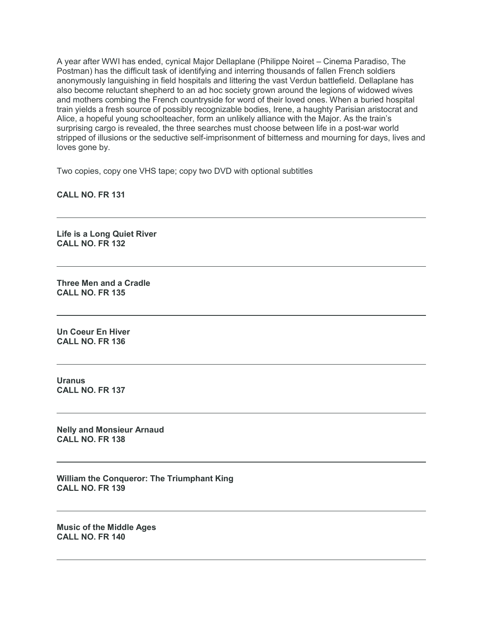A year after WWI has ended, cynical Major Dellaplane (Philippe Noiret – Cinema Paradiso, The Postman) has the difficult task of identifying and interring thousands of fallen French soldiers anonymously languishing in field hospitals and littering the vast Verdun battlefield. Dellaplane has also become reluctant shepherd to an ad hoc society grown around the legions of widowed wives and mothers combing the French countryside for word of their loved ones. When a buried hospital train yields a fresh source of possibly recognizable bodies, Irene, a haughty Parisian aristocrat and Alice, a hopeful young schoolteacher, form an unlikely alliance with the Major. As the train's surprising cargo is revealed, the three searches must choose between life in a post-war world stripped of illusions or the seductive self-imprisonment of bitterness and mourning for days, lives and loves gone by.

Two copies, copy one VHS tape; copy two DVD with optional subtitles

**CALL NO. FR 131**

**Life is a Long Quiet River CALL NO. FR 132**

**Three Men and a Cradle CALL NO. FR 135**

**Un Coeur En Hiver CALL NO. FR 136**

**Uranus CALL NO. FR 137**

**Nelly and Monsieur Arnaud CALL NO. FR 138**

**William the Conqueror: The Triumphant King CALL NO. FR 139**

**Music of the Middle Ages CALL NO. FR 140**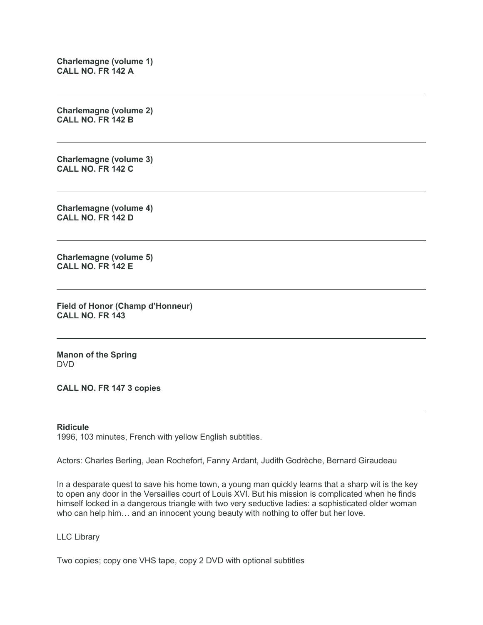**Charlemagne (volume 1) CALL NO. FR 142 A**

**Charlemagne (volume 2) CALL NO. FR 142 B**

**Charlemagne (volume 3) CALL NO. FR 142 C**

**Charlemagne (volume 4) CALL NO. FR 142 D**

**Charlemagne (volume 5) CALL NO. FR 142 E**

**Field of Honor (Champ d'Honneur) CALL NO. FR 143**

**Manon of the Spring** DVD

**CALL NO. FR 147 3 copies**

#### **Ridicule**

1996, 103 minutes, French with yellow English subtitles.

Actors: Charles Berling, Jean Rochefort, Fanny Ardant, Judith Godrèche, Bernard Giraudeau

In a desparate quest to save his home town, a young man quickly learns that a sharp wit is the key to open any door in the Versailles court of Louis XVI. But his mission is complicated when he finds himself locked in a dangerous triangle with two very seductive ladies: a sophisticated older woman who can help him… and an innocent young beauty with nothing to offer but her love.

LLC Library

Two copies; copy one VHS tape, copy 2 DVD with optional subtitles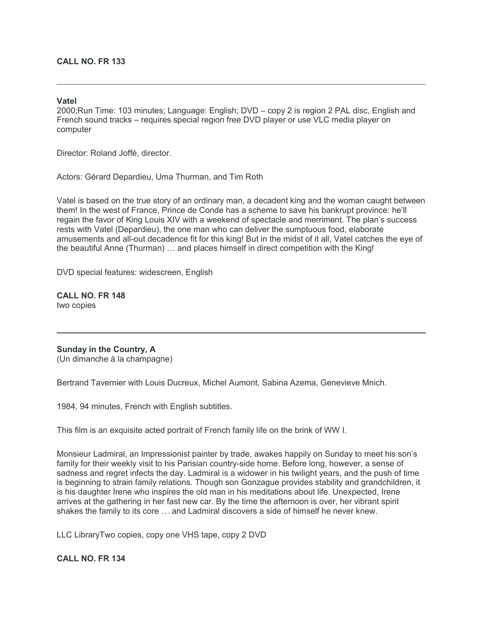#### **CALL NO. FR 133**

#### **Vatel**

2000;Run Time: 103 minutes; Language: English; DVD – copy 2 is region 2 PAL disc, English and French sound tracks – requires special region free DVD player or use VLC media player on computer

Director: Roland Joffé, director.

Actors: Gérard Depardieu, Uma Thurman, and Tim Roth

Vatel is based on the true story of an ordinary man, a decadent king and the woman caught between them! In the west of France, Prince de Conde has a scheme to save his bankrupt province: he'll regain the favor of King Louis XIV with a weekend of spectacle and merriment. The plan's success rests with Vatel (Depardieu), the one man who can deliver the sumptuous food, elaborate amusements and all-out decadence fit for this king! But in the midst of it all, Vatel catches the eye of the beautiful Anne (Thurman) … and places himself in direct competition with the King!

DVD special features: widescreen, English

**CALL NO. FR 148** two copies

**Sunday in the Country, A** (Un dimanche à la champagne)

Bertrand Tavernier with Louis Ducreux, Michel Aumont, Sabina Azema, Genevieve Mnich.

1984, 94 minutes, French with English subtitles.

This film is an exquisite acted portrait of French family life on the brink of WW I.

Monsieur Ladmiral, an Impressionist painter by trade, awakes happily on Sunday to meet his son's family for their weekly visit to his Parisian country-side home. Before long, however, a sense of sadness and regret infects the day. Ladmiral is a widower in his twilight years, and the push of time is beginning to strain family relations. Though son Gonzague provides stability and grandchildren, it is his daughter Irene who inspires the old man in his meditations about life. Unexpected, Irene arrives at the gathering in her fast new car. By the time the afternoon is over, her vibrant spirit shakes the family to its core … and Ladmiral discovers a side of himself he never knew.

LLC LibraryTwo copies, copy one VHS tape, copy 2 DVD

#### **CALL NO. FR 134**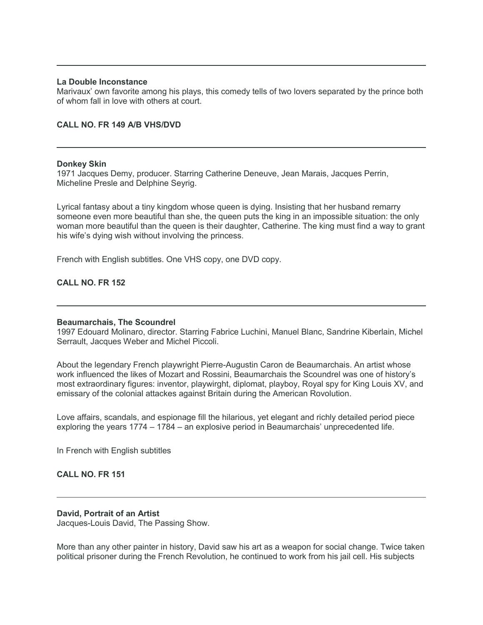#### **La Double Inconstance**

Marivaux' own favorite among his plays, this comedy tells of two lovers separated by the prince both of whom fall in love with others at court.

#### **CALL NO. FR 149 A/B VHS/DVD**

#### **Donkey Skin**

1971 Jacques Demy, producer. Starring Catherine Deneuve, Jean Marais, Jacques Perrin, Micheline Presle and Delphine Seyrig.

Lyrical fantasy about a tiny kingdom whose queen is dying. Insisting that her husband remarry someone even more beautiful than she, the queen puts the king in an impossible situation: the only woman more beautiful than the queen is their daughter, Catherine. The king must find a way to grant his wife's dying wish without involving the princess.

French with English subtitles. One VHS copy, one DVD copy.

#### **CALL NO. FR 152**

#### **Beaumarchais, The Scoundrel**

1997 Edouard Molinaro, director. Starring Fabrice Luchini, Manuel Blanc, Sandrine Kiberlain, Michel Serrault, Jacques Weber and Michel Piccoli.

About the legendary French playwright Pierre-Augustin Caron de Beaumarchais. An artist whose work influenced the likes of Mozart and Rossini, Beaumarchais the Scoundrel was one of history's most extraordinary figures: inventor, playwirght, diplomat, playboy, Royal spy for King Louis XV, and emissary of the colonial attackes against Britain during the American Rovolution.

Love affairs, scandals, and espionage fill the hilarious, yet elegant and richly detailed period piece exploring the years 1774 – 1784 – an explosive period in Beaumarchais' unprecedented life.

In French with English subtitles

## **CALL NO. FR 151**

#### **David, Portrait of an Artist**

Jacques-Louis David, The Passing Show.

More than any other painter in history, David saw his art as a weapon for social change. Twice taken political prisoner during the French Revolution, he continued to work from his jail cell. His subjects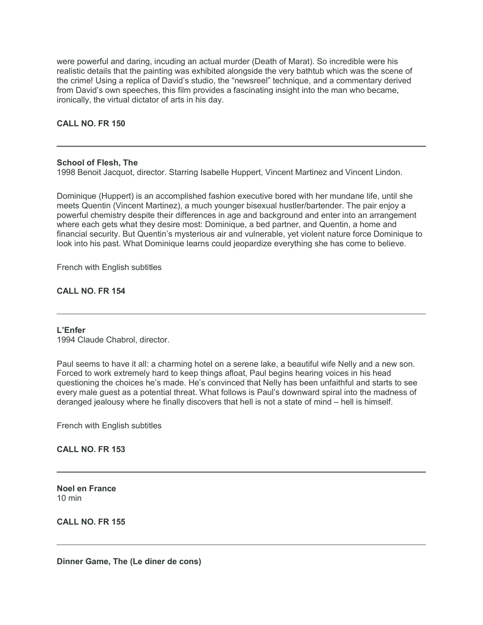were powerful and daring, incuding an actual murder (Death of Marat). So incredible were his realistic details that the painting was exhibited alongside the very bathtub which was the scene of the crime! Using a replica of David's studio, the "newsreel" technique, and a commentary derived from David's own speeches, this film provides a fascinating insight into the man who became, ironically, the virtual dictator of arts in his day.

## **CALL NO. FR 150**

#### **School of Flesh, The**

1998 Benoit Jacquot, director. Starring Isabelle Huppert, Vincent Martinez and Vincent Lindon.

Dominique (Huppert) is an accomplished fashion executive bored with her mundane life, until she meets Quentin (Vincent Martinez), a much younger bisexual hustler/bartender. The pair enjoy a powerful chemistry despite their differences in age and background and enter into an arrangement where each gets what they desire most: Dominique, a bed partner, and Quentin, a home and financial security. But Quentin's mysterious air and vulnerable, yet violent nature force Dominique to look into his past. What Dominique learns could jeopardize everything she has come to believe.

French with English subtitles

## **CALL NO. FR 154**

#### **L'Enfer**

1994 Claude Chabrol, director.

Paul seems to have it all: a charming hotel on a serene lake, a beautiful wife Nelly and a new son. Forced to work extremely hard to keep things afloat, Paul begins hearing voices in his head questioning the choices he's made. He's convinced that Nelly has been unfaithful and starts to see every male guest as a potential threat. What follows is Paul's downward spiral into the madness of deranged jealousy where he finally discovers that hell is not a state of mind – hell is himself.

French with English subtitles

## **CALL NO. FR 153**

**Noel en France** 10 min

**CALL NO. FR 155**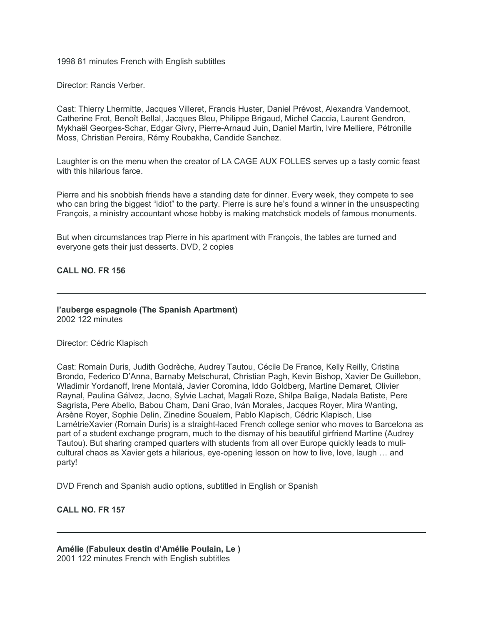1998 81 minutes French with English subtitles

Director: Rancis Verber.

Cast: Thierry Lhermitte, Jacques Villeret, Francis Huster, Daniel Prévost, Alexandra Vandernoot, Catherine Frot, Benoît Bellal, Jacques Bleu, Philippe Brigaud, Michel Caccia, Laurent Gendron, Mykhaël Georges-Schar, Edgar Givry, Pierre-Arnaud Juin, Daniel Martin, lvire Melliere, Pétronille Moss, Christian Pereira, Rémy Roubakha, Candide Sanchez.

Laughter is on the menu when the creator of LA CAGE AUX FOLLES serves up a tasty comic feast with this hilarious farce.

Pierre and his snobbish friends have a standing date for dinner. Every week, they compete to see who can bring the biggest "idiot" to the party. Pierre is sure he's found a winner in the unsuspecting François, a ministry accountant whose hobby is making matchstick models of famous monuments.

But when circumstances trap Pierre in his apartment with François, the tables are turned and everyone gets their just desserts. DVD, 2 copies

#### **CALL NO. FR 156**

#### **l'auberge espagnole (The Spanish Apartment)** 2002 122 minutes

Director: Cédric Klapisch

Cast: Romain Duris, Judith Godrèche, Audrey Tautou, Cécile De France, Kelly Reilly, Cristina Brondo, Federico D'Anna, Barnaby Metschurat, Christian Pagh, Kevin Bishop, Xavier De Guillebon, Wladimir Yordanoff, Irene Montalà, Javier Coromina, Iddo Goldberg, Martine Demaret, Olivier Raynal, Paulina Gálvez, Jacno, Sylvie Lachat, Magali Roze, Shilpa Baliga, Nadala Batiste, Pere Sagrista, Pere Abello, Babou Cham, Dani Grao, Iván Morales, Jacques Royer, Mira Wanting, Arsène Royer, Sophie Delin, Zinedine Soualem, Pablo Klapisch, Cédric Klapisch, Lise LamétrieXavier (Romain Duris) is a straight-laced French college senior who moves to Barcelona as part of a student exchange program, much to the dismay of his beautiful girfriend Martine (Audrey Tautou). But sharing cramped quarters with students from all over Europe quickly leads to mulicultural chaos as Xavier gets a hilarious, eye-opening lesson on how to live, love, laugh … and party!

DVD French and Spanish audio options, subtitled in English or Spanish

## **CALL NO. FR 157**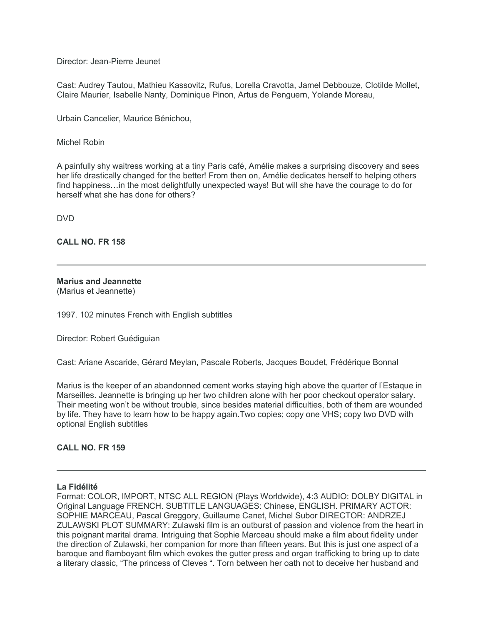Director: Jean-Pierre Jeunet

Cast: Audrey Tautou, Mathieu Kassovitz, Rufus, Lorella Cravotta, Jamel Debbouze, Clotilde Mollet, Claire Maurier, Isabelle Nanty, Dominique Pinon, Artus de Penguern, Yolande Moreau,

Urbain Cancelier, Maurice Bénichou,

Michel Robin

A painfully shy waitress working at a tiny Paris café, Amélie makes a surprising discovery and sees her life drastically changed for the better! From then on, Amélie dedicates herself to helping others find happiness…in the most delightfully unexpected ways! But will she have the courage to do for herself what she has done for others?

DVD

**CALL NO. FR 158**

**Marius and Jeannette**

(Marius et Jeannette)

1997. 102 minutes French with English subtitles

Director: Robert Guédiguian

Cast: Ariane Ascaride, Gérard Meylan, Pascale Roberts, Jacques Boudet, Frédérique Bonnal

Marius is the keeper of an abandonned cement works staying high above the quarter of l'Estaque in Marseilles. Jeannette is bringing up her two children alone with her poor checkout operator salary. Their meeting won't be without trouble, since besides material difficulties, both of them are wounded by life. They have to learn how to be happy again.Two copies; copy one VHS; copy two DVD with optional English subtitles

## **CALL NO. FR 159**

#### **La Fidélité**

Format: COLOR, IMPORT, NTSC ALL REGION (Plays Worldwide), 4:3 AUDIO: DOLBY DIGITAL in Original Language FRENCH. SUBTITLE LANGUAGES: Chinese, ENGLISH. PRIMARY ACTOR: SOPHIE MARCEAU, Pascal Greggory, Guillaume Canet, Michel Subor DIRECTOR: ANDRZEJ ZULAWSKI PLOT SUMMARY: Zulawski film is an outburst of passion and violence from the heart in this poignant marital drama. Intriguing that Sophie Marceau should make a film about fidelity under the direction of Zulawski, her companion for more than fifteen years. But this is just one aspect of a baroque and flamboyant film which evokes the gutter press and organ trafficking to bring up to date a literary classic, "The princess of Cleves ". Torn between her oath not to deceive her husband and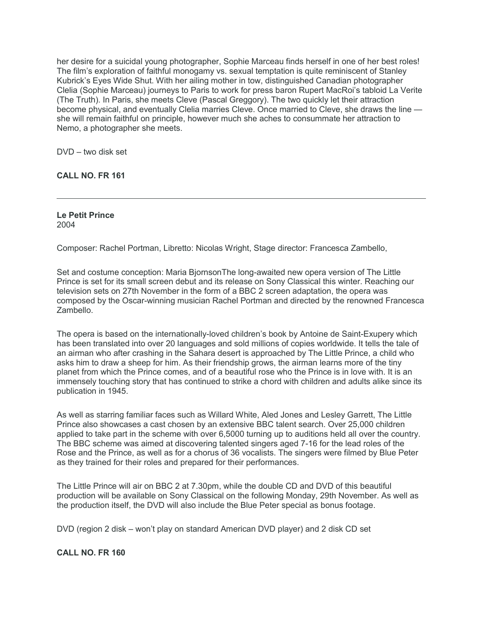her desire for a suicidal young photographer, Sophie Marceau finds herself in one of her best roles! The film's exploration of faithful monogamy vs. sexual temptation is quite reminiscent of Stanley Kubrick's Eyes Wide Shut. With her ailing mother in tow, distinguished Canadian photographer Clelia (Sophie Marceau) journeys to Paris to work for press baron Rupert MacRoi's tabloid La Verite (The Truth). In Paris, she meets Cleve (Pascal Greggory). The two quickly let their attraction become physical, and eventually Clelia marries Cleve. Once married to Cleve, she draws the line she will remain faithful on principle, however much she aches to consummate her attraction to Nemo, a photographer she meets.

DVD – two disk set

**CALL NO. FR 161**

**Le Petit Prince** 2004

Composer: Rachel Portman, Libretto: Nicolas Wright, Stage director: Francesca Zambello,

Set and costume conception: Maria BjornsonThe long-awaited new opera version of The Little Prince is set for its small screen debut and its release on Sony Classical this winter. Reaching our television sets on 27th November in the form of a BBC 2 screen adaptation, the opera was composed by the Oscar-winning musician Rachel Portman and directed by the renowned Francesca Zambello.

The opera is based on the internationally-loved children's book by Antoine de Saint-Exupery which has been translated into over 20 languages and sold millions of copies worldwide. It tells the tale of an airman who after crashing in the Sahara desert is approached by The Little Prince, a child who asks him to draw a sheep for him. As their friendship grows, the airman learns more of the tiny planet from which the Prince comes, and of a beautiful rose who the Prince is in love with. It is an immensely touching story that has continued to strike a chord with children and adults alike since its publication in 1945.

As well as starring familiar faces such as Willard White, Aled Jones and Lesley Garrett, The Little Prince also showcases a cast chosen by an extensive BBC talent search. Over 25,000 children applied to take part in the scheme with over 6,5000 turning up to auditions held all over the country. The BBC scheme was aimed at discovering talented singers aged 7-16 for the lead roles of the Rose and the Prince, as well as for a chorus of 36 vocalists. The singers were filmed by Blue Peter as they trained for their roles and prepared for their performances.

The Little Prince will air on BBC 2 at 7.30pm, while the double CD and DVD of this beautiful production will be available on Sony Classical on the following Monday, 29th November. As well as the production itself, the DVD will also include the Blue Peter special as bonus footage.

DVD (region 2 disk – won't play on standard American DVD player) and 2 disk CD set

## **CALL NO. FR 160**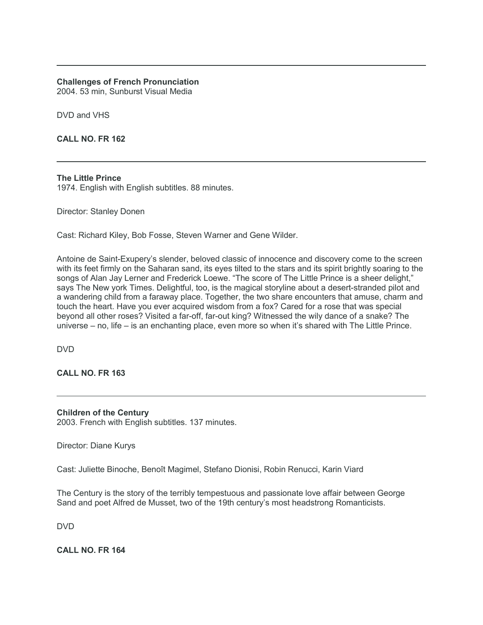# **Challenges of French Pronunciation**

2004. 53 min, Sunburst Visual Media

DVD and VHS

**CALL NO. FR 162**

## **The Little Prince**

1974. English with English subtitles. 88 minutes.

Director: Stanley Donen

Cast: Richard Kiley, Bob Fosse, Steven Warner and Gene Wilder.

Antoine de Saint-Exupery's slender, beloved classic of innocence and discovery come to the screen with its feet firmly on the Saharan sand, its eyes tilted to the stars and its spirit brightly soaring to the songs of Alan Jay Lerner and Frederick Loewe. "The score of The Little Prince is a sheer delight," says The New york Times. Delightful, too, is the magical storyline about a desert-stranded pilot and a wandering child from a faraway place. Together, the two share encounters that amuse, charm and touch the heart. Have you ever acquired wisdom from a fox? Cared for a rose that was special beyond all other roses? Visited a far-off, far-out king? Witnessed the wily dance of a snake? The universe – no, life – is an enchanting place, even more so when it's shared with The Little Prince.

DVD

**CALL NO. FR 163**

**Children of the Century** 2003. French with English subtitles. 137 minutes.

Director: Diane Kurys

Cast: Juliette Binoche, Benoît Magimel, Stefano Dionisi, Robin Renucci, Karin Viard

The Century is the story of the terribly tempestuous and passionate love affair between George Sand and poet Alfred de Musset, two of the 19th century's most headstrong Romanticists.

DVD

**CALL NO. FR 164**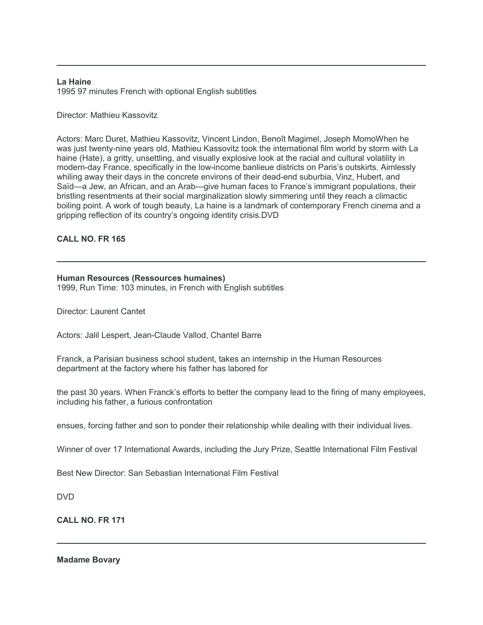#### **La Haine**

1995 97 minutes French with optional English subtitles

## Director: Mathieu Kassovitz

Actors: Marc Duret, Mathieu Kassovitz, Vincent Lindon, Benoît Magimel, Joseph MomoWhen he was just twenty-nine years old, Mathieu Kassovitz took the international film world by storm with La haine (Hate), a gritty, unsettling, and visually explosive look at the racial and cultural volatility in modern-day France, specifically in the low-income banlieue districts on Paris's outskirts. Aimlessly whiling away their days in the concrete environs of their dead-end suburbia, Vinz, Hubert, and Saïd—a Jew, an African, and an Arab—give human faces to France's immigrant populations, their bristling resentments at their social marginalization slowly simmering until they reach a climactic boiling point. A work of tough beauty, La haine is a landmark of contemporary French cinema and a gripping reflection of its country's ongoing identity crisis.DVD

## **CALL NO. FR 165**

#### **Human Resources (Ressources humaines)**

1999, Run Time: 103 minutes, in French with English subtitles

Director: Laurent Cantet

Actors: Jalil Lespert, Jean-Claude Vallod, Chantel Barre

Franck, a Parisian business school student, takes an internship in the Human Resources department at the factory where his father has labored for

the past 30 years. When Franck's efforts to better the company lead to the firing of many employees, including his father, a furious confrontation

ensues, forcing father and son to ponder their relationship while dealing with their individual lives.

Winner of over 17 International Awards, including the Jury Prize, Seattle International Film Festival

Best New Director: San Sebastian International Film Festival

DVD

**CALL NO. FR 171**

**Madame Bovary**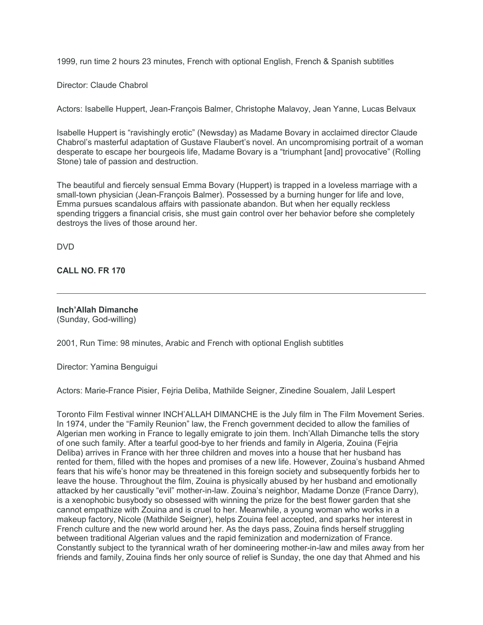1999, run time 2 hours 23 minutes, French with optional English, French & Spanish subtitles

Director: Claude Chabrol

Actors: Isabelle Huppert, Jean-François Balmer, Christophe Malavoy, Jean Yanne, Lucas Belvaux

Isabelle Huppert is "ravishingly erotic" (Newsday) as Madame Bovary in acclaimed director Claude Chabrol's masterful adaptation of Gustave Flaubert's novel. An uncompromising portrait of a woman desperate to escape her bourgeois life, Madame Bovary is a "triumphant [and] provocative" (Rolling Stone) tale of passion and destruction.

The beautiful and fiercely sensual Emma Bovary (Huppert) is trapped in a loveless marriage with a small-town physician (Jean-François Balmer). Possessed by a burning hunger for life and love, Emma pursues scandalous affairs with passionate abandon. But when her equally reckless spending triggers a financial crisis, she must gain control over her behavior before she completely destroys the lives of those around her.

DVD

**CALL NO. FR 170**

**Inch'Allah Dimanche** (Sunday, God-willing)

2001, Run Time: 98 minutes, Arabic and French with optional English subtitles

Director: Yamina Benguigui

Actors: Marie-France Pisier, Fejria Deliba, Mathilde Seigner, Zinedine Soualem, Jalil Lespert

Toronto Film Festival winner INCH'ALLAH DIMANCHE is the July film in The Film Movement Series. In 1974, under the "Family Reunion" law, the French government decided to allow the families of Algerian men working in France to legally emigrate to join them. Inch'Allah Dimanche tells the story of one such family. After a tearful good-bye to her friends and family in Algeria, Zouina (Fejria Deliba) arrives in France with her three children and moves into a house that her husband has rented for them, filled with the hopes and promises of a new life. However, Zouina's husband Ahmed fears that his wife's honor may be threatened in this foreign society and subsequently forbids her to leave the house. Throughout the film, Zouina is physically abused by her husband and emotionally attacked by her caustically "evil" mother-in-law. Zouina's neighbor, Madame Donze (France Darry), is a xenophobic busybody so obsessed with winning the prize for the best flower garden that she cannot empathize with Zouina and is cruel to her. Meanwhile, a young woman who works in a makeup factory, Nicole (Mathilde Seigner), helps Zouina feel accepted, and sparks her interest in French culture and the new world around her. As the days pass, Zouina finds herself struggling between traditional Algerian values and the rapid feminization and modernization of France. Constantly subject to the tyrannical wrath of her domineering mother-in-law and miles away from her friends and family, Zouina finds her only source of relief is Sunday, the one day that Ahmed and his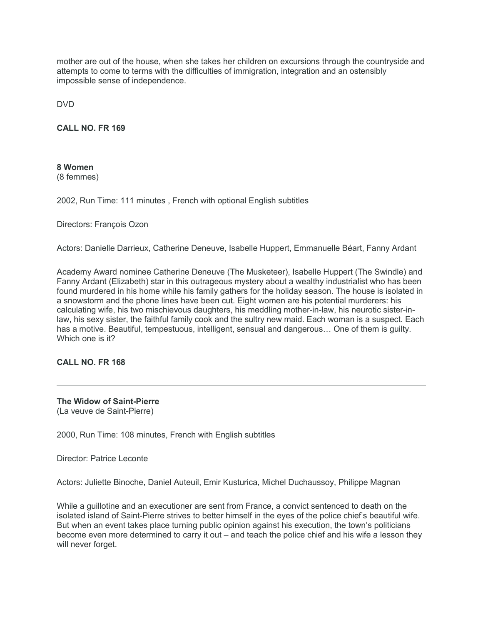mother are out of the house, when she takes her children on excursions through the countryside and attempts to come to terms with the difficulties of immigration, integration and an ostensibly impossible sense of independence.

DVD

**CALL NO. FR 169**

**8 Women** (8 femmes)

2002, Run Time: 111 minutes , French with optional English subtitles

Directors: François Ozon

Actors: Danielle Darrieux, Catherine Deneuve, Isabelle Huppert, Emmanuelle Béart, Fanny Ardant

Academy Award nominee Catherine Deneuve (The Musketeer), Isabelle Huppert (The Swindle) and Fanny Ardant (Elizabeth) star in this outrageous mystery about a wealthy industrialist who has been found murdered in his home while his family gathers for the holiday season. The house is isolated in a snowstorm and the phone lines have been cut. Eight women are his potential murderers: his calculating wife, his two mischievous daughters, his meddling mother-in-law, his neurotic sister-inlaw, his sexy sister, the faithful family cook and the sultry new maid. Each woman is a suspect. Each has a motive. Beautiful, tempestuous, intelligent, sensual and dangerous… One of them is guilty. Which one is it?

**CALL NO. FR 168**

**The Widow of Saint-Pierre** (La veuve de Saint-Pierre)

2000, Run Time: 108 minutes, French with English subtitles

Director: Patrice Leconte

Actors: Juliette Binoche, Daniel Auteuil, Emir Kusturica, Michel Duchaussoy, Philippe Magnan

While a guillotine and an executioner are sent from France, a convict sentenced to death on the isolated island of Saint-Pierre strives to better himself in the eyes of the police chief's beautiful wife. But when an event takes place turning public opinion against his execution, the town's politicians become even more determined to carry it out – and teach the police chief and his wife a lesson they will never forget.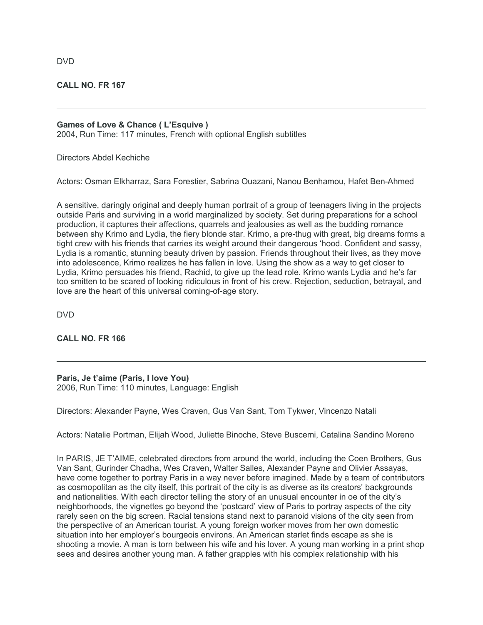# **CALL NO. FR 167**

# **Games of Love & Chance ( L'Esquive )**

2004, Run Time: 117 minutes, French with optional English subtitles

Directors Abdel Kechiche

Actors: Osman Elkharraz, Sara Forestier, Sabrina Ouazani, Nanou Benhamou, Hafet Ben-Ahmed

A sensitive, daringly original and deeply human portrait of a group of teenagers living in the projects outside Paris and surviving in a world marginalized by society. Set during preparations for a school production, it captures their affections, quarrels and jealousies as well as the budding romance between shy Krimo and Lydia, the fiery blonde star. Krimo, a pre-thug with great, big dreams forms a tight crew with his friends that carries its weight around their dangerous 'hood. Confident and sassy, Lydia is a romantic, stunning beauty driven by passion. Friends throughout their lives, as they move into adolescence, Krimo realizes he has fallen in love. Using the show as a way to get closer to Lydia, Krimo persuades his friend, Rachid, to give up the lead role. Krimo wants Lydia and he's far too smitten to be scared of looking ridiculous in front of his crew. Rejection, seduction, betrayal, and love are the heart of this universal coming-of-age story.

DVD

**CALL NO. FR 166**

**Paris, Je t'aime (Paris, I love You)** 2006, Run Time: 110 minutes, Language: English

Directors: Alexander Payne, Wes Craven, Gus Van Sant, Tom Tykwer, Vincenzo Natali

Actors: Natalie Portman, Elijah Wood, Juliette Binoche, Steve Buscemi, Catalina Sandino Moreno

In PARIS, JE T'AIME, celebrated directors from around the world, including the Coen Brothers, Gus Van Sant, Gurinder Chadha, Wes Craven, Walter Salles, Alexander Payne and Olivier Assayas, have come together to portray Paris in a way never before imagined. Made by a team of contributors as cosmopolitan as the city itself, this portrait of the city is as diverse as its creators' backgrounds and nationalities. With each director telling the story of an unusual encounter in oe of the city's neighborhoods, the vignettes go beyond the 'postcard' view of Paris to portray aspects of the city rarely seen on the big screen. Racial tensions stand next to paranoid visions of the city seen from the perspective of an American tourist. A young foreign worker moves from her own domestic situation into her employer's bourgeois environs. An American starlet finds escape as she is shooting a movie. A man is torn between his wife and his lover. A young man working in a print shop sees and desires another young man. A father grapples with his complex relationship with his

DVD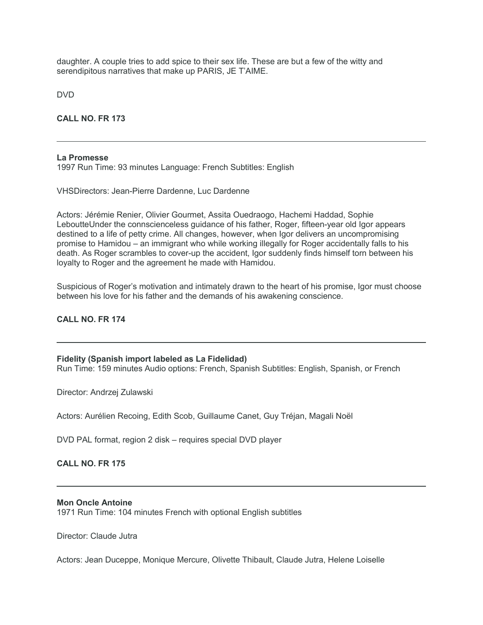daughter. A couple tries to add spice to their sex life. These are but a few of the witty and serendipitous narratives that make up PARIS, JE T'AIME.

DVD

**CALL NO. FR 173**

## **La Promesse**

1997 Run Time: 93 minutes Language: French Subtitles: English

VHSDirectors: Jean-Pierre Dardenne, Luc Dardenne

Actors: Jérémie Renier, Olivier Gourmet, Assita Ouedraogo, Hachemi Haddad, Sophie LeboutteUnder the connscienceless guidance of his father, Roger, fifteen-year old Igor appears destined to a life of petty crime. All changes, however, when Igor delivers an uncompromising promise to Hamidou – an immigrant who while working illegally for Roger accidentally falls to his death. As Roger scrambles to cover-up the accident, Igor suddenly finds himself torn between his loyalty to Roger and the agreement he made with Hamidou.

Suspicious of Roger's motivation and intimately drawn to the heart of his promise, Igor must choose between his love for his father and the demands of his awakening conscience.

# **CALL NO. FR 174**

## **Fidelity (Spanish import labeled as La Fidelidad)**

Run Time: 159 minutes Audio options: French, Spanish Subtitles: English, Spanish, or French

Director: Andrzej Zulawski

Actors: Aurélien Recoing, Edith Scob, Guillaume Canet, Guy Tréjan, Magali Noël

DVD PAL format, region 2 disk – requires special DVD player

## **CALL NO. FR 175**

## **Mon Oncle Antoine**

1971 Run Time: 104 minutes French with optional English subtitles

Director: Claude Jutra

Actors: Jean Duceppe, Monique Mercure, Olivette Thibault, Claude Jutra, Helene Loiselle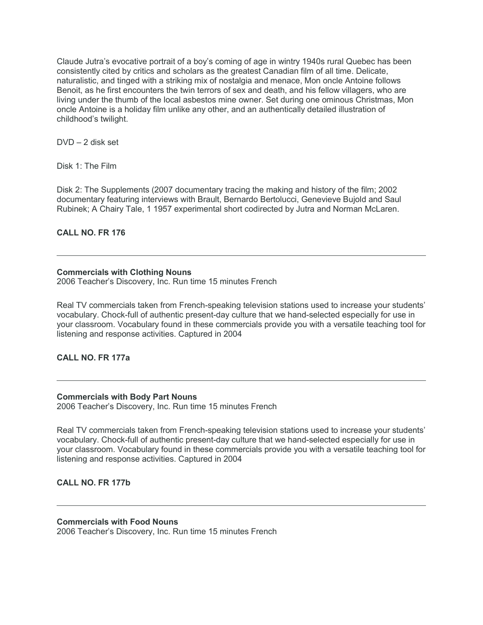Claude Jutra's evocative portrait of a boy's coming of age in wintry 1940s rural Quebec has been consistently cited by critics and scholars as the greatest Canadian film of all time. Delicate, naturalistic, and tinged with a striking mix of nostalgia and menace, Mon oncle Antoine follows Benoit, as he first encounters the twin terrors of sex and death, and his fellow villagers, who are living under the thumb of the local asbestos mine owner. Set during one ominous Christmas, Mon oncle Antoine is a holiday film unlike any other, and an authentically detailed illustration of childhood's twilight.

DVD – 2 disk set

Disk 1: The Film

Disk 2: The Supplements (2007 documentary tracing the making and history of the film; 2002 documentary featuring interviews with Brault, Bernardo Bertolucci, Genevieve Bujold and Saul Rubinek; A Chairy Tale, 1 1957 experimental short codirected by Jutra and Norman McLaren.

# **CALL NO. FR 176**

# **Commercials with Clothing Nouns**

2006 Teacher's Discovery, Inc. Run time 15 minutes French

Real TV commercials taken from French-speaking television stations used to increase your students' vocabulary. Chock-full of authentic present-day culture that we hand-selected especially for use in your classroom. Vocabulary found in these commercials provide you with a versatile teaching tool for listening and response activities. Captured in 2004

**CALL NO. FR 177a**

## **Commercials with Body Part Nouns**

2006 Teacher's Discovery, Inc. Run time 15 minutes French

Real TV commercials taken from French-speaking television stations used to increase your students' vocabulary. Chock-full of authentic present-day culture that we hand-selected especially for use in your classroom. Vocabulary found in these commercials provide you with a versatile teaching tool for listening and response activities. Captured in 2004

# **CALL NO. FR 177b**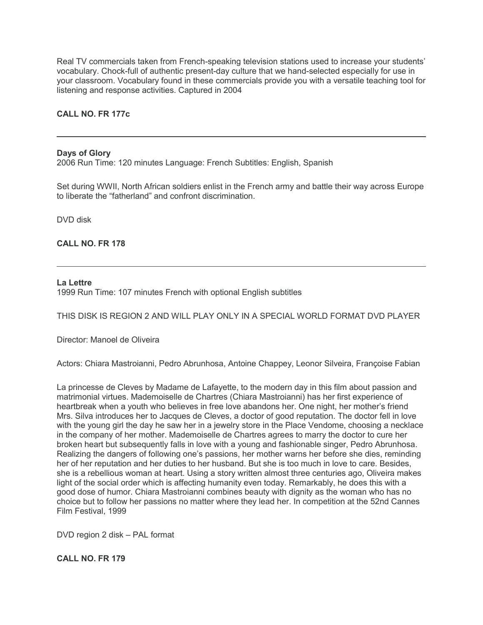Real TV commercials taken from French-speaking television stations used to increase your students' vocabulary. Chock-full of authentic present-day culture that we hand-selected especially for use in your classroom. Vocabulary found in these commercials provide you with a versatile teaching tool for listening and response activities. Captured in 2004

# **CALL NO. FR 177c**

## **Days of Glory**

2006 Run Time: 120 minutes Language: French Subtitles: English, Spanish

Set during WWII, North African soldiers enlist in the French army and battle their way across Europe to liberate the "fatherland" and confront discrimination.

DVD disk

**CALL NO. FR 178**

#### **La Lettre**

1999 Run Time: 107 minutes French with optional English subtitles

THIS DISK IS REGION 2 AND WILL PLAY ONLY IN A SPECIAL WORLD FORMAT DVD PLAYER

Director: Manoel de Oliveira

Actors: Chiara Mastroianni, Pedro Abrunhosa, Antoine Chappey, Leonor Silveira, Françoise Fabian

La princesse de Cleves by Madame de Lafayette, to the modern day in this film about passion and matrimonial virtues. Mademoiselle de Chartres (Chiara Mastroianni) has her first experience of heartbreak when a youth who believes in free love abandons her. One night, her mother's friend Mrs. Silva introduces her to Jacques de Cleves, a doctor of good reputation. The doctor fell in love with the young girl the day he saw her in a jewelry store in the Place Vendome, choosing a necklace in the company of her mother. Mademoiselle de Chartres agrees to marry the doctor to cure her broken heart but subsequently falls in love with a young and fashionable singer, Pedro Abrunhosa. Realizing the dangers of following one's passions, her mother warns her before she dies, reminding her of her reputation and her duties to her husband. But she is too much in love to care. Besides, she is a rebellious woman at heart. Using a story written almost three centuries ago, Oliveira makes light of the social order which is affecting humanity even today. Remarkably, he does this with a good dose of humor. Chiara Mastroianni combines beauty with dignity as the woman who has no choice but to follow her passions no matter where they lead her. In competition at the 52nd Cannes Film Festival, 1999

DVD region 2 disk – PAL format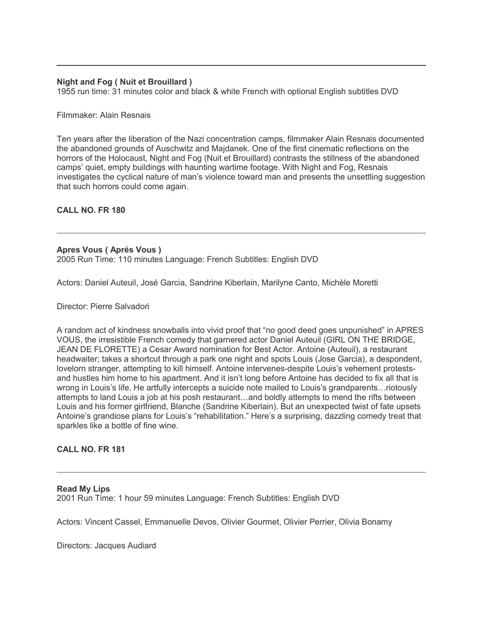# **Night and Fog ( Nuit et Brouillard )**

1955 run time: 31 minutes color and black & white French with optional English subtitles DVD

## Filmmaker: Alain Resnais

Ten years after the liberation of the Nazi concentration camps, filmmaker Alain Resnais documented the abandoned grounds of Auschwitz and Majdanek. One of the first cinematic reflections on the horrors of the Holocaust, Night and Fog (Nuit et Brouillard) contrasts the stillness of the abandoned camps' quiet, empty buildings with haunting wartime footage. With Night and Fog, Resnais investigates the cyclical nature of man's violence toward man and presents the unsettling suggestion that such horrors could come again.

## **CALL NO. FR 180**

## **Apres Vous ( Aprés Vous )**

2005 Run Time: 110 minutes Language: French Subtitles: English DVD

Actors: Daniel Auteuil, José Garcia, Sandrine Kiberlain, Marilyne Canto, Michèle Moretti

Director: Pierre Salvadori

A random act of kindness snowballs into vivid proof that "no good deed goes unpunished" in APRES VOUS, the irresistible French comedy that garnered actor Daniel Auteuil (GIRL ON THE BRIDGE, JEAN DE FLORETTE) a Cesar Award nomination for Best Actor. Antoine (Auteuil), a restaurant headwaiter; takes a shortcut through a park one night and spots Louis (Jose Garcia), a despondent, lovelorn stranger, attempting to kill himself. Antoine intervenes-despite Louis's vehement protestsand hustles him home to his apartment. And it isn't long before Antoine has decided to fix all that is wrong in Louis's life. He artfully intercepts a suicide note mailed to Louis's grandparents…riotously attempts to land Louis a job at his posh restaurant…and boldly attempts to mend the rifts between Louis and his former girlfriend, Blanche (Sandrine Kiberlain). But an unexpected twist of fate upsets Antoine's grandiose plans for Louis's "rehabilitation." Here's a surprising, dazzling comedy treat that sparkles like a bottle of fine wine.

## **CALL NO. FR 181**

**Read My Lips** 2001 Run Time: 1 hour 59 minutes Language: French Subtitles: English DVD

Actors: Vincent Cassel, Emmanuelle Devos, Olivier Gourmet, Olivier Perrier, Olivia Bonamy

Directors: Jacques Audiard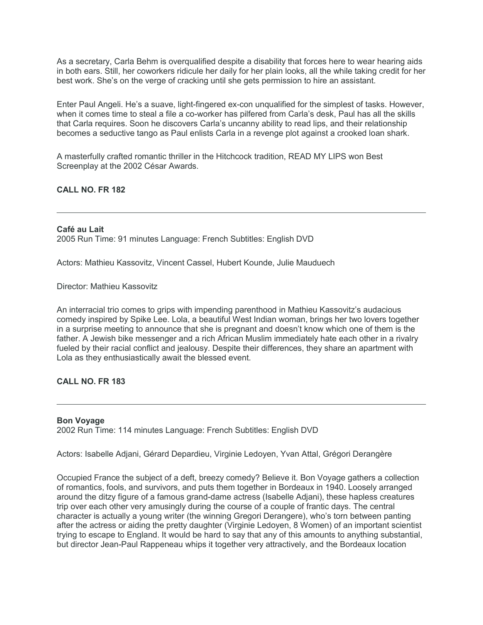As a secretary, Carla Behm is overqualified despite a disability that forces here to wear hearing aids in both ears. Still, her coworkers ridicule her daily for her plain looks, all the while taking credit for her best work. She's on the verge of cracking until she gets permission to hire an assistant.

Enter Paul Angeli. He's a suave, light-fingered ex-con unqualified for the simplest of tasks. However, when it comes time to steal a file a co-worker has pilfered from Carla's desk, Paul has all the skills that Carla requires. Soon he discovers Carla's uncanny ability to read lips, and their relationship becomes a seductive tango as Paul enlists Carla in a revenge plot against a crooked loan shark.

A masterfully crafted romantic thriller in the Hitchcock tradition, READ MY LIPS won Best Screenplay at the 2002 César Awards.

**CALL NO. FR 182**

**Café au Lait** 2005 Run Time: 91 minutes Language: French Subtitles: English DVD

Actors: Mathieu Kassovitz, Vincent Cassel, Hubert Kounde, Julie Mauduech

Director: Mathieu Kassovitz

An interracial trio comes to grips with impending parenthood in Mathieu Kassovitz's audacious comedy inspired by Spike Lee. Lola, a beautiful West Indian woman, brings her two lovers together in a surprise meeting to announce that she is pregnant and doesn't know which one of them is the father. A Jewish bike messenger and a rich African Muslim immediately hate each other in a rivalry fueled by their racial conflict and jealousy. Despite their differences, they share an apartment with Lola as they enthusiastically await the blessed event.

# **CALL NO. FR 183**

## **Bon Voyage**

2002 Run Time: 114 minutes Language: French Subtitles: English DVD

Actors: Isabelle Adjani, Gérard Depardieu, Virginie Ledoyen, Yvan Attal, Grégori Derangère

Occupied France the subject of a deft, breezy comedy? Believe it. Bon Voyage gathers a collection of romantics, fools, and survivors, and puts them together in Bordeaux in 1940. Loosely arranged around the ditzy figure of a famous grand-dame actress (Isabelle Adjani), these hapless creatures trip over each other very amusingly during the course of a couple of frantic days. The central character is actually a young writer (the winning Gregori Derangere), who's torn between panting after the actress or aiding the pretty daughter (Virginie Ledoyen, 8 Women) of an important scientist trying to escape to England. It would be hard to say that any of this amounts to anything substantial, but director Jean-Paul Rappeneau whips it together very attractively, and the Bordeaux location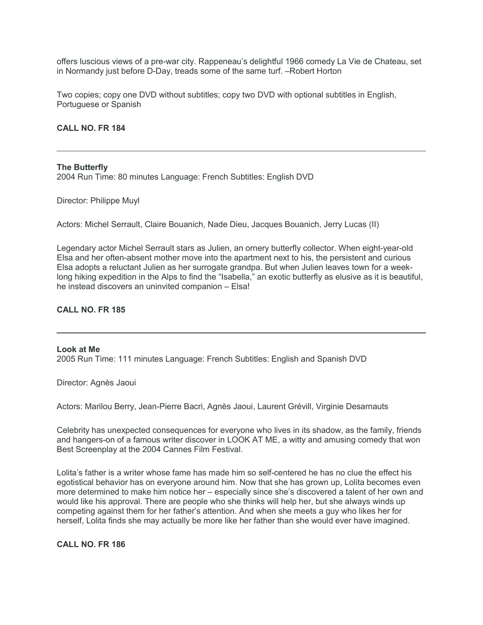offers luscious views of a pre-war city. Rappeneau's delightful 1966 comedy La Vie de Chateau, set in Normandy just before D-Day, treads some of the same turf. –Robert Horton

Two copies; copy one DVD without subtitles; copy two DVD with optional subtitles in English, Portuguese or Spanish

## **CALL NO. FR 184**

#### **The Butterfly**

2004 Run Time: 80 minutes Language: French Subtitles: English DVD

Director: Philippe Muyl

Actors: Michel Serrault, Claire Bouanich, Nade Dieu, Jacques Bouanich, Jerry Lucas (II)

Legendary actor Michel Serrault stars as Julien, an ornery butterfly collector. When eight-year-old Elsa and her often-absent mother move into the apartment next to his, the persistent and curious Elsa adopts a reluctant Julien as her surrogate grandpa. But when Julien leaves town for a weeklong hiking expedition in the Alps to find the "Isabella," an exotic butterfly as elusive as it is beautiful, he instead discovers an uninvited companion – Elsa!

## **CALL NO. FR 185**

## **Look at Me** 2005 Run Time: 111 minutes Language: French Subtitles: English and Spanish DVD

Director: Agnès Jaoui

Actors: Marilou Berry, Jean-Pierre Bacri, Agnès Jaoui, Laurent Grévill, Virginie Desarnauts

Celebrity has unexpected consequences for everyone who lives in its shadow, as the family, friends and hangers-on of a famous writer discover in LOOK AT ME, a witty and amusing comedy that won Best Screenplay at the 2004 Cannes Film Festival.

Lolita's father is a writer whose fame has made him so self-centered he has no clue the effect his egotistical behavior has on everyone around him. Now that she has grown up, Lolita becomes even more determined to make him notice her – especially since she's discovered a talent of her own and would like his approval. There are people who she thinks will help her, but she always winds up competing against them for her father's attention. And when she meets a guy who likes her for herself, Lolita finds she may actually be more like her father than she would ever have imagined.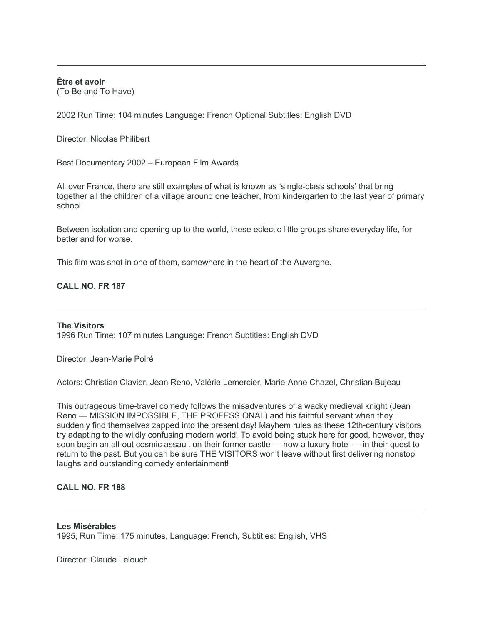**Être et avoir** (To Be and To Have)

2002 Run Time: 104 minutes Language: French Optional Subtitles: English DVD

Director: Nicolas Philibert

Best Documentary 2002 – European Film Awards

All over France, there are still examples of what is known as 'single-class schools' that bring together all the children of a village around one teacher, from kindergarten to the last year of primary school.

Between isolation and opening up to the world, these eclectic little groups share everyday life, for better and for worse.

This film was shot in one of them, somewhere in the heart of the Auvergne.

# **CALL NO. FR 187**

## **The Visitors**

1996 Run Time: 107 minutes Language: French Subtitles: English DVD

Director: Jean-Marie Poiré

Actors: Christian Clavier, Jean Reno, Valérie Lemercier, Marie-Anne Chazel, Christian Bujeau

This outrageous time-travel comedy follows the misadventures of a wacky medieval knight (Jean Reno — MISSION IMPOSSIBLE, THE PROFESSIONAL) and his faithful servant when they suddenly find themselves zapped into the present day! Mayhem rules as these 12th-century visitors try adapting to the wildly confusing modern world! To avoid being stuck here for good, however, they soon begin an all-out cosmic assault on their former castle — now a luxury hotel — in their quest to return to the past. But you can be sure THE VISITORS won't leave without first delivering nonstop laughs and outstanding comedy entertainment!

# **CALL NO. FR 188**

## **Les Misérables**

1995, Run Time: 175 minutes, Language: French, Subtitles: English, VHS

Director: Claude Lelouch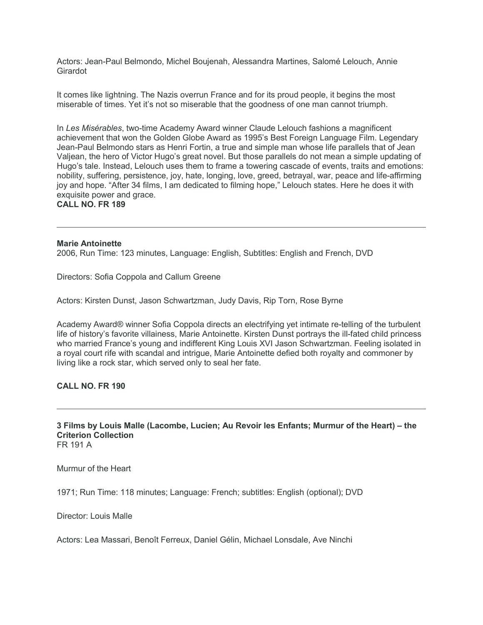Actors: Jean-Paul Belmondo, Michel Boujenah, Alessandra Martines, Salomé Lelouch, Annie Girardot

It comes like lightning. The Nazis overrun France and for its proud people, it begins the most miserable of times. Yet it's not so miserable that the goodness of one man cannot triumph.

In *Les Misérables*, two-time Academy Award winner Claude Lelouch fashions a magnificent achievement that won the Golden Globe Award as 1995's Best Foreign Language Film. Legendary Jean-Paul Belmondo stars as Henri Fortin, a true and simple man whose life parallels that of Jean Valjean, the hero of Victor Hugo's great novel. But those parallels do not mean a simple updating of Hugo's tale. Instead, Lelouch uses them to frame a towering cascade of events, traits and emotions: nobility, suffering, persistence, joy, hate, longing, love, greed, betrayal, war, peace and life-affirming joy and hope. "After 34 films, I am dedicated to filming hope," Lelouch states. Here he does it with exquisite power and grace. **CALL NO. FR 189**

## **Marie Antoinette**

2006, Run Time: 123 minutes, Language: English, Subtitles: English and French, DVD

Directors: Sofia Coppola and Callum Greene

Actors: Kirsten Dunst, Jason Schwartzman, Judy Davis, Rip Torn, Rose Byrne

Academy Award® winner Sofia Coppola directs an electrifying yet intimate re-telling of the turbulent life of history's favorite villainess, Marie Antoinette. Kirsten Dunst portrays the ill-fated child princess who married France's young and indifferent King Louis XVI Jason Schwartzman. Feeling isolated in a royal court rife with scandal and intrigue, Marie Antoinette defied both royalty and commoner by living like a rock star, which served only to seal her fate.

**CALL NO. FR 190**

**3 Films by Louis Malle (Lacombe, Lucien; Au Revoir les Enfants; Murmur of the Heart) – the Criterion Collection** FR 191 A

Murmur of the Heart

1971; Run Time: 118 minutes; Language: French; subtitles: English (optional); DVD

Director: Louis Malle

Actors: Lea Massari, Benoît Ferreux, Daniel Gélin, Michael Lonsdale, Ave Ninchi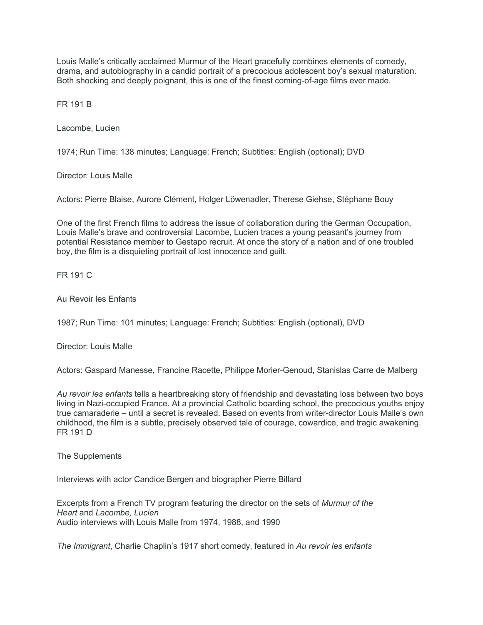Louis Malle's critically acclaimed Murmur of the Heart gracefully combines elements of comedy, drama, and autobiography in a candid portrait of a precocious adolescent boy's sexual maturation. Both shocking and deeply poignant, this is one of the finest coming-of-age films ever made.

FR 191 B

Lacombe, Lucien

1974; Run Time: 138 minutes; Language: French; Subtitles: English (optional); DVD

Director: Louis Malle

Actors: Pierre Blaise, Aurore Clément, Holger Löwenadler, Therese Giehse, Stéphane Bouy

One of the first French films to address the issue of collaboration during the German Occupation, Louis Malle's brave and controversial Lacombe, Lucien traces a young peasant's journey from potential Resistance member to Gestapo recruit. At once the story of a nation and of one troubled boy, the film is a disquieting portrait of lost innocence and guilt.

FR 191 C

Au Revoir les Enfants

1987; Run Time: 101 minutes; Language: French; Subtitles: English (optional), DVD

Director: Louis Malle

Actors: Gaspard Manesse, Francine Racette, Philippe Morier-Genoud, Stanislas Carre de Malberg

*Au revoir les enfants* tells a heartbreaking story of friendship and devastating loss between two boys living in Nazi-occupied France. At a provincial Catholic boarding school, the precocious youths enjoy true camaraderie – until a secret is revealed. Based on events from writer-director Louis Malle's own childhood, the film is a subtle, precisely observed tale of courage, cowardice, and tragic awakening. FR 191 D

The Supplements

Interviews with actor Candice Bergen and biographer Pierre Billard

Excerpts from a French TV program featuring the director on the sets of *Murmur of the Heart* and *Lacombe, Lucien* Audio interviews with Louis Malle from 1974, 1988, and 1990

*The Immigrant*, Charlie Chaplin's 1917 short comedy, featured in *Au revoir les enfants*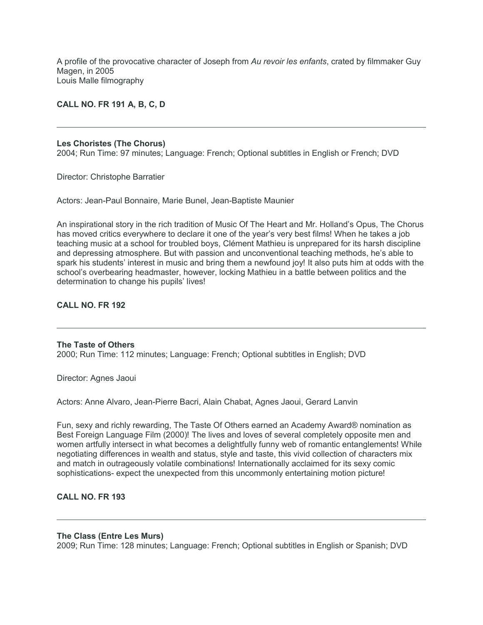A profile of the provocative character of Joseph from *Au revoir les enfants*, crated by filmmaker Guy Magen, in 2005 Louis Malle filmography

## **CALL NO. FR 191 A, B, C, D**

#### **Les Choristes (The Chorus)**

2004; Run Time: 97 minutes; Language: French; Optional subtitles in English or French; DVD

Director: Christophe Barratier

Actors: Jean-Paul Bonnaire, Marie Bunel, Jean-Baptiste Maunier

An inspirational story in the rich tradition of Music Of The Heart and Mr. Holland's Opus, The Chorus has moved critics everywhere to declare it one of the year's very best films! When he takes a job teaching music at a school for troubled boys, Clément Mathieu is unprepared for its harsh discipline and depressing atmosphere. But with passion and unconventional teaching methods, he's able to spark his students' interest in music and bring them a newfound joy! It also puts him at odds with the school's overbearing headmaster, however, locking Mathieu in a battle between politics and the determination to change his pupils' lives!

# **CALL NO. FR 192**

## **The Taste of Others**

2000; Run Time: 112 minutes; Language: French; Optional subtitles in English; DVD

Director: Agnes Jaoui

Actors: Anne Alvaro, Jean-Pierre Bacri, Alain Chabat, Agnes Jaoui, Gerard Lanvin

Fun, sexy and richly rewarding, The Taste Of Others earned an Academy Award® nomination as Best Foreign Language Film (2000)! The lives and loves of several completely opposite men and women artfully intersect in what becomes a delightfully funny web of romantic entanglements! While negotiating differences in wealth and status, style and taste, this vivid collection of characters mix and match in outrageously volatile combinations! Internationally acclaimed for its sexy comic sophistications- expect the unexpected from this uncommonly entertaining motion picture!

# **CALL NO. FR 193**

## **The Class (Entre Les Murs)**

2009; Run Time: 128 minutes; Language: French; Optional subtitles in English or Spanish; DVD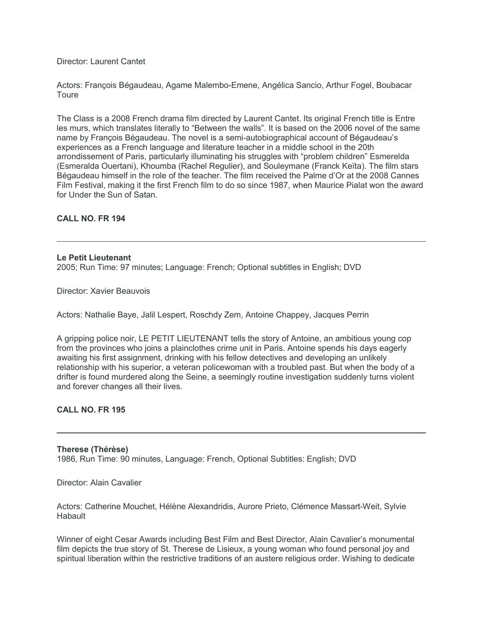Director: Laurent Cantet

Actors: François Bégaudeau, Agame Malembo-Emene, Angélica Sancio, Arthur Fogel, Boubacar **Toure** 

The Class is a 2008 French drama film directed by Laurent Cantet. Its original French title is Entre les murs, which translates literally to "Between the walls". It is based on the 2006 novel of the same name by François Bégaudeau. The novel is a semi-autobiographical account of Bégaudeau's experiences as a French language and literature teacher in a middle school in the 20th arrondissement of Paris, particularly illuminating his struggles with "problem children" Esmerelda (Esmeralda Ouertani), Khoumba (Rachel Regulier), and Souleymane (Franck Keïta). The film stars Bégaudeau himself in the role of the teacher. The film received the Palme d'Or at the 2008 Cannes Film Festival, making it the first French film to do so since 1987, when Maurice Pialat won the award for Under the Sun of Satan.

# **CALL NO. FR 194**

## **Le Petit Lieutenant**

2005; Run Time: 97 minutes; Language: French; Optional subtitles in English; DVD

Director: Xavier Beauvois

Actors: Nathalie Baye, Jalil Lespert, Roschdy Zem, Antoine Chappey, Jacques Perrin

A gripping police noir, LE PETIT LIEUTENANT tells the story of Antoine, an ambitious young cop from the provinces who joins a plainclothes crime unit in Paris. Antoine spends his days eagerly awaiting his first assignment, drinking with his fellow detectives and developing an unlikely relationship with his superior, a veteran policewoman with a troubled past. But when the body of a drifter is found murdered along the Seine, a seemingly routine investigation suddenly turns violent and forever changes all their lives.

# **CALL NO. FR 195**

## **Therese (Thérèse)**

1986, Run Time: 90 minutes, Language: French, Optional Subtitles: English; DVD

Director: Alain Cavalier

Actors: Catherine Mouchet, Hélène Alexandridis, Aurore Prieto, Clémence Massart-Weit, Sylvie **Habault** 

Winner of eight Cesar Awards including Best Film and Best Director, Alain Cavalier's monumental film depicts the true story of St. Therese de Lisieux, a young woman who found personal joy and spiritual liberation within the restrictive traditions of an austere religious order. Wishing to dedicate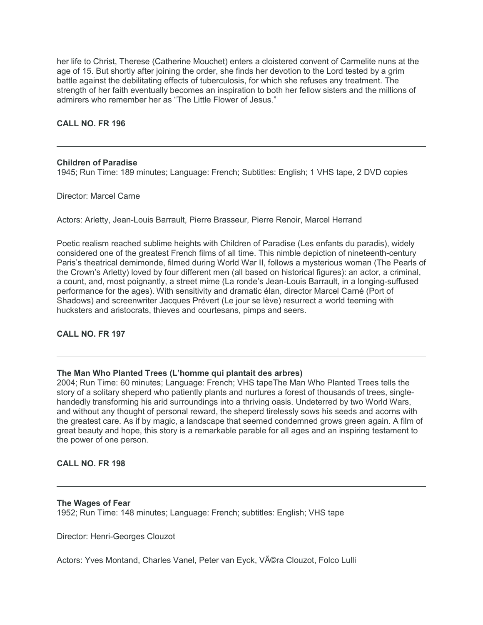her life to Christ, Therese (Catherine Mouchet) enters a cloistered convent of Carmelite nuns at the age of 15. But shortly after joining the order, she finds her devotion to the Lord tested by a grim battle against the debilitating effects of tuberculosis, for which she refuses any treatment. The strength of her faith eventually becomes an inspiration to both her fellow sisters and the millions of admirers who remember her as "The Little Flower of Jesus."

# **CALL NO. FR 196**

## **Children of Paradise**

1945; Run Time: 189 minutes; Language: French; Subtitles: English; 1 VHS tape, 2 DVD copies

Director: Marcel Carne

Actors: Arletty, Jean-Louis Barrault, Pierre Brasseur, Pierre Renoir, Marcel Herrand

Poetic realism reached sublime heights with Children of Paradise (Les enfants du paradis), widely considered one of the greatest French films of all time. This nimble depiction of nineteenth-century Paris's theatrical demimonde, filmed during World War II, follows a mysterious woman (The Pearls of the Crown's Arletty) loved by four different men (all based on historical figures): an actor, a criminal, a count, and, most poignantly, a street mime (La ronde's Jean-Louis Barrault, in a longing-suffused performance for the ages). With sensitivity and dramatic élan, director Marcel Carné (Port of Shadows) and screenwriter Jacques Prévert (Le jour se lève) resurrect a world teeming with hucksters and aristocrats, thieves and courtesans, pimps and seers.

## **CALL NO. FR 197**

## **The Man Who Planted Trees (L'homme qui plantait des arbres)**

2004; Run Time: 60 minutes; Language: French; VHS tapeThe Man Who Planted Trees tells the story of a solitary sheperd who patiently plants and nurtures a forest of thousands of trees, singlehandedly transforming his arid surroundings into a thriving oasis. Undeterred by two World Wars, and without any thought of personal reward, the sheperd tirelessly sows his seeds and acorns with the greatest care. As if by magic, a landscape that seemed condemned grows green again. A film of great beauty and hope, this story is a remarkable parable for all ages and an inspiring testament to the power of one person.

## **CALL NO. FR 198**

## **The Wages of Fear**

1952; Run Time: 148 minutes; Language: French; subtitles: English; VHS tape

Director: Henri-Georges Clouzot

Actors: Yves Montand, Charles Vanel, Peter van Eyck, Véra Clouzot, Folco Lulli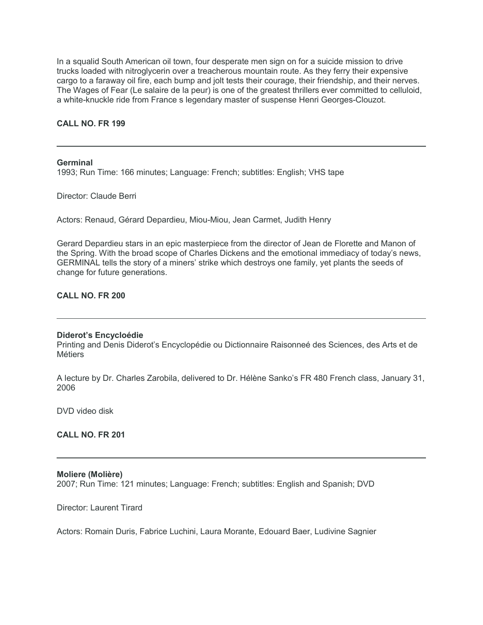In a squalid South American oil town, four desperate men sign on for a suicide mission to drive trucks loaded with nitroglycerin over a treacherous mountain route. As they ferry their expensive cargo to a faraway oil fire, each bump and jolt tests their courage, their friendship, and their nerves. The Wages of Fear (Le salaire de la peur) is one of the greatest thrillers ever committed to celluloid, a white-knuckle ride from France s legendary master of suspense Henri Georges-Clouzot.

## **CALL NO. FR 199**

**Germinal**

1993; Run Time: 166 minutes; Language: French; subtitles: English; VHS tape

Director: Claude Berri

Actors: Renaud, Gérard Depardieu, Miou-Miou, Jean Carmet, Judith Henry

Gerard Depardieu stars in an epic masterpiece from the director of Jean de Florette and Manon of the Spring. With the broad scope of Charles Dickens and the emotional immediacy of today's news, GERMINAL tells the story of a miners' strike which destroys one family, yet plants the seeds of change for future generations.

## **CALL NO. FR 200**

## **Diderot's Encycloédie**

Printing and Denis Diderot's Encyclopédie ou Dictionnaire Raisonneé des Sciences, des Arts et de Métiers

A lecture by Dr. Charles Zarobila, delivered to Dr. Hélène Sanko's FR 480 French class, January 31, 2006

DVD video disk

**CALL NO. FR 201**

#### **Moliere (Molière)**

2007; Run Time: 121 minutes; Language: French; subtitles: English and Spanish; DVD

Director: Laurent Tirard

Actors: Romain Duris, Fabrice Luchini, Laura Morante, Edouard Baer, Ludivine Sagnier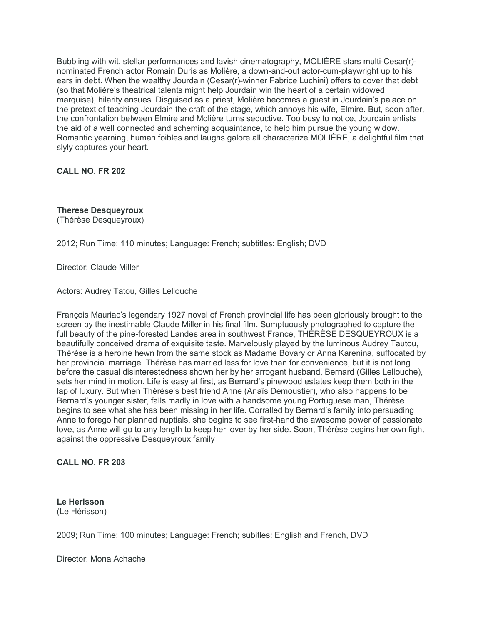Bubbling with wit, stellar performances and lavish cinematography, MOLIÈRE stars multi-Cesar(r) nominated French actor Romain Duris as Molière, a down-and-out actor-cum-playwright up to his ears in debt. When the wealthy Jourdain (Cesar(r)-winner Fabrice Luchini) offers to cover that debt (so that Molière's theatrical talents might help Jourdain win the heart of a certain widowed marquise), hilarity ensues. Disguised as a priest, Molière becomes a guest in Jourdain's palace on the pretext of teaching Jourdain the craft of the stage, which annoys his wife, Elmire. But, soon after, the confrontation between Elmire and Molière turns seductive. Too busy to notice, Jourdain enlists the aid of a well connected and scheming acquaintance, to help him pursue the young widow. Romantic yearning, human foibles and laughs galore all characterize MOLIÈRE, a delightful film that slyly captures your heart.

**CALL NO. FR 202**

# **Therese Desqueyroux**

(Thérèse Desqueyroux)

2012; Run Time: 110 minutes; Language: French; subtitles: English; DVD

Director: Claude Miller

Actors: Audrey Tatou, Gilles Lellouche

François Mauriac's legendary 1927 novel of French provincial life has been gloriously brought to the screen by the inestimable Claude Miller in his final film. Sumptuously photographed to capture the full beauty of the pine-forested Landes area in southwest France, THÉRÈSE DESQUEYROUX is a beautifully conceived drama of exquisite taste. Marvelously played by the luminous Audrey Tautou, Thérèse is a heroine hewn from the same stock as Madame Bovary or Anna Karenina, suffocated by her provincial marriage. Thérèse has married less for love than for convenience, but it is not long before the casual disinterestedness shown her by her arrogant husband, Bernard (Gilles Lellouche), sets her mind in motion. Life is easy at first, as Bernard's pinewood estates keep them both in the lap of luxury. But when Thérèse's best friend Anne (Anaïs Demoustier), who also happens to be Bernard's younger sister, falls madly in love with a handsome young Portuguese man, Thérèse begins to see what she has been missing in her life. Corralled by Bernard's family into persuading Anne to forego her planned nuptials, she begins to see first-hand the awesome power of passionate love, as Anne will go to any length to keep her lover by her side. Soon, Thérèse begins her own fight against the oppressive Desqueyroux family

# **CALL NO. FR 203**

**Le Herisson** (Le Hérisson)

2009; Run Time: 100 minutes; Language: French; subitles: English and French, DVD

Director: Mona Achache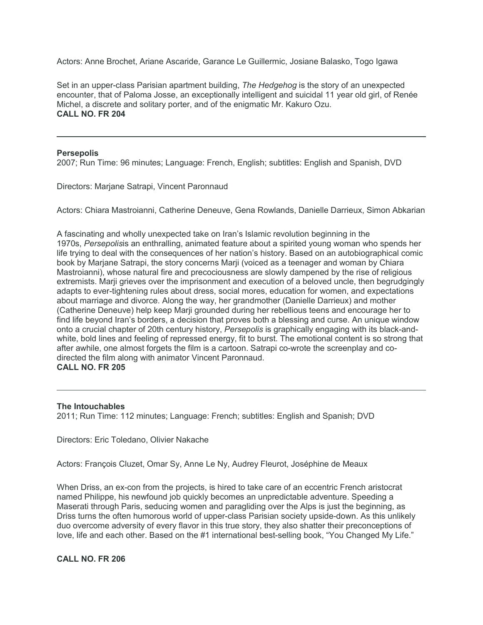Actors: Anne Brochet, Ariane Ascaride, Garance Le Guillermic, Josiane Balasko, Togo Igawa

Set in an upper-class Parisian apartment building, *The Hedgehog* is the story of an unexpected encounter, that of Paloma Josse, an exceptionally intelligent and suicidal 11 year old girl, of Renée Michel, a discrete and solitary porter, and of the enigmatic Mr. Kakuro Ozu. **CALL NO. FR 204**

## **Persepolis**

2007; Run Time: 96 minutes; Language: French, English; subtitles: English and Spanish, DVD

Directors: Marjane Satrapi, Vincent Paronnaud

Actors: Chiara Mastroianni, Catherine Deneuve, Gena Rowlands, Danielle Darrieux, Simon Abkarian

A fascinating and wholly unexpected take on Iran's Islamic revolution beginning in the 1970s, *Persepolis*is an enthralling, animated feature about a spirited young woman who spends her life trying to deal with the consequences of her nation's history. Based on an autobiographical comic book by Marjane Satrapi, the story concerns Marji (voiced as a teenager and woman by Chiara Mastroianni), whose natural fire and precociousness are slowly dampened by the rise of religious extremists. Marji grieves over the imprisonment and execution of a beloved uncle, then begrudgingly adapts to ever-tightening rules about dress, social mores, education for women, and expectations about marriage and divorce. Along the way, her grandmother (Danielle Darrieux) and mother (Catherine Deneuve) help keep Marji grounded during her rebellious teens and encourage her to find life beyond Iran's borders, a decision that proves both a blessing and curse. An unique window onto a crucial chapter of 20th century history, *Persepolis* is graphically engaging with its black-andwhite, bold lines and feeling of repressed energy, fit to burst. The emotional content is so strong that after awhile, one almost forgets the film is a cartoon. Satrapi co-wrote the screenplay and codirected the film along with animator Vincent Paronnaud. **CALL NO. FR 205**

## **The Intouchables**

2011; Run Time: 112 minutes; Language: French; subtitles: English and Spanish; DVD

Directors: Eric Toledano, Olivier Nakache

Actors: François Cluzet, Omar Sy, Anne Le Ny, Audrey Fleurot, Joséphine de Meaux

When Driss, an ex-con from the projects, is hired to take care of an eccentric French aristocrat named Philippe, his newfound job quickly becomes an unpredictable adventure. Speeding a Maserati through Paris, seducing women and paragliding over the Alps is just the beginning, as Driss turns the often humorous world of upper-class Parisian society upside-down. As this unlikely duo overcome adversity of every flavor in this true story, they also shatter their preconceptions of love, life and each other. Based on the #1 international best-selling book, "You Changed My Life."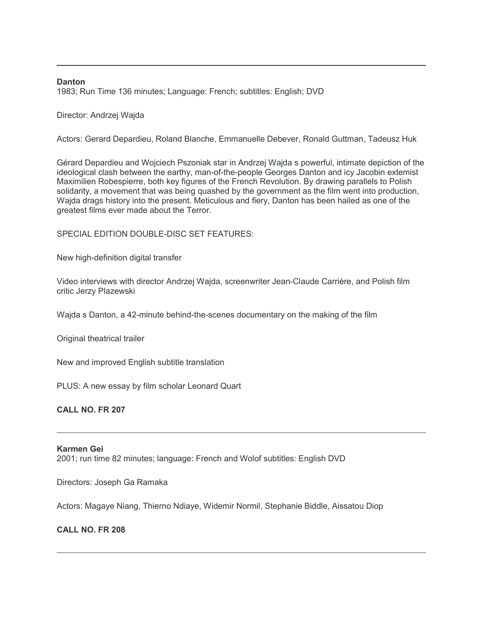## **Danton**

1983; Run Time 136 minutes; Language: French; subtitles: English; DVD

Director: Andrzej Wajda

Actors: Gerard Depardieu, Roland Blanche, Emmanuelle Debever, Ronald Guttman, Tadeusz Huk

Gérard Depardieu and Wojciech Pszoniak star in Andrzej Wajda s powerful, intimate depiction of the ideological clash between the earthy, man-of-the-people Georges Danton and icy Jacobin extemist Maximilien Robespierre, both key figures of the French Revolution. By drawing parallels to Polish solidarity, a movement that was being quashed by the government as the film went into production, Wajda drags history into the present. Meticulous and fiery, Danton has been hailed as one of the greatest films ever made about the Terror.

## SPECIAL EDITION DOUBLE-DISC SET FEATURES:

New high-definition digital transfer

Video interviews with director Andrzej Wajda, screenwriter Jean-Claude Carrière, and Polish film critic Jerzy Plazewski

Wajda s Danton, a 42-minute behind-the-scenes documentary on the making of the film

Original theatrical trailer

New and improved English subtitle translation

PLUS: A new essay by film scholar Leonard Quart

# **CALL NO. FR 207**

## **Karmen Gei**

2001; run time 82 minutes; language: French and Wolof subtitles: English DVD

Directors: Joseph Ga Ramaka

Actors: Magaye Niang, Thierno Ndiaye, Widemir Normil, Stephanie Biddle, Aissatou Diop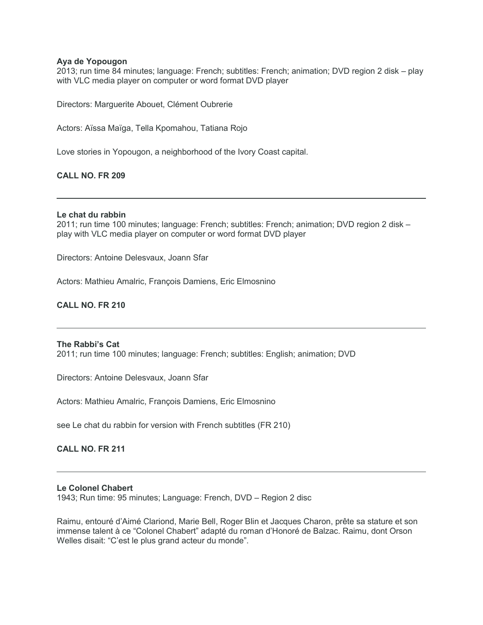## **Aya de Yopougon**

2013; run time 84 minutes; language: French; subtitles: French; animation; DVD region 2 disk – play with VLC media player on computer or word format DVD player

Directors: Marguerite Abouet, Clément Oubrerie

Actors: Aïssa Maïga, Tella Kpomahou, Tatiana Rojo

Love stories in Yopougon, a neighborhood of the Ivory Coast capital.

# **CALL NO. FR 209**

## **Le chat du rabbin**

2011; run time 100 minutes; language: French; subtitles: French; animation; DVD region 2 disk – play with VLC media player on computer or word format DVD player

Directors: Antoine Delesvaux, Joann Sfar

Actors: Mathieu Amalric, François Damiens, Eric Elmosnino

# **CALL NO. FR 210**

## **The Rabbi's Cat**

2011; run time 100 minutes; language: French; subtitles: English; animation; DVD

Directors: Antoine Delesvaux, Joann Sfar

Actors: Mathieu Amalric, François Damiens, Eric Elmosnino

see Le chat du rabbin for version with French subtitles (FR 210)

**CALL NO. FR 211**

## **Le Colonel Chabert**

1943; Run time: 95 minutes; Language: French, DVD – Region 2 disc

Raimu, entouré d'Aimé Clariond, Marie Bell, Roger Blin et Jacques Charon, prête sa stature et son immense talent à ce "Colonel Chabert" adapté du roman d'Honoré de Balzac. Raimu, dont Orson Welles disait: "C'est le plus grand acteur du monde".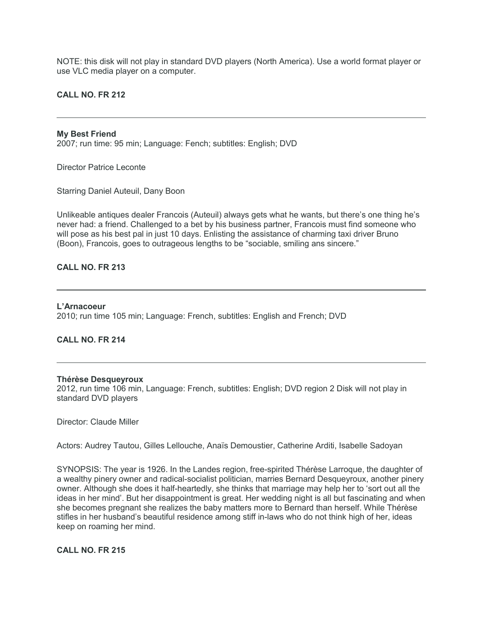NOTE: this disk will not play in standard DVD players (North America). Use a world format player or use VLC media player on a computer.

## **CALL NO. FR 212**

## **My Best Friend**

2007; run time: 95 min; Language: Fench; subtitles: English; DVD

Director Patrice Leconte

Starring Daniel Auteuil, Dany Boon

Unlikeable antiques dealer Francois (Auteuil) always gets what he wants, but there's one thing he's never had: a friend. Challenged to a bet by his business partner, Francois must find someone who will pose as his best pal in just 10 days. Enlisting the assistance of charming taxi driver Bruno (Boon), Francois, goes to outrageous lengths to be "sociable, smiling ans sincere."

## **CALL NO. FR 213**

# **L'Arnacoeur** 2010; run time 105 min; Language: French, subtitles: English and French; DVD

## **CALL NO. FR 214**

## **Thérèse Desqueyroux**

2012, run time 106 min, Language: French, subtitles: English; DVD region 2 Disk will not play in standard DVD players

Director: Claude Miller

Actors: Audrey Tautou, Gilles Lellouche, Anaïs Demoustier, Catherine Arditi, Isabelle Sadoyan

SYNOPSIS: The year is 1926. In the Landes region, free-spirited Thérèse Larroque, the daughter of a wealthy pinery owner and radical-socialist politician, marries Bernard Desqueyroux, another pinery owner. Although she does it half-heartedly, she thinks that marriage may help her to 'sort out all the ideas in her mind'. But her disappointment is great. Her wedding night is all but fascinating and when she becomes pregnant she realizes the baby matters more to Bernard than herself. While Thérèse stifles in her husband's beautiful residence among stiff in-laws who do not think high of her, ideas keep on roaming her mind.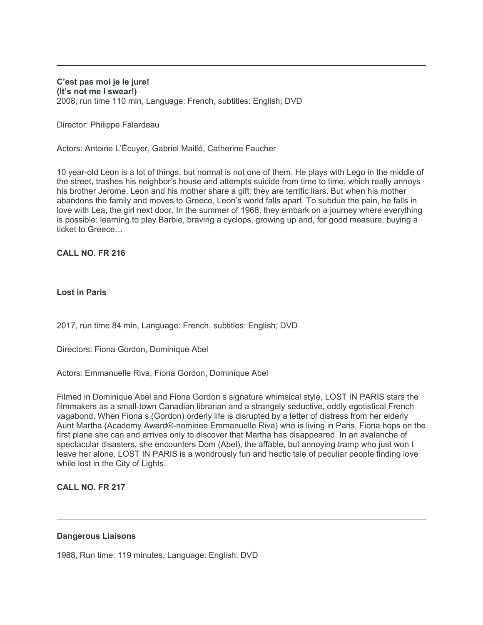## **C'est pas moi je le jure! (It's not me I swear!)** 2008, run time 110 min, Language: French, subtitles: English; DVD

Director: Philippe Falardeau

Actors: Antoine L'Écuyer, Gabriel Maillé, Catherine Faucher

10 year-old Leon is a lot of things, but normal is not one of them. He plays with Lego in the middle of the street, trashes his neighbor's house and attempts suicide from time to time, which really annoys his brother Jerome. Leon and his mother share a gift: they are terrific liars. But when his mother abandons the family and moves to Greece, Leon's world falls apart. To subdue the pain, he falls in love with Lea, the girl next door. In the summer of 1968, they embark on a journey where everything is possible: learning to play Barbie, braving a cyclops, growing up and, for good measure, buying a ticket to Greece…

# **CALL NO. FR 216**

# **Lost in Paris**

2017, run time 84 min, Language: French, subtitles: English; DVD

Directors: Fiona Gordon, Dominique Abel

Actors: Emmanuelle Riva, Fiona Gordon, Dominique Abel

Filmed in Dominique Abel and Fiona Gordon s signature whimsical style, LOST IN PARIS stars the filmmakers as a small-town Canadian librarian and a strangely seductive, oddly egotistical French vagabond. When Fiona s (Gordon) orderly life is disrupted by a letter of distress from her elderly Aunt Martha (Academy Award®-nominee Emmanuelle Riva) who is living in Paris, Fiona hops on the first plane she can and arrives only to discover that Martha has disappeared. In an avalanche of spectacular disasters, she encounters Dom (Abel), the affable, but annoying tramp who just won t leave her alone. LOST IN PARIS is a wondrously fun and hectic tale of peculiar people finding love while lost in the City of Lights..

# **CALL NO. FR 217**

# **Dangerous Liaisons**

1988, Run time: 119 minutes, Language: English; DVD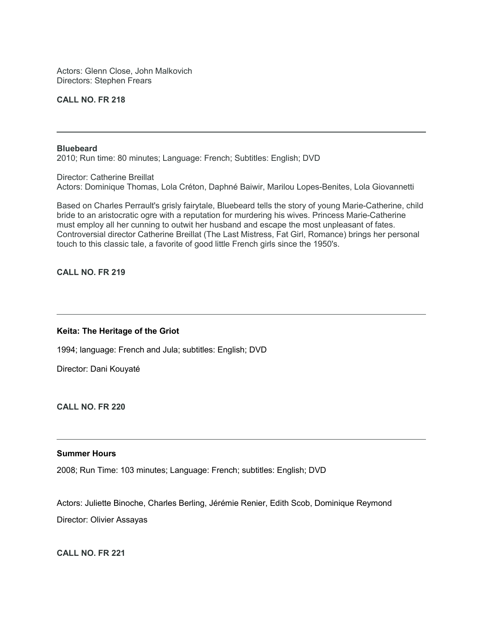Actors: Glenn Close, John Malkovich Directors: Stephen Frears

# **CALL NO. FR 218**

#### **Bluebeard**

2010; Run time: 80 minutes; Language: French; Subtitles: English; DVD

Director: Catherine Breillat Actors: Dominique Thomas, Lola Créton, Daphné Baiwir, Marilou Lopes-Benites, Lola Giovannetti

Based on Charles Perrault's grisly fairytale, Bluebeard tells the story of young Marie-Catherine, child bride to an aristocratic ogre with a reputation for murdering his wives. Princess Marie-Catherine must employ all her cunning to outwit her husband and escape the most unpleasant of fates. Controversial director Catherine Breillat (The Last Mistress, Fat Girl, Romance) brings her personal touch to this classic tale, a favorite of good little French girls since the 1950's.

**CALL NO. FR 219**

## **Keita: The Heritage of the Griot**

1994; language: French and Jula; subtitles: English; DVD

Director: Dani Kouyaté

**CALL NO. FR 220**

## **Summer Hours**

2008; Run Time: 103 minutes; Language: French; subtitles: English; DVD

Actors: Juliette Binoche, Charles Berling, Jérémie Renier, Edith Scob, Dominique Reymond Director: Olivier Assayas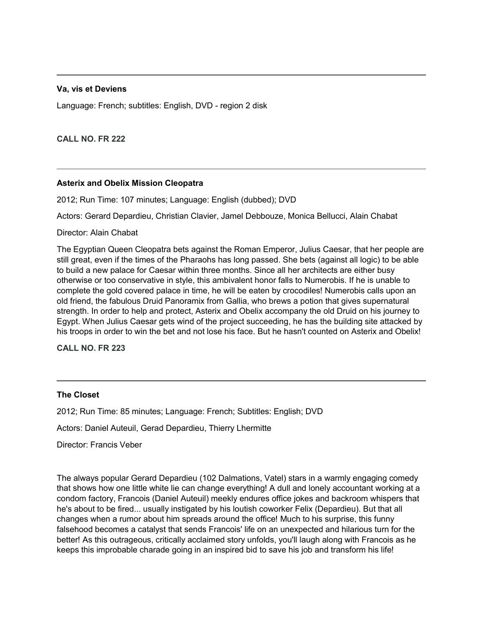# **Va, vis et Deviens**

Language: French; subtitles: English, DVD - region 2 disk

**CALL NO. FR 222**

## **Asterix and Obelix Mission Cleopatra**

2012; Run Time: 107 minutes; Language: English (dubbed); DVD

Actors: Gerard Depardieu, Christian Clavier, Jamel Debbouze, Monica Bellucci, Alain Chabat

Director: Alain Chabat

The Egyptian Queen Cleopatra bets against the Roman Emperor, Julius Caesar, that her people are still great, even if the times of the Pharaohs has long passed. She bets (against all logic) to be able to build a new palace for Caesar within three months. Since all her architects are either busy otherwise or too conservative in style, this ambivalent honor falls to Numerobis. If he is unable to complete the gold covered palace in time, he will be eaten by crocodiles! Numerobis calls upon an old friend, the fabulous Druid Panoramix from Gallia, who brews a potion that gives supernatural strength. In order to help and protect, Asterix and Obelix accompany the old Druid on his journey to Egypt. When Julius Caesar gets wind of the project succeeding, he has the building site attacked by his troops in order to win the bet and not lose his face. But he hasn't counted on Asterix and Obelix!

**CALL NO. FR 223**

# **The Closet**

2012; Run Time: 85 minutes; Language: French; Subtitles: English; DVD

Actors: Daniel Auteuil, Gerad Depardieu, Thierry Lhermitte

Director: Francis Veber

The always popular Gerard Depardieu (102 Dalmations, Vatel) stars in a warmly engaging comedy that shows how one little white lie can change everything! A dull and lonely accountant working at a condom factory, Francois (Daniel Auteuil) meekly endures office jokes and backroom whispers that he's about to be fired... usually instigated by his loutish coworker Felix (Depardieu). But that all changes when a rumor about him spreads around the office! Much to his surprise, this funny falsehood becomes a catalyst that sends Francois' life on an unexpected and hilarious turn for the better! As this outrageous, critically acclaimed story unfolds, you'll laugh along with Francois as he keeps this improbable charade going in an inspired bid to save his job and transform his life!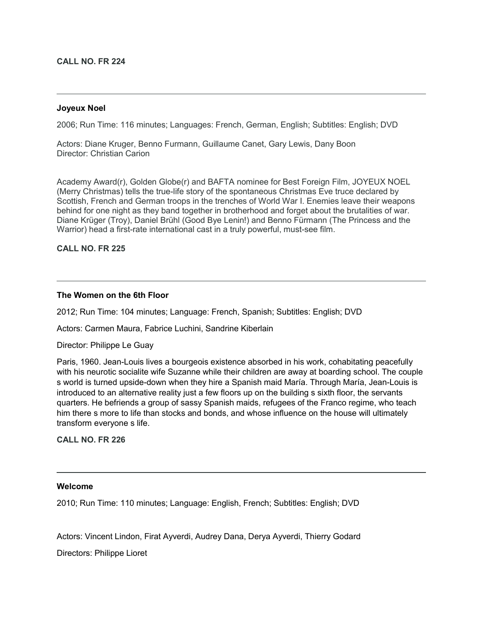## **CALL NO. FR 224**

## **Joyeux Noel**

2006; Run Time: 116 minutes; Languages: French, German, English; Subtitles: English; DVD

Actors: Diane Kruger, Benno Furmann, Guillaume Canet, Gary Lewis, Dany Boon Director: Christian Carion

Academy Award(r), Golden Globe(r) and BAFTA nominee for Best Foreign Film, JOYEUX NOEL (Merry Christmas) tells the true-life story of the spontaneous Christmas Eve truce declared by Scottish, French and German troops in the trenches of World War I. Enemies leave their weapons behind for one night as they band together in brotherhood and forget about the brutalities of war. Diane Krüger (Troy), Daniel Brühl (Good Bye Lenin!) and Benno Fürmann (The Princess and the Warrior) head a first-rate international cast in a truly powerful, must-see film.

**CALL NO. FR 225**

## **The Women on the 6th Floor**

2012; Run Time: 104 minutes; Language: French, Spanish; Subtitles: English; DVD

Actors: Carmen Maura, Fabrice Luchini, Sandrine Kiberlain

Director: Philippe Le Guay

Paris, 1960. Jean-Louis lives a bourgeois existence absorbed in his work, cohabitating peacefully with his neurotic socialite wife Suzanne while their children are away at boarding school. The couple s world is turned upside-down when they hire a Spanish maid María. Through María, Jean-Louis is introduced to an alternative reality just a few floors up on the building s sixth floor, the servants quarters. He befriends a group of sassy Spanish maids, refugees of the Franco regime, who teach him there s more to life than stocks and bonds, and whose influence on the house will ultimately transform everyone s life.

**CALL NO. FR 226**

## **Welcome**

2010; Run Time: 110 minutes; Language: English, French; Subtitles: English; DVD

Actors: Vincent Lindon, Firat Ayverdi, Audrey Dana, Derya Ayverdi, Thierry Godard

Directors: Philippe Lioret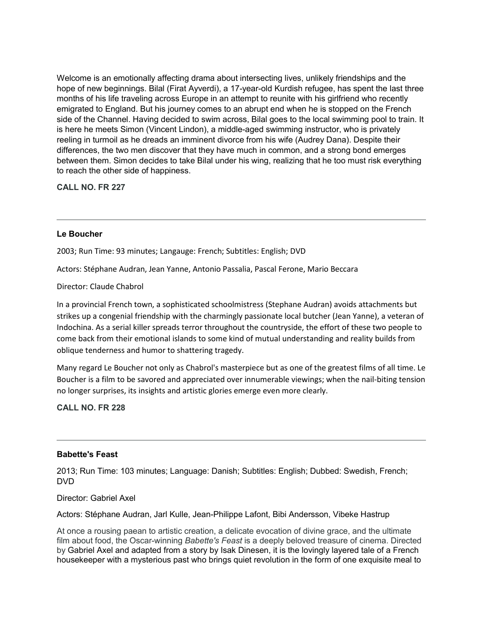Welcome is an emotionally affecting drama about intersecting lives, unlikely friendships and the hope of new beginnings. Bilal (Firat Ayverdi), a 17-year-old Kurdish refugee, has spent the last three months of his life traveling across Europe in an attempt to reunite with his girlfriend who recently emigrated to England. But his journey comes to an abrupt end when he is stopped on the French side of the Channel. Having decided to swim across, Bilal goes to the local swimming pool to train. It is here he meets Simon (Vincent Lindon), a middle-aged swimming instructor, who is privately reeling in turmoil as he dreads an imminent divorce from his wife (Audrey Dana). Despite their differences, the two men discover that they have much in common, and a strong bond emerges between them. Simon decides to take Bilal under his wing, realizing that he too must risk everything to reach the other side of happiness.

**CALL NO. FR 227**

# **Le Boucher**

2003; Run Time: 93 minutes; Langauge: French; Subtitles: English; DVD

Actors: Stéphane Audran, Jean Yanne, Antonio Passalia, Pascal Ferone, Mario Beccara

# Director: Claude Chabrol

In a provincial French town, a sophisticated schoolmistress (Stephane Audran) avoids attachments but strikes up a congenial friendship with the charmingly passionate local butcher (Jean Yanne), a veteran of Indochina. As a serial killer spreads terror throughout the countryside, the effort of these two people to come back from their emotional islands to some kind of mutual understanding and reality builds from oblique tenderness and humor to shattering tragedy.

Many regard Le Boucher not only as Chabrol's masterpiece but as one of the greatest films of all time. Le Boucher is a film to be savored and appreciated over innumerable viewings; when the nail-biting tension no longer surprises, its insights and artistic glories emerge even more clearly.

# **CALL NO. FR 228**

## **Babette's Feast**

2013; Run Time: 103 minutes; Language: Danish; Subtitles: English; Dubbed: Swedish, French; DVD

## Director: Gabriel Axel

Actors: Stéphane Audran, Jarl Kulle, Jean-Philippe Lafont, Bibi Andersson, Vibeke Hastrup

At once a rousing paean to artistic creation, a delicate evocation of divine grace, and the ultimate film about food, the Oscar-winning *Babette's Feast* is a deeply beloved treasure of cinema. Directed by Gabriel Axel and adapted from a story by Isak Dinesen, it is the lovingly layered tale of a French housekeeper with a mysterious past who brings quiet revolution in the form of one exquisite meal to